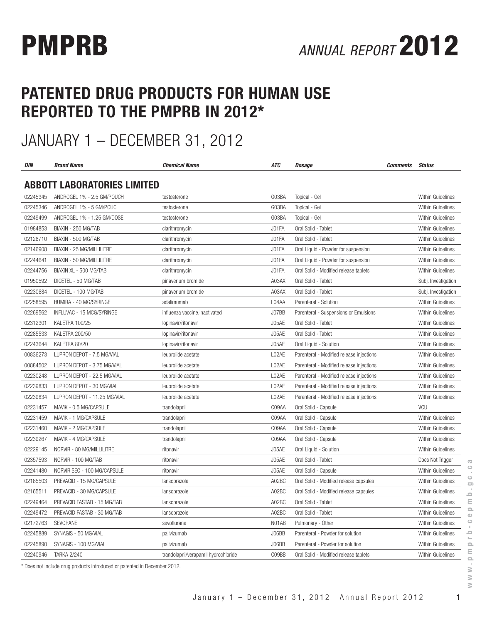# PATENTED DRUG PRODUCTS FOR HUMAN USE REPORTED TO THE PMPRB IN 2012\*

# JANUARY 1 – DECEMBER 31, 2012

| DIN      | <b>Brand Name</b>                  | <b>Chemical Name</b>                 | <b>ATC</b> | Dosage                                   | <b>Comments</b> | <b>Status</b>            |
|----------|------------------------------------|--------------------------------------|------------|------------------------------------------|-----------------|--------------------------|
|          | <b>ABBOTT LABORATORIES LIMITED</b> |                                      |            |                                          |                 |                          |
| 02245345 | ANDROGEL 1% - 2.5 GM/POUCH         | testosterone                         | G03BA      | Topical - Gel                            |                 | <b>Within Guidelines</b> |
| 02245346 | ANDROGEL 1% - 5 GM/POUCH           | testosterone                         | G03BA      | Topical - Gel                            |                 | Within Guidelines        |
| 02249499 | ANDROGEL 1% - 1.25 GM/DOSE         | testosterone                         | G03BA      | Topical - Gel                            |                 | Within Guidelines        |
| 01984853 | BIAXIN - 250 MG/TAB                | clarithromycin                       | J01FA      | Oral Solid - Tablet                      |                 | Within Guidelines        |
| 02126710 | BIAXIN - 500 MG/TAB                | clarithromycin                       | J01FA      | Oral Solid - Tablet                      |                 | Within Guidelines        |
| 02146908 | BIAXIN - 25 MG/MILLILITRE          | clarithromycin                       | J01FA      | Oral Liquid - Powder for suspension      |                 | Within Guidelines        |
| 02244641 | BIAXIN - 50 MG/MILLILITRE          | clarithromycin                       | J01FA      | Oral Liquid - Powder for suspension      |                 | Within Guidelines        |
| 02244756 | BIAXIN XL - 500 MG/TAB             | clarithromycin                       | J01FA      | Oral Solid - Modified release tablets    |                 | Within Guidelines        |
| 01950592 | DICETEL - 50 MG/TAB                | pinaverium bromide                   | A03AX      | Oral Solid - Tablet                      |                 | Subj. Investigation      |
| 02230684 | DICETEL - 100 MG/TAB               | pinaverium bromide                   | A03AX      | Oral Solid - Tablet                      |                 | Subj. Investigation      |
| 02258595 | HUMIRA - 40 MG/SYRINGE             | adalimumab                           | L04AA      | Parenteral - Solution                    |                 | Within Guidelines        |
| 02269562 | INFLUVAC - 15 MCG/SYRINGE          | influenza vaccine, inactivated       | J07BB      | Parenteral - Suspensions or Emulsions    |                 | Within Guidelines        |
| 02312301 | KALETRA 100/25                     | lopinavir/ritonavir                  | J05AE      | Oral Solid - Tablet                      |                 | Within Guidelines        |
| 02285533 | KALETRA 200/50                     | lopinavir/ritonavir                  | J05AE      | Oral Solid - Tablet                      |                 | Within Guidelines        |
| 02243644 | KALETRA 80/20                      | lopinavir/ritonavir                  | J05AE      | Oral Liquid - Solution                   |                 | Within Guidelines        |
| 00836273 | LUPRON DEPOT - 7.5 MG/VIAL         | leuprolide acetate                   | L02AE      | Parenteral - Modified release injections |                 | Within Guidelines        |
| 00884502 | LUPRON DEPOT - 3.75 MG/VIAL        | leuprolide acetate                   | L02AE      | Parenteral - Modified release injections |                 | Within Guidelines        |
| 02230248 | LUPRON DEPOT - 22.5 MG/VIAL        | leuprolide acetate                   | L02AE      | Parenteral - Modified release injections |                 | Within Guidelines        |
| 02239833 | LUPRON DEPOT - 30 MG/VIAL          | leuprolide acetate                   | L02AE      | Parenteral - Modified release injections |                 | Within Guidelines        |
| 02239834 | LUPRON DEPOT - 11.25 MG/VIAL       | leuprolide acetate                   | L02AE      | Parenteral - Modified release injections |                 | <b>Within Guidelines</b> |
| 02231457 | MAVIK - 0.5 MG/CAPSULE             | trandolapril                         | C09AA      | Oral Solid - Capsule                     |                 | VCU                      |
| 02231459 | MAVIK - 1 MG/CAPSULE               | trandolapril                         | C09AA      | Oral Solid - Capsule                     |                 | <b>Within Guidelines</b> |
| 02231460 | MAVIK - 2 MG/CAPSULE               | trandolapril                         | C09AA      | Oral Solid - Capsule                     |                 | Within Guidelines        |
| 02239267 | MAVIK - 4 MG/CAPSULE               | trandolapril                         | C09AA      | Oral Solid - Capsule                     |                 | Within Guidelines        |
| 02229145 | NORVIR - 80 MG/MILLILITRE          | ritonavir                            | J05AE      | Oral Liquid - Solution                   |                 | Within Guidelines        |
| 02357593 | NORVIR - 100 MG/TAB                | ritonavir                            | J05AE      | Oral Solid - Tablet                      |                 | Does Not Trigger         |
| 02241480 | NORVIR SEC - 100 MG/CAPSULE        | ritonavir                            | J05AE      | Oral Solid - Capsule                     |                 | Within Guidelines        |
| 02165503 | PREVACID - 15 MG/CAPSULE           | lansoprazole                         | A02BC      | Oral Solid - Modified release capsules   |                 | Within Guidelines        |
| 02165511 | PREVACID - 30 MG/CAPSULE           | lansoprazole                         | A02BC      | Oral Solid - Modified release capsules   |                 | <b>Within Guidelines</b> |
| 02249464 | PREVACID FASTAB - 15 MG/TAB        | lansoprazole                         | A02BC      | Oral Solid - Tablet                      |                 | <b>Within Guidelines</b> |
| 02249472 | PREVACID FASTAB - 30 MG/TAB        | lansoprazole                         | A02BC      | Oral Solid - Tablet                      |                 | Within Guidelines        |
| 02172763 | SEVORANE                           | sevoflurane                          | N01AB      | Pulmonary - Other                        |                 | Within Guidelines        |
| 02245889 | SYNAGIS - 50 MG/VIAL               | palivizumab                          | J06BB      | Parenteral - Powder for solution         |                 | Within Guidelines        |
| 02245890 | SYNAGIS - 100 MG/VIAL              | palivizumab                          | J06BB      | Parenteral - Powder for solution         |                 | Within Guidelines        |
| 02240946 | <b>TARKA 2/240</b>                 | trandolapril/verapamil hydrochloride | C09BB      | Oral Solid - Modified release tablets    |                 | Within Guidelines        |

\* Does not include drug products introduced or patented in December 2012.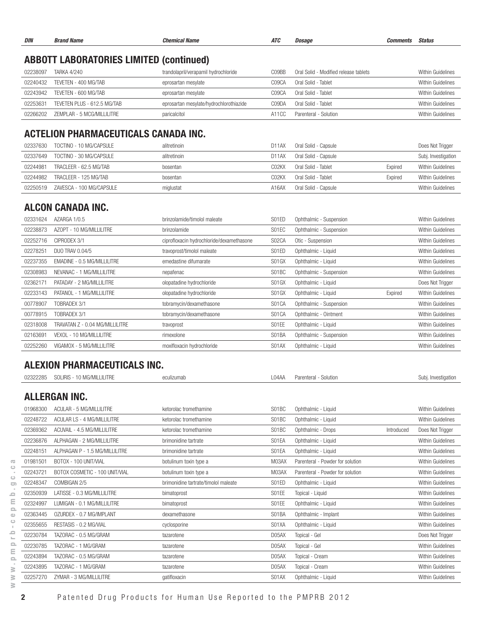| DIN |  | .<br><b>AIV</b> | <i>amments</i> | п.<br>status |
|-----|--|-----------------|----------------|--------------|
|     |  |                 |                |              |

# ABBOTT LABORATORIES LIMITED (continued)

| 02238097 | <b>TARKA 4/240</b>          | trandolapril/verapamil hydrochloride    | CO9BB | Oral Solid - Modified release tablets | Within Guidelines |
|----------|-----------------------------|-----------------------------------------|-------|---------------------------------------|-------------------|
| 02240432 | TEVETEN - 400 MG/TAB        | eprosartan mesylate                     | CO9CA | Oral Solid - Tablet                   | Within Guidelines |
| 02243942 | TEVETEN - 600 MG/TAB        | eprosartan mesylate                     | CO9CA | Oral Solid - Tablet                   | Within Guidelines |
| 02253631 | TEVETEN PLUS - 612.5 MG/TAB | eprosartan mesylate/hydrochlorothiazide | CO9DA | Oral Solid - Tablet                   | Within Guidelines |
| 02266202 | ZEMPLAR - 5 MCG/MILLILITRE  | paricalcitol                            | A11CC | Parenteral - Solution                 | Within Guidelines |

#### ACTELION PHARMACEUTICALS CANADA INC.

| 02337630 | TOCTINO - 10 MG/CAPSULE  | alitretinoin | D11AX              | Oral Solid - Capsule |         | Does Not Trigger    |
|----------|--------------------------|--------------|--------------------|----------------------|---------|---------------------|
| 02337649 | TOCTINO - 30 MG/CAPSULE  | alitretinoin | D <sub>1</sub> 1AX | Oral Solid - Capsule |         | Subj. Investigation |
| 02244981 | TRACLEER - 62.5 MG/TAB   | bosentan     | CO2KX              | Oral Solid - Tablet  | Expired | Within Guidelines   |
| 02244982 | TRACLEER - 125 MG/TAB    | bosentan     | CO2KX              | Oral Solid - Tablet  | Expired | Within Guidelines   |
| 02250519 | ZAVESCA - 100 MG/CAPSULE | miglustat    | A16AX              | Oral Solid - Capsule |         | Within Guidelines   |

#### ALCON CANADA INC.

| 02331624 | AZARGA 1/0.5                    | brinzolamide/timolol maleate              | S01ED | Ophthalmic - Suspension |         | Within Guidelines        |
|----------|---------------------------------|-------------------------------------------|-------|-------------------------|---------|--------------------------|
| 02238873 | AZOPT - 10 MG/MILLILITRE        | brinzolamide                              | S01EC | Ophthalmic - Suspension |         | Within Guidelines        |
| 02252716 | CIPRODEX 3/1                    | ciprofloxacin hydrochloride/dexamethasone | S02CA | Otic - Suspension       |         | <b>Within Guidelines</b> |
| 02278251 | <b>DUO TRAV 0.04/5</b>          | travoprost/timolol maleate                | S01ED | Ophthalmic - Liquid     |         | Within Guidelines        |
| 02237355 | EMADINE - 0.5 MG/MILLILITRE     | emedastine difumarate                     | S01GX | Ophthalmic - Liquid     |         | Within Guidelines        |
| 02308983 | NEVANAC - 1 MG/MILLILITRE       | nepafenac                                 | S01BC | Ophthalmic - Suspension |         | Within Guidelines        |
| 02362171 | PATADAY - 2 MG/MILLILITRE       | olopatadine hydrochloride                 | S01GX | Ophthalmic - Liquid     |         | Does Not Trigger         |
| 02233143 | PATANOL - 1 MG/MILLILITRE       | olopatadine hydrochloride                 | S01GX | Ophthalmic - Liquid     | Expired | Within Guidelines        |
| 00778907 | TOBRADEX 3/1                    | tobramycin/dexamethasone                  | S01CA | Ophthalmic - Suspension |         | Within Guidelines        |
| 00778915 | TOBRADEX 3/1                    | tobramycin/dexamethasone                  | S01CA | Ophthalmic - Ointment   |         | Within Guidelines        |
| 02318008 | TRAVATAN Z - 0.04 MG/MILLILITRE | travoprost                                | S01EE | Ophthalmic - Liquid     |         | <b>Within Guidelines</b> |
| 02163691 | VEXOL - 10 MG/MILLILITRE        | rimexolone                                | S01BA | Ophthalmic - Suspension |         | <b>Within Guidelines</b> |
| 02252260 | VIGAMOX - 5 MG/MILLILITRE       | moxifloxacin hydrochloride                | S01AX | Ophthalmic - Liquid     |         | <b>Within Guidelines</b> |

#### ALEXION PHARMACEUTICALS INC.

| 02322285 | SOLIRIS - 10 MG/MILLILITRE     | eculizumab                           | L04AA | Parenteral - Solution            |            | Subj. Investigation      |
|----------|--------------------------------|--------------------------------------|-------|----------------------------------|------------|--------------------------|
|          |                                |                                      |       |                                  |            |                          |
|          | <b>ALLERGAN INC.</b>           |                                      |       |                                  |            |                          |
| 01968300 | ACULAR - 5 MG/MILLILITRE       | ketorolac tromethamine               | S01BC | Ophthalmic - Liquid              |            | <b>Within Guidelines</b> |
| 02248722 | ACULAR LS - 4 MG/MILLILITRE    | ketorolac tromethamine               | S01BC | Ophthalmic - Liquid              |            | <b>Within Guidelines</b> |
| 02369362 | ACUVAIL - 4.5 MG/MILLILITRE    | ketorolac tromethamine               | S01BC | Ophthalmic - Drops               | Introduced | Does Not Trigger         |
| 02236876 | ALPHAGAN - 2 MG/MILLILITRE     | brimonidine tartrate                 | S01EA | Ophthalmic - Liquid              |            | <b>Within Guidelines</b> |
| 02248151 | ALPHAGAN P - 1.5 MG/MILLILITRE | brimonidine tartrate                 | S01EA | Ophthalmic - Liquid              |            | <b>Within Guidelines</b> |
| 01981501 | BOTOX - 100 UNIT/VIAL          | botulinum toxin type a               | M03AX | Parenteral - Powder for solution |            | <b>Within Guidelines</b> |
| 02243721 | BOTOX COSMETIC - 100 UNIT/VIAL | botulinum toxin type a               | M03AX | Parenteral - Powder for solution |            | <b>Within Guidelines</b> |
| 02248347 | COMBIGAN 2/5                   | brimonidine tartrate/timolol maleate | S01ED | Ophthalmic - Liquid              |            | <b>Within Guidelines</b> |
| 02350939 | LATISSE - 0.3 MG/MILLILITRE    | bimatoprost                          | S01EE | Topical - Liquid                 |            | <b>Within Guidelines</b> |
| 02324997 | LUMIGAN - 0.1 MG/MILLILITRE    | bimatoprost                          | S01EE | Ophthalmic - Liquid              |            | <b>Within Guidelines</b> |
| 02363445 | OZURDEX - 0.7 MG/IMPLANT       | dexamethasone                        | S01BA | Ophthalmic - Implant             |            | <b>Within Guidelines</b> |
| 02355655 | RESTASIS - 0.2 MG/VIAL         | cyclosporine                         | S01XA | Ophthalmic - Liquid              |            | Within Guidelines        |
| 02230784 | TAZORAC - 0.5 MG/GRAM          | tazarotene                           | D05AX | Topical - Gel                    |            | Does Not Trigger         |
| 02230785 | TAZORAC - 1 MG/GRAM            | tazarotene                           | D05AX | Topical - Gel                    |            | <b>Within Guidelines</b> |
| 02243894 | TAZORAC - 0.5 MG/GRAM          | tazarotene                           | D05AX | Topical - Cream                  |            | <b>Within Guidelines</b> |
| 02243895 | TAZORAC - 1 MG/GRAM            | tazarotene                           | D05AX | Topical - Cream                  |            | <b>Within Guidelines</b> |
| 02257270 | ZYMAR - 3 MG/MILLILITRE        | gatifloxacin                         | S01AX | Ophthalmic - Liquid              |            | <b>Within Guidelines</b> |
|          |                                |                                      |       |                                  |            |                          |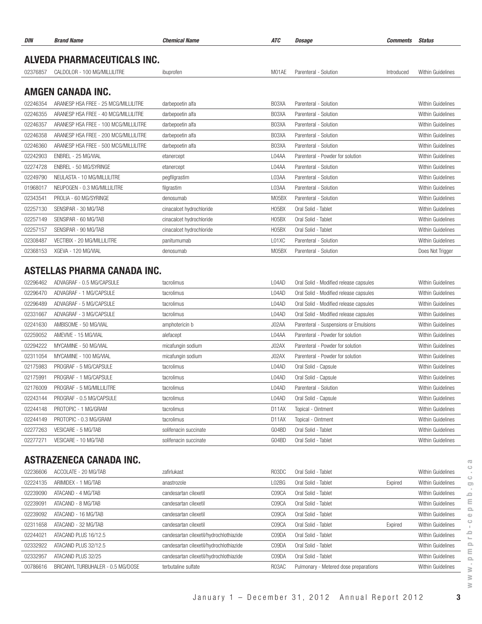| DIN      | <b>Brand Name</b>                     | <b>Chemical Name</b>     | ATC                | <b>Dosage</b>                          | <i><b>Comments</b></i> | <b>Status</b>            |
|----------|---------------------------------------|--------------------------|--------------------|----------------------------------------|------------------------|--------------------------|
|          | <b>ALVEDA PHARMACEUTICALS INC.</b>    |                          |                    |                                        |                        |                          |
| 02376857 | CALDOLOR - 100 MG/MILLILITRE          | ibuprofen                | M01AE              | Parenteral - Solution                  | Introduced             | <b>Within Guidelines</b> |
|          |                                       |                          |                    |                                        |                        |                          |
|          | AMGEN CANADA INC.                     |                          |                    |                                        |                        |                          |
| 02246354 | ARANESP HSA FREE - 25 MCG/MILLILITRE  | darbepoetin alfa         | B03XA              | Parenteral - Solution                  |                        | Within Guidelines        |
| 02246355 | ARANESP HSA FREE - 40 MCG/MILLILITRE  | darbepoetin alfa         | B03XA              | Parenteral - Solution                  |                        | Within Guidelines        |
| 02246357 | ARANESP HSA FREE - 100 MCG/MILLILITRE | darbepoetin alfa         | B03XA              | Parenteral - Solution                  |                        | Within Guidelines        |
| 02246358 | ARANESP HSA FREE - 200 MCG/MILLILITRE | darbepoetin alfa         | B03XA              | Parenteral - Solution                  |                        | <b>Within Guidelines</b> |
| 02246360 | ARANESP HSA FREE - 500 MCG/MILLILITRE | darbepoetin alfa         | B03XA              | Parenteral - Solution                  |                        | Within Guidelines        |
| 02242903 | ENBREL - 25 MG/VIAL                   | etanercept               | L04AA              | Parenteral - Powder for solution       |                        | <b>Within Guidelines</b> |
| 02274728 | ENBREL - 50 MG/SYRINGE                | etanercept               | L04AA              | Parenteral - Solution                  |                        | Within Guidelines        |
| 02249790 | NEULASTA - 10 MG/MILLILITRE           | pegfilgrastim            | L03AA              | Parenteral - Solution                  |                        | Within Guidelines        |
| 01968017 | NEUPOGEN - 0.3 MG/MILLILITRE          | filgrastim               | L03AA              | Parenteral - Solution                  |                        | Within Guidelines        |
| 02343541 | PROLIA - 60 MG/SYRINGE                | denosumab                | M05BX              | Parenteral - Solution                  |                        | <b>Within Guidelines</b> |
| 02257130 | SENSIPAR - 30 MG/TAB                  | cinacalcet hydrochloride | H <sub>05</sub> BX | Oral Solid - Tablet                    |                        | Within Guidelines        |
| 02257149 | SENSIPAR - 60 MG/TAB                  | cinacalcet hydrochloride | H <sub>05</sub> BX | Oral Solid - Tablet                    |                        | Within Guidelines        |
| 02257157 | SENSIPAR - 90 MG/TAB                  | cinacalcet hydrochloride | H <sub>05</sub> BX | Oral Solid - Tablet                    |                        | Within Guidelines        |
| 02308487 | VECTIBIX - 20 MG/MILLILITRE           | panitumumab              | L01XC              | Parenteral - Solution                  |                        | Within Guidelines        |
| 02368153 | XGEVA - 120 MG/VIAL                   | denosumab                | M05BX              | Parenteral - Solution                  |                        | Does Not Trigger         |
|          |                                       |                          |                    |                                        |                        |                          |
|          | ASTELLAS PHARMA CANADA INC.           |                          |                    |                                        |                        |                          |
| 02296462 | ADVAGRAF - 0.5 MG/CAPSULE             | tacrolimus               | L04AD              | Oral Solid - Modified release capsules |                        | <b>Within Guidelines</b> |
| 02296470 | ADVAGRAF - 1 MG/CAPSULE               | tacrolimus               | L04AD              | Oral Solid - Modified release capsules |                        | <b>Within Guidelines</b> |
| 02296489 | ADVAGRAF - 5 MG/CAPSULE               | tacrolimus               | L04AD              | Oral Solid - Modified release capsules |                        | <b>Within Guidelines</b> |
| 02331667 | ADVAGRAF - 3 MG/CAPSULE               | tacrolimus               | L04AD              | Oral Solid - Modified release capsules |                        | Within Guidelines        |
| 02241630 | AMBISOME - 50 MG/VIAL                 | amphotericin b           | J02AA              | Parenteral - Suspensions or Emulsions  |                        | <b>Within Guidelines</b> |
| 02259052 | AMEVIVE - 15 MG/VIAL                  | alefacept                | L04AA              | Parenteral - Powder for solution       |                        | Within Guidelines        |
| 02294222 | MYCAMINE - 50 MG/VIAL                 | micafungin sodium        | J02AX              | Parenteral - Powder for solution       |                        | <b>Within Guidelines</b> |
| 02311054 | MYCAMINE - 100 MG/VIAL                | micafungin sodium        | J02AX              | Parenteral - Powder for solution       |                        | <b>Within Guidelines</b> |
| 02175983 | PROGRAF - 5 MG/CAPSULE                | tacrolimus               | L04AD              | Oral Solid - Capsule                   |                        | <b>Within Guidelines</b> |
| 02175991 | PROGRAF - 1 MG/CAPSULE                | taerolimus               | $\overline{AAD}$   | Oral Solid - Cansule                   |                        | <b>Within Guidelines</b> |

| $UZZ + UUU$ | AIVIDIOUIVIL " JU IVIU/ VIAL | diliprivierium p      | JUZHA | L'algliteral - onongripionis di Filimpionis | VVILHIII QUIUCIIIICS |
|-------------|------------------------------|-----------------------|-------|---------------------------------------------|----------------------|
| 02259052    | AMEVIVE - 15 MG/VIAL         | alefacept             | L04AA | Parenteral - Powder for solution            | Within Guidelines    |
| 02294222    | MYCAMINE - 50 MG/VIAL        | micafungin sodium     | J02AX | Parenteral - Powder for solution            | Within Guidelines    |
| 02311054    | MYCAMINE - 100 MG/VIAL       | micafungin sodium     | J02AX | Parenteral - Powder for solution            | Within Guidelines    |
| 02175983    | PROGRAF - 5 MG/CAPSULE       | tacrolimus            | L04AD | Oral Solid - Capsule                        | Within Guidelines    |
| 02175991    | PROGRAF - 1 MG/CAPSULE       | tacrolimus            | L04AD | Oral Solid - Capsule                        | Within Guidelines    |
| 02176009    | PROGRAF - 5 MG/MILLILITRE    | tacrolimus            | L04AD | Parenteral - Solution                       | Within Guidelines    |
| 02243144    | PROGRAF - 0.5 MG/CAPSULE     | tacrolimus            | L04AD | Oral Solid - Capsule                        | Within Guidelines    |
| 02244148    | PROTOPIC - 1 MG/GRAM         | tacrolimus            | D11AX | Topical - Ointment                          | Within Guidelines    |
| 02244149    | PROTOPIC - 0.3 MG/GRAM       | tacrolimus            | D11AX | Topical - Ointment                          | Within Guidelines    |
| 02277263    | VESICARE - 5 MG/TAB          | solifenacin succinate | G04BD | Oral Solid - Tablet                         | Within Guidelines    |
| 02277271    | VESICARE - 10 MG/TAB         | solifenacin succinate | G04BD | Oral Solid - Tablet                         | Within Guidelines    |
|             |                              |                       |       |                                             |                      |

#### ASTRAZENECA CANADA INC.

| 02236606 | ACCOLATE - 20 MG/TAB              | zafirlukast                             | R <sub>0</sub> 3 <sub>D</sub> C | Oral Solid - Tablet                   |         | Within Guidelines        |
|----------|-----------------------------------|-----------------------------------------|---------------------------------|---------------------------------------|---------|--------------------------|
| 02224135 | ARIMIDEX - 1 MG/TAB               | anastrozole                             | LO2BG.                          | Oral Solid - Tablet                   | Expired | <b>Within Guidelines</b> |
| 02239090 | ATACAND - 4 MG/TAB                | candesartan cilexetil                   | C09CA                           | Oral Solid - Tablet                   |         | Within Guidelines        |
| 02239091 | ATACAND - 8 MG/TAB                | candesartan cilexetil                   | C <sub>09</sub> CA              | Oral Solid - Tablet                   |         | Within Guidelines        |
| 02239092 | ATACAND - 16 MG/TAB               | candesartan cilexetil                   | CO9CA                           | Oral Solid - Tablet                   |         | Within Guidelines        |
| 02311658 | ATACAND - 32 MG/TAB               | candesartan cilexetil                   | C <sub>09</sub> CA              | Oral Solid - Tablet                   | Expired | <b>Within Guidelines</b> |
| 02244021 | ATACAND PLUS 16/12.5              | candesartan cilexetil/hydrochlothiazide | C <sub>09</sub> DA              | Oral Solid - Tablet                   |         | Within Guidelines        |
| 02332922 | ATACAND PLUS 32/12.5              | candesartan cilexetil/hydrochlothiazide | C <sub>09</sub> DA              | Oral Solid - Tablet                   |         | Within Guidelines        |
| 02332957 | ATACAND PLUS 32/25                | candesartan cilexetil/hydrochlothiazide | C <sub>09</sub> DA              | Oral Solid - Tablet                   |         | Within Guidelines        |
| 00786616 | BRICANYL TURBUHALER - 0.5 MG/DOSE | terbutaline sulfate                     | R03AC                           | Pulmonary - Metered dose preparations |         | Within Guidelines        |
|          |                                   |                                         |                                 |                                       |         |                          |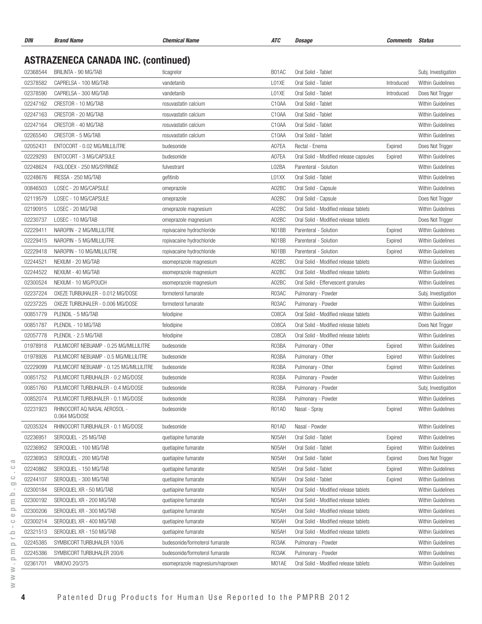| DIN      | <b>Brand Name</b>                             | <b>Chemical Name</b>            | ATC                | <b>Dosage</b>                          | Comments   | <b>Status</b>            |
|----------|-----------------------------------------------|---------------------------------|--------------------|----------------------------------------|------------|--------------------------|
|          | <b>ASTRAZENECA CANADA INC. (continued)</b>    |                                 |                    |                                        |            |                          |
| 02368544 | BRILINTA - 90 MG/TAB                          | ticagrelor                      | B01AC              | Oral Solid - Tablet                    |            | Subj. Investigation      |
| 02378582 | CAPRELSA - 100 MG/TAB                         | vandetanib                      | L01XE              | Oral Solid - Tablet                    | Introduced | Within Guidelines        |
| 02378590 | CAPRELSA - 300 MG/TAB                         | vandetanib                      | L01XE              | Oral Solid - Tablet                    | Introduced | Does Not Trigger         |
| 02247162 | CRESTOR - 10 MG/TAB                           | rosuvastatin calcium            | C10AA              | Oral Solid - Tablet                    |            | Within Guidelines        |
| 02247163 | CRESTOR - 20 MG/TAB                           | rosuvastatin calcium            | C10AA              | Oral Solid - Tablet                    |            | <b>Within Guidelines</b> |
| 02247164 | CRESTOR - 40 MG/TAB                           | rosuvastatin calcium            | C <sub>10</sub> AA | Oral Solid - Tablet                    |            | Within Guidelines        |
| 02265540 | CRESTOR - 5 MG/TAB                            | rosuvastatin calcium            | C <sub>10</sub> AA | Oral Solid - Tablet                    |            | Within Guidelines        |
| 02052431 | ENTOCORT - 0.02 MG/MILLILITRE                 | budesonide                      | A07EA              | Rectal - Enema                         | Expired    | Does Not Trigger         |
| 02229293 | ENTOCORT - 3 MG/CAPSULE                       | budesonide                      | A07EA              | Oral Solid - Modified release capsules | Expired    | Within Guidelines        |
| 02248624 | FASLODEX - 250 MG/SYRINGE                     | fulvestrant                     | L02BA              | Parenteral - Solution                  |            | Within Guidelines        |
| 02248676 | IRESSA - 250 MG/TAB                           | gefitinib                       | L01XX              | Oral Solid - Tablet                    |            | Within Guidelines        |
| 00846503 | LOSEC - 20 MG/CAPSULE                         | omeprazole                      | A02BC              | Oral Solid - Capsule                   |            | Within Guidelines        |
| 02119579 | LOSEC - 10 MG/CAPSULE                         | omeprazole                      | A02BC              | Oral Solid - Capsule                   |            | Does Not Trigger         |
| 02190915 | LOSEC - 20 MG/TAB                             | omeprazole magnesium            | A02BC              | Oral Solid - Modified release tablets  |            | Within Guidelines        |
| 02230737 | LOSEC - 10 MG/TAB                             | omeprazole magnesium            | A02BC              | Oral Solid - Modified release tablets  |            | Does Not Trigger         |
| 02229411 | NAROPIN - 2 MG/MILLILITRE                     | ropivacaine hydrochloride       | NO <sub>1</sub> BB | Parenteral - Solution                  | Expired    | <b>Within Guidelines</b> |
| 02229415 | NAROPIN - 5 MG/MILLILITRE                     | ropivacaine hydrochloride       | N01BB              | Parenteral - Solution                  | Expired    | Within Guidelines        |
| 02229418 | NAROPIN - 10 MG/MILLILITRE                    | ropivacaine hydrochloride       | NO <sub>1</sub> BB | Parenteral - Solution                  | Expired    | Within Guidelines        |
| 02244521 | NEXIUM - 20 MG/TAB                            | esomeprazole magnesium          | A02BC              | Oral Solid - Modified release tablets  |            | Within Guidelines        |
| 02244522 | NEXIUM - 40 MG/TAB                            | esomeprazole magnesium          | A02BC              | Oral Solid - Modified release tablets  |            | Within Guidelines        |
| 02300524 | NEXIUM - 10 MG/POUCH                          | esomeprazole magnesium          | A02BC              | Oral Solid - Effervescent granules     |            | Within Guidelines        |
| 02237224 | OXEZE TURBUHALER - 0.012 MG/DOSE              | formoterol fumarate             | R03AC              | Pulmonary - Powder                     |            | Subj. Investigation      |
| 02237225 | OXEZE TURBUHALER - 0.006 MG/DOSE              | formoterol fumarate             | R03AC              | Pulmonary - Powder                     |            | Within Guidelines        |
| 00851779 | PLENDIL - 5 MG/TAB                            | felodipine                      | C08CA              | Oral Solid - Modified release tablets  |            | Within Guidelines        |
| 00851787 | PLENDIL - 10 MG/TAB                           | felodipine                      | C08CA              | Oral Solid - Modified release tablets  |            | Does Not Trigger         |
| 02057778 | PLENDIL - 2.5 MG/TAB                          | felodipine                      | C08CA              | Oral Solid - Modified release tablets  |            | Within Guidelines        |
| 01978918 | PULMICORT NEBUAMP - 0.25 MG/MILLILITRE        | budesonide                      | R03BA              | Pulmonary - Other                      | Expired    | Within Guidelines        |
| 01978926 | PULMICORT NEBUAMP - 0.5 MG/MILLILITRE         | budesonide                      | R03BA              | Pulmonary - Other                      | Expired    | Within Guidelines        |
| 02229099 | PULMICORT NEBUAMP - 0.125 MG/MILLILITRE       | budesonide                      | R03BA              | Pulmonary - Other                      | Expired    | Within Guidelines        |
| 00851752 | PULMICORT TURBUHALER - 0.2 MG/DOSE            | budesonide                      | R03BA              | Pulmonary - Powder                     |            | Within Guidelines        |
| 00851760 | PULMICORT TURBUHALER - 0.4 MG/DOSE            | budesonide                      | R03BA              | Pulmonary - Powder                     |            | Subj. Investigation      |
| 00852074 | PULMICORT TURBUHALER - 0.1 MG/DOSE            | budesonide                      | R03BA              | Pulmonary - Powder                     |            | Within Guidelines        |
| 02231923 | RHINOCORT AQ NASAL AEROSOL -<br>0.064 MG/DOSE | budesonide                      | R01AD              | Nasal - Spray                          | Expired    | Within Guidelines        |
| 02035324 | RHINOCORT TURBUHALER - 0.1 MG/DOSE            | budesonide                      | R01AD              | Nasal - Powder                         |            | Within Guidelines        |
| 02236951 | SEROQUEL - 25 MG/TAB                          | quetiapine fumarate             | N05AH              | Oral Solid - Tablet                    | Expired    | Within Guidelines        |
| 02236952 | SEROQUEL - 100 MG/TAB                         | quetiapine fumarate             | N05AH              | Oral Solid - Tablet                    | Expired    | Within Guidelines        |
| 02236953 | SEROQUEL - 200 MG/TAB                         | quetiapine fumarate             | N05AH              | Oral Solid - Tablet                    | Expired    | Does Not Trigger         |
| 02240862 | SEROQUEL - 150 MG/TAB                         | quetiapine fumarate             | N05AH              | Oral Solid - Tablet                    | Expired    | Within Guidelines        |
| 02244107 | SEROQUEL - 300 MG/TAB                         | quetiapine fumarate             | N05AH              | Oral Solid - Tablet                    | Expired    | Within Guidelines        |
| 02300184 | SEROQUEL XR - 50 MG/TAB                       | quetiapine fumarate             | N05AH              | Oral Solid - Modified release tablets  |            | Within Guidelines        |
| 02300192 | SEROQUEL XR - 200 MG/TAB                      | quetiapine fumarate             | N05AH              | Oral Solid - Modified release tablets  |            | Within Guidelines        |
| 02300206 | SEROQUEL XR - 300 MG/TAB                      | quetiapine fumarate             | N05AH              | Oral Solid - Modified release tablets  |            | Within Guidelines        |
| 02300214 | SEROQUEL XR - 400 MG/TAB                      | quetiapine fumarate             | N05AH              | Oral Solid - Modified release tablets  |            | Within Guidelines        |
| 02321513 | SEROQUEL XR - 150 MG/TAB                      | quetiapine fumarate             | N05AH              | Oral Solid - Modified release tablets  |            | Within Guidelines        |
| 02245385 | SYMBICORT TURBUHALER 100/6                    | budesonide/formoterol fumarate  | R03AK              | Pulmonary - Powder                     |            | Within Guidelines        |
| 02245386 | SYMBICORT TURBUHALER 200/6                    | budesonide/formoterol fumarate  | R03AK              | Pulmonary - Powder                     |            | Within Guidelines        |
| 02361701 | VIMOVO 20/375                                 | esomeprazole magnesium/naproxen | M01AE              | Oral Solid - Modified release tablets  |            | Within Guidelines        |
|          |                                               |                                 |                    |                                        |            |                          |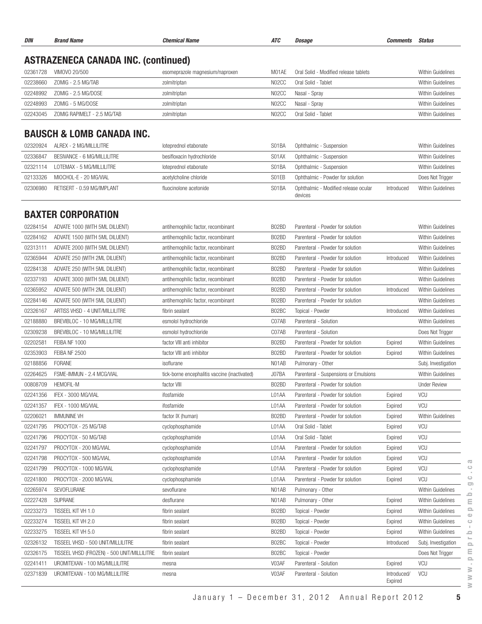| <b>DIN</b> | <b>Brand Name</b>                          | <b>Chemical Name</b>               | <b>ATC</b>         | <b>Dosage</b>                                   | <b>Comments</b> | <b>Status</b>            |
|------------|--------------------------------------------|------------------------------------|--------------------|-------------------------------------------------|-----------------|--------------------------|
|            | <b>ASTRAZENECA CANADA INC. (continued)</b> |                                    |                    |                                                 |                 |                          |
| 02361728   | VIMOVO 20/500                              | esomeprazole magnesium/naproxen    | M01AE              | Oral Solid - Modified release tablets           |                 | Within Guidelines        |
| 02238660   | ZOMIG - 2.5 MG/TAB                         | zolmitriptan                       | N <sub>02</sub> CC | Oral Solid - Tablet                             |                 | <b>Within Guidelines</b> |
| 02248992   | ZOMIG - 2.5 MG/DOSE                        | zolmitriptan                       | N <sub>02</sub> CC | Nasal - Spray                                   |                 | <b>Within Guidelines</b> |
| 02248993   | ZOMIG - 5 MG/DOSE                          | zolmitriptan                       | N <sub>02</sub> CC | Nasal - Spray                                   |                 | <b>Within Guidelines</b> |
| 02243045   | ZOMIG RAPIMELT - 2.5 MG/TAB                | zolmitriptan                       | N02CC              | Oral Solid - Tablet                             |                 | Within Guidelines        |
|            | <b>BAUSCH &amp; LOMB CANADA INC.</b>       |                                    |                    |                                                 |                 |                          |
| 02320924   | ALREX - 2 MG/MILLILITRE                    | loteprednol etabonate              | S01BA              | Ophthalmic - Suspension                         |                 | Within Guidelines        |
| 02336847   | <b>BESIVANCE - 6 MG/MILLILITRE</b>         | besifloxacin hydrochloride         | S01AX              | Ophthalmic - Suspension                         |                 | <b>Within Guidelines</b> |
| 02321114   | LOTEMAX - 5 MG/MILLILITRE                  | loteprednol etabonate              | S01BA              | Ophthalmic - Suspension                         |                 | Within Guidelines        |
| 02133326   | MIOCHOL-E - 20 MG/VIAL                     | acetylcholine chloride             | S01EB              | Ophthalmic - Powder for solution                |                 | Does Not Trigger         |
| 02306980   | RETISERT - 0.59 MG/IMPLANT                 | fluocinolone acetonide             | S01BA              | Ophthalmic - Modified release ocular<br>devices | Introduced      | Within Guidelines        |
|            | <b>BAXTER CORPORATION</b>                  |                                    |                    |                                                 |                 |                          |
| 02284154   | ADVATE 1000 (WITH 5ML DILUENT)             | antihemophilic factor, recombinant | B02BD              | Parenteral - Powder for solution                |                 | Within Guidelines        |
| 02284162   | ADVATE 1500 (WITH 5ML DILUENT)             | antihemophilic factor, recombinant | B02BD              | Parenteral - Powder for solution                |                 | Within Guidelines        |
| 02313111   | ADVATE 2000 (WITH 5ML DILUENT)             | antihemophilic factor, recombinant | B02BD              | Parenteral - Powder for solution                |                 | <b>Within Guidelines</b> |
| 02365944   | ADVATE 250 (WITH 2ML DILUENT)              | antihemophilic factor, recombinant | B02BD              | Parenteral - Powder for solution                | Introduced      | <b>Within Guidelines</b> |
| 02284138   | ADVATE 250 (WITH 5ML DILUENT)              | antihemophilic factor, recombinant | B02BD              | Parenteral - Powder for solution                |                 | <b>Within Guidelines</b> |
| 02337193   | ADVATE 3000 (WITH 5ML DILUENT)             | antihemophilic factor, recombinant | B02BD              | Parenteral - Powder for solution                |                 | <b>Within Guidelines</b> |
|            |                                            |                                    |                    |                                                 |                 |                          |

| 02284138 | ADVATE 250 (WITH 5ML DILUENT)   | antihemophilic factor, recombinant            | B02BD | Parenteral - Powder for solution      |            | Within Guidelines        |
|----------|---------------------------------|-----------------------------------------------|-------|---------------------------------------|------------|--------------------------|
| 02337193 | ADVATE 3000 (WITH 5ML DILUENT)  | antihemophilic factor, recombinant            | B02BD | Parenteral - Powder for solution      |            | Within Guidelines        |
| 02365952 | ADVATE 500 (WITH 2ML DILUENT)   | antihemophilic factor, recombinant            | B02BD | Parenteral - Powder for solution      | Introduced | Within Guidelines        |
| 02284146 | ADVATE 500 (WITH 5ML DILUENT)   | antihemophilic factor, recombinant            | B02BD | Parenteral - Powder for solution      |            | Within Guidelines        |
| 02326167 | ARTISS VHSD - 4 UNIT/MILLILITRE | fibrin sealant                                | B02BC | Topical - Powder                      | Introduced | Within Guidelines        |
| 02188880 | BREVIBLOC - 10 MG/MILLILITRE    | esmolol hydrochloride                         | C07AB | Parenteral - Solution                 |            | <b>Within Guidelines</b> |
| 02309238 | BREVIBLOC - 10 MG/MILLILITRE    | esmolol hydrochloride                         | C07AB | Parenteral - Solution                 |            | Does Not Trigger         |
| 02202581 | FEIBA NF 1000                   | factor VIII anti inhibitor                    | B02BD | Parenteral - Powder for solution      | Expired    | Within Guidelines        |
| 02353903 | FEIBA NF 2500                   | factor VIII anti inhibitor                    | B02BD | Parenteral - Powder for solution      | Expired    | Within Guidelines        |
| 02188856 | <b>FORANE</b>                   | isoflurane                                    | N01AB | Pulmonary - Other                     |            | Subj. Investigation      |
| 02264625 | FSME-IMMUN - 2.4 MCG/VIAL       | tick-borne encephalitis vaccine (inactivated) | J07BA | Parenteral - Suspensions or Emulsions |            | Within Guidelines        |
| 00808709 | <b>HEMOFIL-M</b>                | factor VIII                                   | B02BD | Parenteral - Powder for solution      |            | <b>Under Review</b>      |
| 02241356 | IFEX - 3000 MG/VIAL             | ifosfamide                                    | L01AA | Parenteral - Powder for solution      | Expired    | VCU                      |
| 02241357 | IFEX - 1000 MG/VIAL             | ifosfamide                                    | L01AA | Parenteral - Powder for solution      | Expired    | VCU                      |
| 02206021 | <b>IMMUNINE VH</b>              | factor IX (human)                             | B02BD | Parenteral - Powder for solution      | Expired    | <b>Within Guidelines</b> |
| 02241795 | PROCYTOX - 25 MG/TAB            | cyclophosphamide                              | L01AA | Oral Solid - Tablet                   | Expired    | VCU                      |
| 02241796 | PROCYTOX - 50 MG/TAB            | cyclophosphamide                              | L01AA | Oral Solid - Tablet                   | Expired    | VCU                      |
| 02241797 | PROCYTOX - 200 MG/VIAL          | cyclophosphamide                              | L01AA | Parenteral - Powder for solution      | Expired    | VCU                      |
| 02241798 | PROCYTOX - 500 MG/VIAL          | cyclophosphamide                              | L01AA | Parenteral - Powder for solution      | Expired    | VCU                      |
| 02241799 | PROCYTOX - 1000 MG/VIAL         | cyclophosphamide                              | L01AA | Parenteral - Powder for solution      | Expired    | VCU                      |
| 02241800 | PROCYTOX - 2000 MG/VIAL         | cyclophosphamide                              | L01AA | Parenteral - Powder for solution      | Expired    | VCU                      |
| 02265974 | SEVOFLURANE                     | sevoflurane                                   | N01AB | Pulmonary - Other                     |            | Within Guidelines        |
| 02227428 | <b>SUPRANE</b>                  | desflurane                                    | N01AB | Pulmonary - Other                     | Expired    | Within Guidelines        |
| 02233273 | TISSEEL KIT VH 1.0              | fibrin sealant                                | B02BD | Topical - Powder                      | Expired    | <b>Within Guidelines</b> |
|          |                                 |                                               |       |                                       |            |                          |

02241411 UROMITEXAN - 100 MG/MILLILITRE mesna mesna version variables variables variables variables variables v 02371839 UROMITEXAN - 100 MG/MILLILITRE mesna mesna version variables variables and version variables of the methoduced/

 $\overline{\mathbb{C}}$ www.pmprb-cepmb.gc.ca  $\circ$  $\circ$  $\bigcirc$  $\triangleq$  $\equiv$  $\equiv$  $\circlearrowright$  $\circ$ 02233274 TISSEEL KIT VH 2.0 **fibrin sealant B02BD** Topical - Powder **B02BD** Topical - Powder Expired Within Guidelines  $\mathbb{R}^2$  $\overline{\phantom{0}}$ 02233275 TISSEEL KIT VH 5.0 **fibrin sealant B02BD** Topical - Powder **B02BD** Topical - Powder Expired Within Guidelines  $\frac{1}{2}$ 02326132 TISSEEL VHSD - 500 UNIT/MILLILITRE fibrin sealant fibrin sealant B02BC Topical - Powder Introduced Subj. Investigation 02326175 TISSEEL VHSD (FROZEN) - 500 UNIT/MILLILITRE fibrin sealant BOZBC Topical - Powder Does Not Trigger Does Not Trigger  $\supseteq$  $\geq$ 

 $\geq$  $\geq$ 

Expired

VCU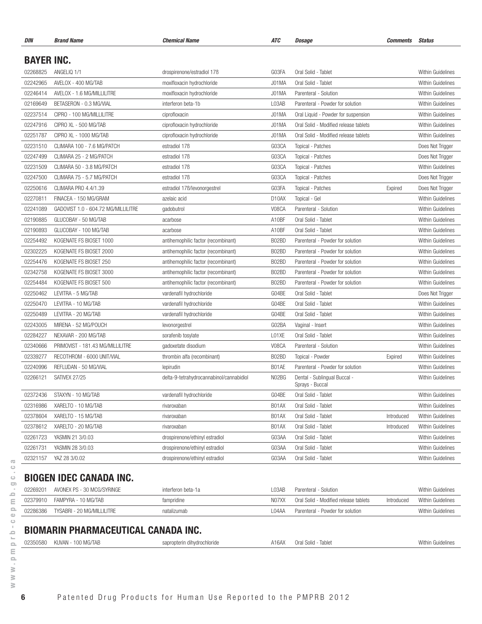| DIN               | <b>Brand Name</b>                          | <b>Chemical Name</b>                                     | ATC                | <b>Dosage</b>                                   | <b>Comments</b> Status |                          |
|-------------------|--------------------------------------------|----------------------------------------------------------|--------------------|-------------------------------------------------|------------------------|--------------------------|
| <b>BAYER INC.</b> |                                            |                                                          |                    |                                                 |                        |                          |
| 02268825          | ANGELIQ 1/1                                |                                                          | GO3FA              | Oral Solid - Tablet                             |                        | Within Guidelines        |
| 02242965          | AVELOX - 400 MG/TAB                        | drospirenone/estradiol 17B<br>moxifloxacin hydrochloride | J01MA              | Oral Solid - Tablet                             |                        | <b>Within Guidelines</b> |
| 02246414          | AVELOX - 1.6 MG/MILLILITRE                 | moxifloxacin hydrochloride                               | J01MA              | Parenteral - Solution                           |                        | Within Guidelines        |
| 02169649          | BETASERON - 0.3 MG/VIAL                    | interferon beta-1b                                       | L03AB              | Parenteral - Powder for solution                |                        | Within Guidelines        |
| 02237514          | CIPRO - 100 MG/MILLILITRE                  | ciprofloxacin                                            | J01MA              | Oral Liquid - Powder for suspension             |                        | Within Guidelines        |
| 02247916          | CIPRO XL - 500 MG/TAB                      | ciprofloxacin hydrochloride                              | J01MA              | Oral Solid - Modified release tablets           |                        | Within Guidelines        |
| 02251787          | CIPRO XL - 1000 MG/TAB                     | ciprofloxacin hydrochloride                              | J01MA              | Oral Solid - Modified release tablets           |                        | Within Guidelines        |
| 02231510          | CLIMARA 100 - 7.6 MG/PATCH                 | estradiol 17 <sub>B</sub>                                | G03CA              | Topical - Patches                               |                        | Does Not Trigger         |
| 02247499          | CLIMARA 25 - 2 MG/PATCH                    | estradiol 17 <sub>B</sub>                                | G03CA              | Topical - Patches                               |                        | Does Not Trigger         |
| 02231509          | CLIMARA 50 - 3.8 MG/PATCH                  | estradiol 17 <sub>B</sub>                                | G03CA              | Topical - Patches                               |                        | Within Guidelines        |
| 02247500          | CLIMARA 75 - 5.7 MG/PATCH                  | estradiol 17 <sub>B</sub>                                | G03CA              | Topical - Patches                               |                        | Does Not Trigger         |
| 02250616          | CLIMARA PRO 4.4/1.39                       | estradiol 17B/levonorgestrel                             | GO3FA              | Topical - Patches                               | Expired                | Does Not Trigger         |
| 02270811          | FINACEA - 150 MG/GRAM                      | azelaic acid                                             | D <sub>10</sub> AX | Topical - Gel                                   |                        | Within Guidelines        |
| 02241089          | GADOVIST 1.0 - 604.72 MG/MILLILITRE        | gadobutrol                                               | V08CA              | Parenteral - Solution                           |                        | Within Guidelines        |
| 02190885          | GLUCOBAY - 50 MG/TAB                       | acarbose                                                 | A10BF              | Oral Solid - Tablet                             |                        | <b>Within Guidelines</b> |
| 02190893          | GLUCOBAY - 100 MG/TAB                      | acarbose                                                 | A10BF              | Oral Solid - Tablet                             |                        | Within Guidelines        |
| 02254492          | KOGENATE FS BIOSET 1000                    | antihemophilic factor (recombinant)                      | B02BD              | Parenteral - Powder for solution                |                        | Within Guidelines        |
| 02302225          | KOGENATE FS BIOSET 2000                    | antihemophilic factor (recombinant)                      | B02BD              | Parenteral - Powder for solution                |                        | <b>Within Guidelines</b> |
| 02254476          | KOGENATE FS BIOSET 250                     | antihemophilic factor (recombinant)                      | B02BD              | Parenteral - Powder for solution                |                        | Within Guidelines        |
| 02342758          | KOGENATE FS BIOSET 3000                    | antihemophilic factor (recombinant)                      | B02BD              | Parenteral - Powder for solution                |                        | Within Guidelines        |
| 02254484          | KOGENATE FS BIOSET 500                     | antihemophilic factor (recombinant)                      | B02BD              | Parenteral - Powder for solution                |                        | Within Guidelines        |
| 02250462          | LEVITRA - 5 MG/TAB                         | vardenafil hydrochloride                                 | G04BE              | Oral Solid - Tablet                             |                        | Does Not Trigger         |
| 02250470          | LEVITRA - 10 MG/TAB                        | vardenafil hydrochloride                                 | G04BE              | Oral Solid - Tablet                             |                        | Within Guidelines        |
| 02250489          | LEVITRA - 20 MG/TAB                        | vardenafil hydrochloride                                 | GO4BE              | Oral Solid - Tablet                             |                        | Within Guidelines        |
| 02243005          | MIRENA - 52 MG/POUCH                       | levonorgestrel                                           | G02BA              | Vaginal - Insert                                |                        | Within Guidelines        |
| 02284227          | NEXAVAR - 200 MG/TAB                       | sorafenib tosylate                                       | L01XE              | Oral Solid - Tablet                             |                        | Within Guidelines        |
| 02340666          | PRIMOVIST - 181.43 MG/MILLILITRE           | gadoxetate disodium                                      | V08CA              | Parenteral - Solution                           |                        | Within Guidelines        |
| 02339277          | RECOTHROM - 6000 UNIT/VIAL                 | thrombin alfa (recombinant)                              | B02BD              | Topical - Powder                                | Expired                | Within Guidelines        |
| 02240996          | REFLUDAN - 50 MG/VIAL                      | lepirudin                                                | B01AE              | Parenteral - Powder for solution                |                        | Within Guidelines        |
| 02266121          | <b>SATIVEX 27/25</b>                       | delta-9-tetrahydrocannabinol/cannabidiol                 | N02BG              | Dental - Sublingual Buccal -<br>Sprays - Buccal |                        | <b>Within Guidelines</b> |
| 02372436          | STAXYN - 10 MG/TAB                         | vardenafil hydrochloride                                 | G04BE              | Oral Solid - Tablet                             |                        | <b>Within Guidelines</b> |
| 02316986          | XARELTO - 10 MG/TAB                        | rivaroxaban                                              | B01AX              | Oral Solid - Tablet                             |                        | Within Guidelines        |
| 02378604          | XARELTO - 15 MG/TAB                        | rivaroxaban                                              | B01AX              | Oral Solid - Tablet                             | Introduced             | <b>Within Guidelines</b> |
| 02378612          | XARELTO - 20 MG/TAB                        | rivaroxaban                                              | B01AX              | Oral Solid - Tablet                             | Introduced             | Within Guidelines        |
| 02261723          | YASMIN 21 3/0.03                           | drospirenone/ethinyl estradiol                           | G03AA              | Oral Solid - Tablet                             |                        | Within Guidelines        |
| 02261731          | YASMIN 28 3/0.03                           | drospirenone/ethinyl estradiol                           | G03AA              | Oral Solid - Tablet                             |                        | Within Guidelines        |
| 02321157          | YAZ 28 3/0.02                              | drospirenone/ethinyl estradiol                           | G03AA              | Oral Solid - Tablet                             |                        | Within Guidelines        |
|                   |                                            |                                                          |                    |                                                 |                        |                          |
|                   | <b>BIOGEN IDEC CANADA INC.</b>             |                                                          |                    |                                                 |                        |                          |
| 02269201          | AVONEX PS - 30 MCG/SYRINGE                 | interferon beta-1a                                       | L03AB              | Parenteral - Solution                           |                        | Within Guidelines        |
| 02379910          | FAMPYRA - 10 MG/TAB                        | fampridine                                               | N07XX              | Oral Solid - Modified release tablets           | Introduced             | Within Guidelines        |
| 02286386          | TYSABRI - 20 MG/MILLILITRE                 | natalizumab                                              | L04AA              | Parenteral - Powder for solution                |                        | <b>Within Guidelines</b> |
|                   |                                            |                                                          |                    |                                                 |                        |                          |
|                   | <b>BIOMARIN PHARMACEUTICAL CANADA INC.</b> |                                                          |                    |                                                 |                        |                          |
| 02350580          | KUVAN - 100 MG/TAB                         | sapropterin dihydrochloride                              | A16AX              | Oral Solid - Tablet                             |                        | Within Guidelines        |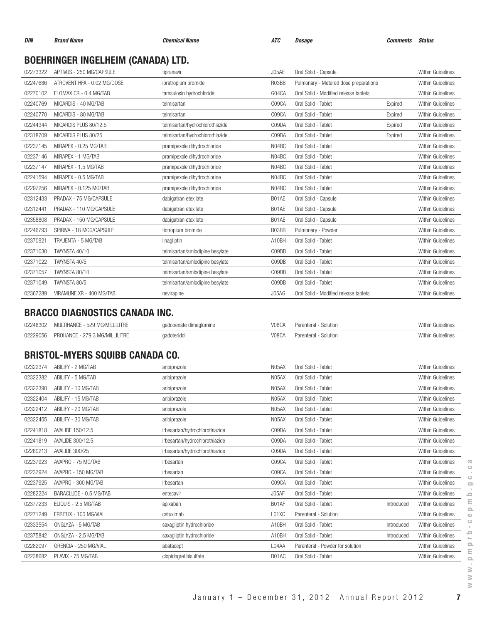| <b>DIN</b> | <b>Brand Name</b>                         | <b>Chemical Name</b>            | <b>ATC</b> | <b>Dosage</b>                         | Comments | <b>Status</b>            |
|------------|-------------------------------------------|---------------------------------|------------|---------------------------------------|----------|--------------------------|
|            | <b>BOEHRINGER INGELHEIM (CANADA) LTD.</b> |                                 |            |                                       |          |                          |
| 02273322   | APTIVUS - 250 MG/CAPSULE                  | tipranavir                      | J05AE      | Oral Solid - Capsule                  |          | <b>Within Guidelines</b> |
| 02247686   | ATROVENT HFA - 0.02 MG/DOSE               | ipratropium bromide             | R03BB      | Pulmonary - Metered dose preparations |          | Within Guidelines        |
| 02270102   | FLOMAX CR - 0.4 MG/TAB                    | tamsulosin hydrochloride        | G04CA      | Oral Solid - Modified release tablets |          | <b>Within Guidelines</b> |
| 02240769   | MICARDIS - 40 MG/TAB                      | telmisartan                     | C09CA      | Oral Solid - Tablet                   | Expired  | <b>Within Guidelines</b> |
| 02240770   | MICARDIS - 80 MG/TAB                      | telmisartan                     | C09CA      | Oral Solid - Tablet                   | Expired  | <b>Within Guidelines</b> |
| 02244344   | MICARDIS PLUS 80/12.5                     | telmisartan/hydrochlorothiazide | C09DA      | Oral Solid - Tablet                   | Expired  | <b>Within Guidelines</b> |
| 02318709   | MICARDIS PLUS 80/25                       | telmisartan/hydrochlorothiazide | C09DA      | Oral Solid - Tablet                   | Expired  | <b>Within Guidelines</b> |
| 02237145   | MIRAPEX - 0.25 MG/TAB                     | pramipexole dihydrochloride     | N04BC      | Oral Solid - Tablet                   |          | <b>Within Guidelines</b> |
| 02237146   | MIRAPEX - 1 MG/TAB                        | pramipexole dihydrochloride     | N04BC      | Oral Solid - Tablet                   |          | <b>Within Guidelines</b> |
| 02237147   | MIRAPEX - 1.5 MG/TAB                      | pramipexole dihydrochloride     | N04BC      | Oral Solid - Tablet                   |          | Within Guidelines        |
| 02241594   | MIRAPEX - 0.5 MG/TAB                      | pramipexole dihydrochloride     | N04BC      | Oral Solid - Tablet                   |          | <b>Within Guidelines</b> |
| 02297256   | MIRAPEX - 0.125 MG/TAB                    | pramipexole dihydrochloride     | N04BC      | Oral Solid - Tablet                   |          | Within Guidelines        |
| 02312433   | PRADAX - 75 MG/CAPSULE                    | dabigatran etexilate            | B01AE      | Oral Solid - Capsule                  |          | Within Guidelines        |
| 02312441   | PRADAX - 110 MG/CAPSULE                   | dabigatran etexilate            | B01AE      | Oral Solid - Capsule                  |          | <b>Within Guidelines</b> |
| 02358808   | PRADAX - 150 MG/CAPSULE                   | dabigatran etexilate            | B01AE      | Oral Solid - Capsule                  |          | <b>Within Guidelines</b> |
| 02246793   | SPIRIVA - 18 MCG/CAPSULE                  | tiotropium bromide              | R03BB      | Pulmonary - Powder                    |          | Within Guidelines        |
| 02370921   | TRAJENTA - 5 MG/TAB                       | linagliptin                     | A10BH      | Oral Solid - Tablet                   |          | <b>Within Guidelines</b> |
| 02371030   | TWYNSTA 40/10                             | telmisartan/amlodipine besylate | C09DB      | Oral Solid - Tablet                   |          | Within Guidelines        |
| 02371022   | TWYNSTA 40/5                              | telmisartan/amlodipine besylate | C09DB      | Oral Solid - Tablet                   |          | Within Guidelines        |
| 02371057   | TWYNSTA 80/10                             | telmisartan/amlodipine besylate | C09DB      | Oral Solid - Tablet                   |          | Within Guidelines        |
| 02371049   | TWYNSTA 80/5                              | telmisartan/amlodipine besylate | C09DB      | Oral Solid - Tablet                   |          | Within Guidelines        |
| 02367289   | VIRAMUNE XR - 400 MG/TAB                  | nevirapine                      | J05AG      | Oral Solid - Modified release tablets |          | <b>Within Guidelines</b> |
|            |                                           |                                 |            |                                       |          |                          |
|            | <b>BRACCO DIAGNOSTICS CANADA INC.</b>     |                                 |            |                                       |          |                          |
| 02248302   | MULTIHANCE - 529 MG/MILLILITRE            | gadobenate dimeglumine          | V08CA      | Parenteral - Solution                 |          | Within Guidelines        |
| 02229056   | PROHANCE - 279.3 MG/MILLILITRE            | gadoteridol                     | V08CA      | Parenteral - Solution                 |          | Within Guidelines        |
|            |                                           |                                 |            |                                       |          |                          |
|            | <b>BRISTOL-MYERS SQUIBB CANADA CO.</b>    |                                 |            |                                       |          |                          |

| 02322382<br>ABILIFY - 5 MG/TAB<br>Within Guidelines<br>aripiprazole<br>N05AX<br>Oral Solid - Tablet<br>Within Guidelines<br>02322390<br>ABILIFY - 10 MG/TAB<br>Oral Solid - Tablet<br>aripiprazole<br>N05AX<br>Within Guidelines<br>02322404<br>ABILIFY - 15 MG/TAB<br>aripiprazole<br>N05AX<br>Oral Solid - Tablet<br>Within Guidelines<br>Oral Solid - Tablet<br>02322412<br>ABILIFY - 20 MG/TAB<br>aripiprazole<br>N05AX<br>Oral Solid - Tablet<br>Within Guidelines<br>02322455<br>ABILIFY - 30 MG/TAB<br>aripiprazole<br>N05AX<br>irbesartan/hydrochlorothiazide<br>Within Guidelines<br>AVALIDE 150/12.5<br>Oral Solid - Tablet<br>02241818<br>C09DA<br>Within Guidelines<br>AVALIDE 300/12.5<br>irbesartan/hydrochlorothiazide<br>Oral Solid - Tablet<br>02241819<br>C09DA<br>Within Guidelines<br><b>AVALIDE 300/25</b><br>irbesartan/hydrochlorothiazide<br>Oral Solid - Tablet<br>02280213<br>C09DA<br>Within Guidelines<br>02237923<br>AVAPRO - 75 MG/TAB<br>irbesartan<br>C <sub>09</sub> CA<br>Oral Solid - Tablet<br>C09CA<br>Within Guidelines<br>02237924<br>AVAPRO - 150 MG/TAB<br>Oral Solid - Tablet<br>irbesartan<br>C09CA<br>Within Guidelines<br>02237925<br>AVAPRO - 300 MG/TAB<br>Oral Solid - Tablet<br>irbesartan<br>02282224<br>J05AF<br>Oral Solid - Tablet<br>Within Guidelines<br>BARACLUDE - 0.5 MG/TAB<br>entecavir<br>B01AF<br>Within Guidelines<br>02377233<br>ELIQUIS - 2.5 MG/TAB<br>Oral Solid - Tablet<br>apixaban<br>Introduced<br>02271249<br>ERBITUX - 100 MG/VIAL<br>L01XC<br>Parenteral - Solution<br><b>Within Guidelines</b><br>cetuximab<br>Within Guidelines<br>02333554<br>ONGLYZA - 5 MG/TAB<br>saxagliptin hydrochloride<br>A10BH<br>Oral Solid - Tablet<br>Introduced<br>Within Guidelines<br>02375842<br>ONGLYZA - 2.5 MG/TAB<br>saxagliptin hydrochloride<br>A10BH<br>Oral Solid - Tablet<br>Introduced<br>02282097<br>ORENCIA - 250 MG/VIAL<br>Parenteral - Powder for solution<br>Within Guidelines<br>L04AA<br>abatacept<br>02238682<br>PLAVIX - 75 MG/TAB<br>clopidogrel bisulfate<br>Oral Solid - Tablet<br>Within Guidelines<br>B01AC | 02322374 | ABILIFY - 2 MG/TAB | aripiprazole | N05AX | Oral Solid - Tablet | Within Guidelines |
|--------------------------------------------------------------------------------------------------------------------------------------------------------------------------------------------------------------------------------------------------------------------------------------------------------------------------------------------------------------------------------------------------------------------------------------------------------------------------------------------------------------------------------------------------------------------------------------------------------------------------------------------------------------------------------------------------------------------------------------------------------------------------------------------------------------------------------------------------------------------------------------------------------------------------------------------------------------------------------------------------------------------------------------------------------------------------------------------------------------------------------------------------------------------------------------------------------------------------------------------------------------------------------------------------------------------------------------------------------------------------------------------------------------------------------------------------------------------------------------------------------------------------------------------------------------------------------------------------------------------------------------------------------------------------------------------------------------------------------------------------------------------------------------------------------------------------------------------------------------------------------------------------------------------------------------------------------------------------------------------------------------------------------------------------------------------------------------------------|----------|--------------------|--------------|-------|---------------------|-------------------|
|                                                                                                                                                                                                                                                                                                                                                                                                                                                                                                                                                                                                                                                                                                                                                                                                                                                                                                                                                                                                                                                                                                                                                                                                                                                                                                                                                                                                                                                                                                                                                                                                                                                                                                                                                                                                                                                                                                                                                                                                                                                                                                  |          |                    |              |       |                     |                   |
|                                                                                                                                                                                                                                                                                                                                                                                                                                                                                                                                                                                                                                                                                                                                                                                                                                                                                                                                                                                                                                                                                                                                                                                                                                                                                                                                                                                                                                                                                                                                                                                                                                                                                                                                                                                                                                                                                                                                                                                                                                                                                                  |          |                    |              |       |                     |                   |
|                                                                                                                                                                                                                                                                                                                                                                                                                                                                                                                                                                                                                                                                                                                                                                                                                                                                                                                                                                                                                                                                                                                                                                                                                                                                                                                                                                                                                                                                                                                                                                                                                                                                                                                                                                                                                                                                                                                                                                                                                                                                                                  |          |                    |              |       |                     |                   |
|                                                                                                                                                                                                                                                                                                                                                                                                                                                                                                                                                                                                                                                                                                                                                                                                                                                                                                                                                                                                                                                                                                                                                                                                                                                                                                                                                                                                                                                                                                                                                                                                                                                                                                                                                                                                                                                                                                                                                                                                                                                                                                  |          |                    |              |       |                     |                   |
|                                                                                                                                                                                                                                                                                                                                                                                                                                                                                                                                                                                                                                                                                                                                                                                                                                                                                                                                                                                                                                                                                                                                                                                                                                                                                                                                                                                                                                                                                                                                                                                                                                                                                                                                                                                                                                                                                                                                                                                                                                                                                                  |          |                    |              |       |                     |                   |
|                                                                                                                                                                                                                                                                                                                                                                                                                                                                                                                                                                                                                                                                                                                                                                                                                                                                                                                                                                                                                                                                                                                                                                                                                                                                                                                                                                                                                                                                                                                                                                                                                                                                                                                                                                                                                                                                                                                                                                                                                                                                                                  |          |                    |              |       |                     |                   |
|                                                                                                                                                                                                                                                                                                                                                                                                                                                                                                                                                                                                                                                                                                                                                                                                                                                                                                                                                                                                                                                                                                                                                                                                                                                                                                                                                                                                                                                                                                                                                                                                                                                                                                                                                                                                                                                                                                                                                                                                                                                                                                  |          |                    |              |       |                     |                   |
|                                                                                                                                                                                                                                                                                                                                                                                                                                                                                                                                                                                                                                                                                                                                                                                                                                                                                                                                                                                                                                                                                                                                                                                                                                                                                                                                                                                                                                                                                                                                                                                                                                                                                                                                                                                                                                                                                                                                                                                                                                                                                                  |          |                    |              |       |                     |                   |
|                                                                                                                                                                                                                                                                                                                                                                                                                                                                                                                                                                                                                                                                                                                                                                                                                                                                                                                                                                                                                                                                                                                                                                                                                                                                                                                                                                                                                                                                                                                                                                                                                                                                                                                                                                                                                                                                                                                                                                                                                                                                                                  |          |                    |              |       |                     |                   |
|                                                                                                                                                                                                                                                                                                                                                                                                                                                                                                                                                                                                                                                                                                                                                                                                                                                                                                                                                                                                                                                                                                                                                                                                                                                                                                                                                                                                                                                                                                                                                                                                                                                                                                                                                                                                                                                                                                                                                                                                                                                                                                  |          |                    |              |       |                     |                   |
|                                                                                                                                                                                                                                                                                                                                                                                                                                                                                                                                                                                                                                                                                                                                                                                                                                                                                                                                                                                                                                                                                                                                                                                                                                                                                                                                                                                                                                                                                                                                                                                                                                                                                                                                                                                                                                                                                                                                                                                                                                                                                                  |          |                    |              |       |                     |                   |
|                                                                                                                                                                                                                                                                                                                                                                                                                                                                                                                                                                                                                                                                                                                                                                                                                                                                                                                                                                                                                                                                                                                                                                                                                                                                                                                                                                                                                                                                                                                                                                                                                                                                                                                                                                                                                                                                                                                                                                                                                                                                                                  |          |                    |              |       |                     |                   |
|                                                                                                                                                                                                                                                                                                                                                                                                                                                                                                                                                                                                                                                                                                                                                                                                                                                                                                                                                                                                                                                                                                                                                                                                                                                                                                                                                                                                                                                                                                                                                                                                                                                                                                                                                                                                                                                                                                                                                                                                                                                                                                  |          |                    |              |       |                     |                   |
|                                                                                                                                                                                                                                                                                                                                                                                                                                                                                                                                                                                                                                                                                                                                                                                                                                                                                                                                                                                                                                                                                                                                                                                                                                                                                                                                                                                                                                                                                                                                                                                                                                                                                                                                                                                                                                                                                                                                                                                                                                                                                                  |          |                    |              |       |                     |                   |
|                                                                                                                                                                                                                                                                                                                                                                                                                                                                                                                                                                                                                                                                                                                                                                                                                                                                                                                                                                                                                                                                                                                                                                                                                                                                                                                                                                                                                                                                                                                                                                                                                                                                                                                                                                                                                                                                                                                                                                                                                                                                                                  |          |                    |              |       |                     |                   |
|                                                                                                                                                                                                                                                                                                                                                                                                                                                                                                                                                                                                                                                                                                                                                                                                                                                                                                                                                                                                                                                                                                                                                                                                                                                                                                                                                                                                                                                                                                                                                                                                                                                                                                                                                                                                                                                                                                                                                                                                                                                                                                  |          |                    |              |       |                     |                   |
|                                                                                                                                                                                                                                                                                                                                                                                                                                                                                                                                                                                                                                                                                                                                                                                                                                                                                                                                                                                                                                                                                                                                                                                                                                                                                                                                                                                                                                                                                                                                                                                                                                                                                                                                                                                                                                                                                                                                                                                                                                                                                                  |          |                    |              |       |                     |                   |
|                                                                                                                                                                                                                                                                                                                                                                                                                                                                                                                                                                                                                                                                                                                                                                                                                                                                                                                                                                                                                                                                                                                                                                                                                                                                                                                                                                                                                                                                                                                                                                                                                                                                                                                                                                                                                                                                                                                                                                                                                                                                                                  |          |                    |              |       |                     |                   |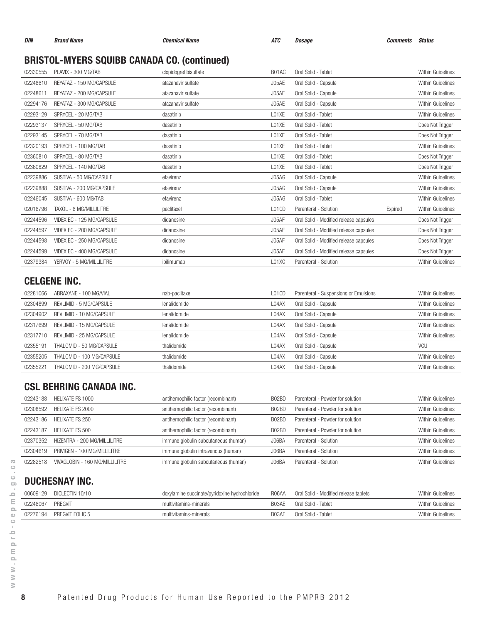| DIN<br>--<br>ATL<br>Dosade<br>Chemical Name<br>wame | <i>Somments</i> | Status |
|-----------------------------------------------------|-----------------|--------|
|-----------------------------------------------------|-----------------|--------|

## BRISTOL-MYERS SQUIBB CANADA CO. (continued)

| 02330555 | PLAVIX - 300 MG/TAB       | clopidogrel bisulfate | B01AC | Oral Solid - Tablet                    |         | Within Guidelines        |
|----------|---------------------------|-----------------------|-------|----------------------------------------|---------|--------------------------|
| 02248610 | REYATAZ - 150 MG/CAPSULE  | atazanavir sulfate    | J05AE | Oral Solid - Capsule                   |         | Within Guidelines        |
| 02248611 | REYATAZ - 200 MG/CAPSULE  | atazanavir sulfate    | J05AE | Oral Solid - Capsule                   |         | Within Guidelines        |
| 02294176 | REYATAZ - 300 MG/CAPSULE  | atazanavir sulfate    | J05AE | Oral Solid - Capsule                   |         | <b>Within Guidelines</b> |
| 02293129 | SPRYCEL - 20 MG/TAB       | dasatinib             | L01XE | Oral Solid - Tablet                    |         | Within Guidelines        |
| 02293137 | SPRYCEL - 50 MG/TAB       | dasatinib             | L01XE | Oral Solid - Tablet                    |         | Does Not Trigger         |
| 02293145 | SPRYCEL - 70 MG/TAB       | dasatinib             | L01XE | Oral Solid - Tablet                    |         | Does Not Trigger         |
| 02320193 | SPRYCEL - 100 MG/TAB      | dasatinib             | L01XE | Oral Solid - Tablet                    |         | Within Guidelines        |
| 02360810 | SPRYCEL - 80 MG/TAB       | dasatinib             | L01XE | Oral Solid - Tablet                    |         | Does Not Trigger         |
| 02360829 | SPRYCEL - 140 MG/TAB      | dasatinib             | L01XE | Oral Solid - Tablet                    |         | Does Not Trigger         |
| 02239886 | SUSTIVA - 50 MG/CAPSULE   | efavirenz             | J05AG | Oral Solid - Capsule                   |         | Within Guidelines        |
| 02239888 | SUSTIVA - 200 MG/CAPSULE  | efavirenz             | J05AG | Oral Solid - Capsule                   |         | Within Guidelines        |
| 02246045 | SUSTIVA - 600 MG/TAB      | efavirenz             | J05AG | Oral Solid - Tablet                    |         | Within Guidelines        |
| 02016796 | TAXOL - 6 MG/MILLILITRE   | paclitaxel            | L01CD | Parenteral - Solution                  | Expired | Within Guidelines        |
| 02244596 | VIDEX EC - 125 MG/CAPSULE | didanosine            | J05AF | Oral Solid - Modified release capsules |         | Does Not Trigger         |
| 02244597 | VIDEX EC - 200 MG/CAPSULE | didanosine            | J05AF | Oral Solid - Modified release capsules |         | Does Not Trigger         |
| 02244598 | VIDEX EC - 250 MG/CAPSULE | didanosine            | J05AF | Oral Solid - Modified release capsules |         | Does Not Trigger         |
| 02244599 | VIDEX EC - 400 MG/CAPSULE | didanosine            | J05AF | Oral Solid - Modified release capsules |         | Does Not Trigger         |
| 02379384 | YERVOY - 5 MG/MILLILITRE  | ipilimumab            | L01XC | Parenteral - Solution                  |         | Within Guidelines        |
|          |                           |                       |       |                                        |         |                          |

## CELGENE INC.

| 02281066 | ABRAXANE - 100 MG/VIAL    | nab-paclitaxel | L01CD | Parenteral - Suspensions or Emulsions | Within Guidelines |
|----------|---------------------------|----------------|-------|---------------------------------------|-------------------|
| 02304899 | REVILIMID - 5 MG/CAPSULE  | lenalidomide   | L04AX | Oral Solid - Capsule                  | Within Guidelines |
| 02304902 | REVILIMID - 10 MG/CAPSULE | lenalidomide   | L04AX | Oral Solid - Capsule                  | Within Guidelines |
| 02317699 | REVILIMID - 15 MG/CAPSULE | lenalidomide   | L04AX | Oral Solid - Capsule                  | Within Guidelines |
| 02317710 | REVILIMID - 25 MG/CAPSULE | lenalidomide   | L04AX | Oral Solid - Capsule                  | Within Guidelines |
| 02355191 | THALOMID - 50 MG/CAPSULE  | thalidomide    | L04AX | Oral Solid - Capsule                  | <b>VCU</b>        |
| 02355205 | THALOMID - 100 MG/CAPSULE | thalidomide    | L04AX | Oral Solid - Capsule                  | Within Guidelines |
| 02355221 | THALOMID - 200 MG/CAPSULE | thalidomide    | L04AX | Oral Solid - Capsule                  | Within Guidelines |
|          |                           |                |       |                                       |                   |

#### CSL BEHRING CANADA INC.

| 02243188 | HELIXATE FS 1000               | antihemophilic factor (recombinant)  | B02BD | Parenteral - Powder for solution | Within Guidelines        |
|----------|--------------------------------|--------------------------------------|-------|----------------------------------|--------------------------|
| 02308592 | HELIXATE FS 2000               | antihemophilic factor (recombinant)  | B02BD | Parenteral - Powder for solution | Within Guidelines        |
| 02243186 | HELIXATE FS 250                | antihemophilic factor (recombinant)  | B02BD | Parenteral - Powder for solution | <b>Within Guidelines</b> |
| 02243187 | HELIXATE FS 500                | antihemophilic factor (recombinant)  | B02BD | Parenteral - Powder for solution | Within Guidelines        |
| 02370352 | HIZENTRA - 200 MG/MILLILITRE   | immune globulin subcutaneous (human) | J06BA | Parenteral - Solution            | Within Guidelines        |
| 02304619 | PRIVIGEN - 100 MG/MILLILITRE   | immune globulin intravenous (human)  | J06BA | Parenteral - Solution            | <b>Within Guidelines</b> |
| 02282518 | VIVAGLOBIN - 160 MG/MILLILITRE | immune globulin subcutaneous (human) | J06BA | Parenteral - Solution            | Within Guidelines        |

#### DUCHESNAY INC.

| 00609129 | DICLECTIN 10/10 | doxylamine succinate/pyridoxine hydrochloride | R06AA | Oral Solid - Modified release tablets | Within Guidelines |
|----------|-----------------|-----------------------------------------------|-------|---------------------------------------|-------------------|
| 02246067 | PREGVIT         | multivitamins-minerals                        | B03AE | Oral Solid - Tablet                   | Within Guidelines |
| 02276194 | PREGVIT FOLIC 5 | multivitamins-minerals                        | B03AE | Oral Solid - Tablet                   | Within Guidelines |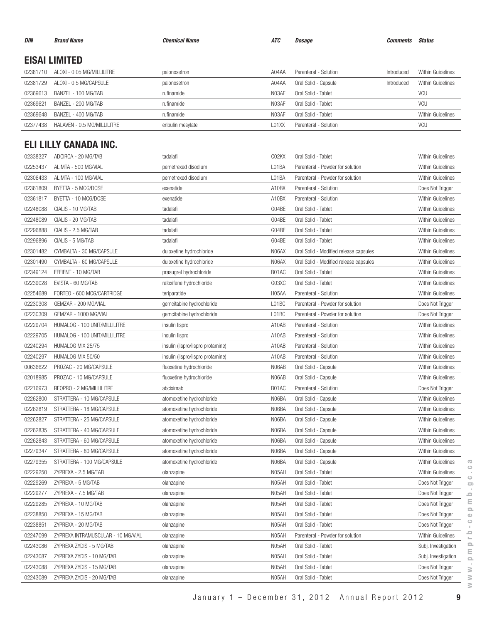| DIN      | <b>Brand Name</b>                  | <b>Chemical Name</b>              | ATC   | <b>Dosage</b>                          | <i><b>Comments</b></i> | <b>Status</b>            |
|----------|------------------------------------|-----------------------------------|-------|----------------------------------------|------------------------|--------------------------|
|          | <b>EISAI LIMITED</b>               |                                   |       |                                        |                        |                          |
| 02381710 | ALOXI - 0.05 MG/MILLILITRE         | palonosetron                      | A04AA | Parenteral - Solution                  | Introduced             | Within Guidelines        |
| 02381729 | ALOXI - 0.5 MG/CAPSULE             | palonosetron                      | A04AA | Oral Solid - Capsule                   | Introduced             | Within Guidelines        |
| 02369613 | BANZEL - 100 MG/TAB                | rufinamide                        | N03AF | Oral Solid - Tablet                    |                        | VCU                      |
| 02369621 | BANZEL - 200 MG/TAB                | rufinamide                        | N03AF | Oral Solid - Tablet                    |                        | VCU                      |
| 02369648 | BANZEL - 400 MG/TAB                | rufinamide                        | N03AF | Oral Solid - Tablet                    |                        | Within Guidelines        |
| 02377438 | HALAVEN - 0.5 MG/MILLILITRE        | eribulin mesylate                 | L01XX | Parenteral - Solution                  |                        | <b>VCU</b>               |
|          | ELI LILLY CANADA INC.              |                                   |       |                                        |                        |                          |
| 02338327 | ADCIRCA - 20 MG/TAB                | tadalafil                         | C02KX | Oral Solid - Tablet                    |                        | Within Guidelines        |
| 02253437 | ALIMTA - 500 MG/VIAL               | pemetrexed disodium               | L01BA | Parenteral - Powder for solution       |                        | Within Guidelines        |
| 02306433 | ALIMTA - 100 MG/VIAL               | pemetrexed disodium               | L01BA | Parenteral - Powder for solution       |                        | Within Guidelines        |
| 02361809 | BYETTA - 5 MCG/DOSE                | exenatide                         | A10BX | Parenteral - Solution                  |                        | Does Not Trigger         |
| 02361817 | BYETTA - 10 MCG/DOSE               | exenatide                         | A10BX | Parenteral - Solution                  |                        | Within Guidelines        |
| 02248088 | CIALIS - 10 MG/TAB                 | tadalafil                         | G04BE | Oral Solid - Tablet                    |                        | Within Guidelines        |
| 02248089 | CIALIS - 20 MG/TAB                 | tadalafil                         | GO4BE | Oral Solid - Tablet                    |                        | Within Guidelines        |
| 02296888 | CIALIS - 2.5 MG/TAB                | tadalafil                         | G04BE | Oral Solid - Tablet                    |                        | Within Guidelines        |
| 02296896 | CIALIS - 5 MG/TAB                  | tadalafil                         | G04BE | Oral Solid - Tablet                    |                        | Within Guidelines        |
| 02301482 | CYMBALTA - 30 MG/CAPSULE           | duloxetine hydrochloride          | N06AX | Oral Solid - Modified release capsules |                        | Within Guidelines        |
| 02301490 | CYMBALTA - 60 MG/CAPSULE           | duloxetine hydrochloride          | N06AX | Oral Solid - Modified release capsules |                        | Within Guidelines        |
| 02349124 | EFFIENT - 10 MG/TAB                | prasugrel hydrochloride           | B01AC | Oral Solid - Tablet                    |                        | Within Guidelines        |
| 02239028 | EVISTA - 60 MG/TAB                 | raloxifene hydrochloride          | G03XC | Oral Solid - Tablet                    |                        | Within Guidelines        |
| 02254689 | FORTEO - 600 MCG/CARTRIDGE         | teriparatide                      | H05AA | Parenteral - Solution                  |                        | Within Guidelines        |
| 02230308 | GEMZAR - 200 MG/VIAL               | gemcitabine hydrochloride         | L01BC | Parenteral - Powder for solution       |                        | Does Not Trigger         |
| 02230309 | GEMZAR - 1000 MG/VIAL              | gemcitabine hydrochloride         | L01BC | Parenteral - Powder for solution       |                        | Does Not Trigger         |
| 02229704 | HUMALOG - 100 UNIT/MILLILITRE      | insulin lispro                    | A10AB | Parenteral - Solution                  |                        | <b>Within Guidelines</b> |
| 02229705 | HUMALOG - 100 UNIT/MILLILITRE      | insulin lispro                    | A10AB | Parenteral - Solution                  |                        | Within Guidelines        |
| 02240294 | HUMALOG MIX 25/75                  | insulin (lispro/lispro protamine) | A10AB | Parenteral - Solution                  |                        | <b>Within Guidelines</b> |
| 02240297 | HUMALOG MIX 50/50                  | insulin (lispro/lispro protamine) | A10AB | Parenteral - Solution                  |                        | Within Guidelines        |
| 00636622 | PROZAC - 20 MG/CAPSULE             | fluoxetine hydrochloride          | N06AB | Oral Solid - Capsule                   |                        | Within Guidelines        |
| 02018985 | PROZAC - 10 MG/CAPSULE             | fluoxetine hydrochloride          | N06AB | Oral Solid - Capsule                   |                        | Within Guidelines        |
| 02216973 | REOPRO - 2 MG/MILLILITRE           | abciximab                         | B01AC | Parenteral - Solution                  |                        | Does Not Trigger         |
| 02262800 | STRATTERA - 10 MG/CAPSULE          | atomoxetine hydrochloride         | N06BA | Oral Solid - Capsule                   |                        | Within Guidelines        |
| 02262819 | STRATTERA - 18 MG/CAPSULE          | atomoxetine hydrochloride         | N06BA | Oral Solid - Capsule                   |                        | Within Guidelines        |
| 02262827 | STRATTERA - 25 MG/CAPSULE          | atomoxetine hydrochloride         | N06BA | Oral Solid - Capsule                   |                        | Within Guidelines        |
| 02262835 | STRATTERA - 40 MG/CAPSULE          | atomoxetine hydrochloride         | N06BA | Oral Solid - Capsule                   |                        | Within Guidelines        |
| 02262843 | STRATTERA - 60 MG/CAPSULE          | atomoxetine hydrochloride         | N06BA | Oral Solid - Capsule                   |                        | Within Guidelines        |
| 02279347 | STRATTERA - 80 MG/CAPSULE          | atomoxetine hydrochloride         | N06BA | Oral Solid - Capsule                   |                        | Within Guidelines        |
| 02279355 | STRATTERA - 100 MG/CAPSULE         | atomoxetine hydrochloride         | N06BA | Oral Solid - Capsule                   |                        | Within Guidelines        |
| 02229250 | ZYPREXA - 2.5 MG/TAB               | olanzapine                        | N05AH | Oral Solid - Tablet                    |                        | Within Guidelines        |
| 02229269 | ZYPREXA - 5 MG/TAB                 | olanzapine                        | N05AH | Oral Solid - Tablet                    |                        | Does Not Trigger         |
| 02229277 | ZYPREXA - 7.5 MG/TAB               | olanzapine                        | N05AH | Oral Solid - Tablet                    |                        | Does Not Trigger         |
| 02229285 | ZYPREXA - 10 MG/TAB                | olanzapine                        | N05AH | Oral Solid - Tablet                    |                        | Does Not Trigger         |
| 02238850 | ZYPREXA - 15 MG/TAB                | olanzapine                        | N05AH | Oral Solid - Tablet                    |                        | Does Not Trigger         |
| 02238851 | ZYPREXA - 20 MG/TAB                | olanzapine                        | N05AH | Oral Solid - Tablet                    |                        | Does Not Trigger         |
| 02247099 | ZYPREXA INTRAMUSCULAR - 10 MG/VIAL | olanzapine                        | N05AH | Parenteral - Powder for solution       |                        | Within Guidelines        |
| 02243086 | ZYPREXA ZYDIS - 5 MG/TAB           | olanzapine                        | N05AH | Oral Solid - Tablet                    |                        | Subj. Investigation      |
| 02243087 | ZYPREXA ZYDIS - 10 MG/TAB          | olanzapine                        | N05AH | Oral Solid - Tablet                    |                        | Subj. Investigation      |
| 02243088 | ZYPREXA ZYDIS - 15 MG/TAB          | olanzapine                        | N05AH | Oral Solid - Tablet                    |                        | Does Not Trigger         |
| 02243089 | ZYPREXA ZYDIS - 20 MG/TAB          | olanzapine                        | N05AH | Oral Solid - Tablet                    |                        | Does Not Trigger         |
|          |                                    |                                   |       |                                        |                        |                          |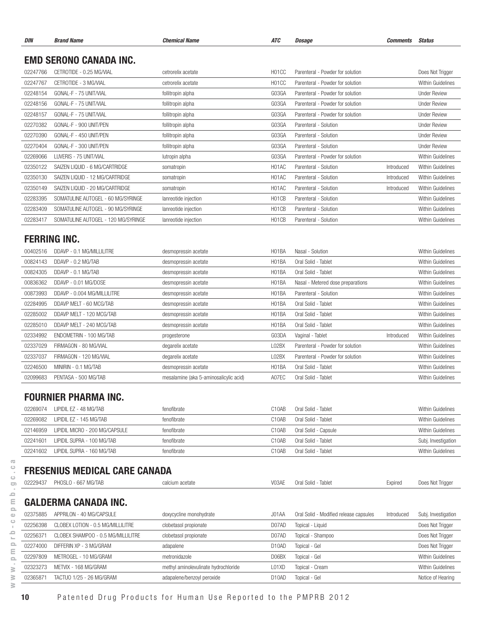| DIN      | <b>Brand Name</b>                                           | <b>Chemical Name</b>                   | ATC                | Dosage                                 | <i><b>Comments</b></i> | Status              |
|----------|-------------------------------------------------------------|----------------------------------------|--------------------|----------------------------------------|------------------------|---------------------|
|          | <b>EMD SERONO CANADA INC.</b>                               |                                        |                    |                                        |                        |                     |
| 02247766 | CETROTIDE - 0.25 MG/VIAL                                    | cetrorelix acetate                     | H <sub>01</sub> CC | Parenteral - Powder for solution       |                        | Does Not Trigger    |
| 02247767 | CETROTIDE - 3 MG/VIAL                                       | cetrorelix acetate                     | H <sub>01</sub> CC | Parenteral - Powder for solution       |                        | Within Guidelines   |
| 02248154 | GONAL-F - 75 UNIT/VIAL                                      | follitropin alpha                      | G03GA              | Parenteral - Powder for solution       |                        | <b>Under Review</b> |
| 02248156 | GONAL-F - 75 UNIT/VIAL                                      | follitropin alpha                      | G03GA              | Parenteral - Powder for solution       |                        | <b>Under Review</b> |
| 02248157 | GONAL-F - 75 UNIT/VIAL                                      | follitropin alpha                      | G03GA              | Parenteral - Powder for solution       |                        | <b>Under Review</b> |
| 02270382 | GONAL-F - 900 UNIT/PEN                                      | follitropin alpha                      | G03GA              | Parenteral - Solution                  |                        | <b>Under Review</b> |
| 02270390 | GONAL-F - 450 UNIT/PEN                                      | follitropin alpha                      | G03GA              | Parenteral - Solution                  |                        | <b>Under Review</b> |
| 02270404 | GONAL-F - 300 UNIT/PEN                                      | follitropin alpha                      | G03GA              | Parenteral - Solution                  |                        | <b>Under Review</b> |
| 02269066 | LUVERIS - 75 UNIT/VIAL                                      | lutropin alpha                         | G03GA              | Parenteral - Powder for solution       |                        | Within Guidelines   |
| 02350122 | SAIZEN LIQUID - 6 MG/CARTRIDGE                              | somatropin                             | H01AC              | Parenteral - Solution                  | Introduced             | Within Guidelines   |
| 02350130 | SAIZEN LIQUID - 12 MG/CARTRIDGE                             | somatropin                             | H01AC              | Parenteral - Solution                  | Introduced             | Within Guidelines   |
| 02350149 | SAIZEN LIQUID - 20 MG/CARTRIDGE                             | somatropin                             | H01AC              | Parenteral - Solution                  | Introduced             | Within Guidelines   |
| 02283395 | SOMATULINE AUTOGEL - 60 MG/SYRINGE                          | lanreotide injection                   | H <sub>01</sub> CB | Parenteral - Solution                  |                        | Within Guidelines   |
| 02283409 | SOMATULINE AUTOGEL - 90 MG/SYRINGE                          | lanreotide injection                   | H <sub>01</sub> CB | Parenteral - Solution                  |                        | Within Guidelines   |
| 02283417 | SOMATULINE AUTOGEL - 120 MG/SYRINGE                         | lanreotide injection                   | H <sub>01</sub> CB | Parenteral - Solution                  |                        | Within Guidelines   |
| 00402516 | <b>FERRING INC.</b><br>DDAVP - 0.1 MG/MILLILITRE            | desmopressin acetate                   | H <sub>01</sub> BA | Nasal - Solution                       |                        | Within Guidelines   |
| 00824143 | DDAVP - 0.2 MG/TAB                                          | desmopressin acetate                   | H01BA              | Oral Solid - Tablet                    |                        | Within Guidelines   |
| 00824305 | DDAVP - 0.1 MG/TAB                                          | desmopressin acetate                   | H01BA              | Oral Solid - Tablet                    |                        | Within Guidelines   |
| 00836362 | DDAVP - 0.01 MG/DOSE                                        | desmopressin acetate                   | H01BA              | Nasal - Metered dose preparations      |                        | Within Guidelines   |
| 00873993 | DDAVP - 0.004 MG/MILLILITRE                                 | desmopressin acetate                   | H01BA              | Parenteral - Solution                  |                        | Within Guidelines   |
| 02284995 | DDAVP MELT - 60 MCG/TAB                                     | desmopressin acetate                   | H01BA              | Oral Solid - Tablet                    |                        | Within Guidelines   |
| 02285002 | DDAVP MELT - 120 MCG/TAB                                    | desmopressin acetate                   | H <sub>01</sub> BA | Oral Solid - Tablet                    |                        | Within Guidelines   |
| 02285010 | DDAVP MELT - 240 MCG/TAB                                    | desmopressin acetate                   | H01BA              | Oral Solid - Tablet                    |                        | Within Guidelines   |
| 02334992 | ENDOMETRIN - 100 MG/TAB                                     | progesterone                           | G03DA              | Vaginal - Tablet                       | Introduced             | Within Guidelines   |
| 02337029 | FIRMAGON - 80 MG/VIAL                                       | degarelix acetate                      | L02BX              | Parenteral - Powder for solution       |                        | Within Guidelines   |
| 02337037 | FIRMAGON - 120 MG/VIAL                                      | degarelix acetate                      | L02BX              | Parenteral - Powder for solution       |                        | Within Guidelines   |
| 02246500 | MINIRIN - 0.1 MG/TAB                                        | desmopressin acetate                   | H01BA              | Oral Solid - Tablet                    |                        | Within Guidelines   |
| 02099683 | PENTASA - 500 MG/TAB                                        | mesalamine (aka 5-aminosalicylic acid) | A07EC              | Oral Solid - Tablet                    |                        | Within Guidelines   |
|          | <b>FOURNIER PHARMA INC.</b>                                 |                                        |                    |                                        |                        |                     |
| 02269074 | LIPIDIL EZ - 48 MG/TAB                                      | fenofibrate                            | C10AB              | Oral Solid - Tablet                    |                        | Within Guidelines   |
| 02269082 | LIPIDIL EZ - 145 MG/TAB                                     | fenofibrate                            | C10AB              | Oral Solid - Tablet                    |                        | Within Guidelines   |
| 02146959 | LIPIDIL MICRO - 200 MG/CAPSULE                              | fenofibrate                            | C10AB              | Oral Solid - Capsule                   |                        | Within Guidelines   |
| 02241601 | LIPIDIL SUPRA - 100 MG/TAB                                  | fenofibrate                            | C10AB              | Oral Solid - Tablet                    |                        | Subj. Investigation |
| 02241602 | LIPIDIL SUPRA - 160 MG/TAB                                  | fenofibrate                            | C <sub>10</sub> AB | Oral Solid - Tablet                    |                        | Within Guidelines   |
| 02229437 | <b>FRESENIUS MEDICAL CARE CANADA</b><br>PHOSLO - 667 MG/TAB | calcium acetate                        | V03AE              | Oral Solid - Tablet                    | Expired                | Does Not Trigger    |
|          |                                                             |                                        |                    |                                        |                        |                     |
| 02375885 | <b>GALDERMA CANADA INC.</b><br>APPRILON - 40 MG/CAPSULE     | doxycycline monohydrate                | J01AA              | Oral Solid - Modified release capsules | Introduced             | Subj. Investigation |
| 02256398 | CLOBEX LOTION - 0.5 MG/MILLILITRE                           | clobetasol propionate                  | D07AD              | Topical - Liquid                       |                        | Does Not Trigger    |
| 02256371 | CLOBEX SHAMPOO - 0.5 MG/MILLILITRE                          | clobetasol propionate                  | D07AD              | Topical - Shampoo                      |                        | Does Not Trigger    |
| 02274000 | DIFFERIN XP - 3 MG/GRAM                                     | adapalene                              | D <sub>10</sub> AD | Topical - Gel                          |                        | Does Not Trigger    |
| 02297809 | METROGEL - 10 MG/GRAM                                       | metronidazole                          | D06BX              | Topical - Gel                          |                        | Within Guidelines   |
| 02323273 | METVIX - 168 MG/GRAM                                        | methyl aminolevulinate hydrochloride   | L01XD              | Topical - Cream                        |                        | Within Guidelines   |
| 02365871 | TACTUO 1/25 - 26 MG/GRAM                                    | adapalene/benzoyl peroxide             | D <sub>10</sub> AD | Topical - Gel                          |                        | Notice of Hearing   |
|          |                                                             |                                        |                    |                                        |                        |                     |
|          |                                                             |                                        |                    |                                        |                        |                     |

Patented Drug Products for Human Use Reported to the PMPRB 2012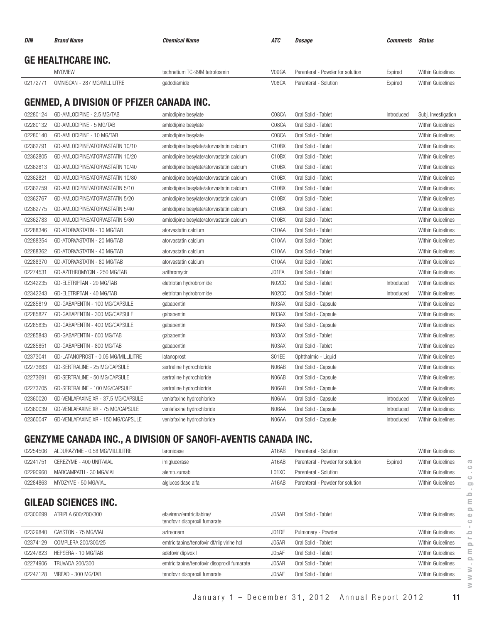| DIN      | <b>Brand Name</b>                               | <b>Chemical Name</b>                     | <b>ATC</b> | <b>Dosage</b>                    | <b>Comments</b> | <b>Status</b>            |
|----------|-------------------------------------------------|------------------------------------------|------------|----------------------------------|-----------------|--------------------------|
|          | <b>GE HEALTHCARE INC.</b>                       |                                          |            |                                  |                 |                          |
|          | <b>MYOVIEW</b>                                  | technetium TC-99M tetrofosmin            | V09GA      | Parenteral - Powder for solution | Expired         | Within Guidelines        |
| 02172771 | OMNISCAN - 287 MG/MILLILITRE                    | gadodiamide                              | V08CA      | Parenteral - Solution            | Expired         | Within Guidelines        |
|          |                                                 |                                          |            |                                  |                 |                          |
|          | <b>GENMED, A DIVISION OF PFIZER CANADA INC.</b> |                                          |            |                                  |                 |                          |
| 02280124 | GD-AMLODIPINE - 2.5 MG/TAB                      | amlodipine besylate                      | C08CA      | Oral Solid - Tablet              | Introduced      | Subj. Investigation      |
| 02280132 | GD-AMLODIPINE - 5 MG/TAB                        | amlodipine besylate                      | C08CA      | Oral Solid - Tablet              |                 | <b>Within Guidelines</b> |
| 02280140 | GD-AMLODIPINE - 10 MG/TAB                       | amlodipine besylate                      | C08CA      | Oral Solid - Tablet              |                 | <b>Within Guidelines</b> |
| 02362791 | GD-AMLODIPINE/ATORVASTATIN 10/10                | amlodipine besylate/atorvastatin calcium | C10BX      | Oral Solid - Tablet              |                 | Within Guidelines        |
| 02362805 | GD-AMLODIPINE/ATORVASTATIN 10/20                | amlodipine besylate/atorvastatin calcium | C10BX      | Oral Solid - Tablet              |                 | Within Guidelines        |
| 02362813 | GD-AMLODIPINE/ATORVASTATIN 10/40                | amlodipine besylate/atorvastatin calcium | C10BX      | Oral Solid - Tablet              |                 | Within Guidelines        |
| 02362821 | GD-AMLODIPINE/ATORVASTATIN 10/80                | amlodipine besylate/atorvastatin calcium | C10BX      | Oral Solid - Tablet              |                 | Within Guidelines        |
| 02362759 | GD-AMLODIPINE/ATORVASTATIN 5/10                 | amlodipine besylate/atorvastatin calcium | C10BX      | Oral Solid - Tablet              |                 | Within Guidelines        |
| 02362767 | GD-AMLODIPINE/ATORVASTATIN 5/20                 | amlodipine besylate/atorvastatin calcium | C10BX      | Oral Solid - Tablet              |                 | Within Guidelines        |
| 02362775 | GD-AMLODIPINE/ATORVASTATIN 5/40                 | amlodipine besylate/atorvastatin calcium | C10BX      | Oral Solid - Tablet              |                 | Within Guidelines        |
| 02362783 | GD-AMLODIPINE/ATORVASTATIN 5/80                 | amlodipine besylate/atorvastatin calcium | C10BX      | Oral Solid - Tablet              |                 | Within Guidelines        |
| 02288346 | GD-ATORVASTATIN - 10 MG/TAB                     | atorvastatin calcium                     | C10AA      | Oral Solid - Tablet              |                 | Within Guidelines        |
| 02288354 | GD-ATORVASTATIN - 20 MG/TAB                     | atorvastatin calcium                     | C10AA      | Oral Solid - Tablet              |                 | <b>Within Guidelines</b> |
| 02288362 | GD-ATORVASTATIN - 40 MG/TAB                     | atorvastatin calcium                     | C10AA      | Oral Solid - Tablet              |                 | Within Guidelines        |
| 02288370 | GD-ATORVASTATIN - 80 MG/TAB                     | atorvastatin calcium                     | C10AA      | Oral Solid - Tablet              |                 | Within Guidelines        |
| 02274531 | GD-AZITHROMYCIN - 250 MG/TAB                    | azithromycin                             | J01FA      | Oral Solid - Tablet              |                 | Within Guidelines        |
| 02342235 | GD-ELETRIPTAN - 20 MG/TAB                       | eletriptan hydrobromide                  | N02CC      | Oral Solid - Tablet              | Introduced      | Within Guidelines        |
| 02342243 | GD-ELETRIPTAN - 40 MG/TAB                       | eletriptan hydrobromide                  | N02CC      | Oral Solid - Tablet              | Introduced      | Within Guidelines        |
| 02285819 | GD-GABAPENTIN - 100 MG/CAPSULE                  | gabapentin                               | N03AX      | Oral Solid - Capsule             |                 | Within Guidelines        |
| 02285827 | GD-GABAPENTIN - 300 MG/CAPSULE                  | gabapentin                               | N03AX      | Oral Solid - Capsule             |                 | Within Guidelines        |
| 02285835 | GD-GABAPENTIN - 400 MG/CAPSULE                  | gabapentin                               | N03AX      | Oral Solid - Capsule             |                 | Within Guidelines        |
| 02285843 | GD-GABAPENTIN - 600 MG/TAB                      | gabapentin                               | N03AX      | Oral Solid - Tablet              |                 | Within Guidelines        |
| 02285851 | GD-GABAPENTIN - 800 MG/TAB                      | gabapentin                               | N03AX      | Oral Solid - Tablet              |                 | Within Guidelines        |
| 02373041 | GD-LATANOPROST - 0.05 MG/MILLILITRE             | latanoprost                              | S01EE      | Ophthalmic - Liquid              |                 | Within Guidelines        |
| 02273683 | GD-SERTRALINE - 25 MG/CAPSULE                   | sertraline hydrochloride                 | N06AB      | Oral Solid - Capsule             |                 | Within Guidelines        |
| 02273691 | GD-SERTRALINE - 50 MG/CAPSULE                   | sertraline hydrochloride                 | N06AB      | Oral Solid - Capsule             |                 | <b>Within Guidelines</b> |
| 02273705 | GD-SERTRALINE - 100 MG/CAPSULE                  | sertraline hydrochloride                 | N06AB      | Oral Solid - Capsule             |                 | Within Guidelines        |
| 02360020 | GD-VENLAFAXINE XR - 37.5 MG/CAPSULE             | venlafaxine hydrochloride                | N06AA      | Oral Solid - Capsule             | Introduced      | Within Guidelines        |
| 02360039 | GD-VENLAFAXINE XR - 75 MG/CAPSULE               | venlafaxine hydrochloride                | N06AA      | Oral Solid - Capsule             | Introduced      | Within Guidelines        |
| 02360047 | GD-VENLAFAXINE XR - 150 MG/CAPSULE              | venlafaxine hydrochloride                | N06AA      | Oral Solid - Capsule             | Introduced      | Within Guidelines        |
|          |                                                 |                                          |            |                                  |                 |                          |

# GENZYME CANADA INC., A DIVISION OF SANOFI-AVENTIS CANADA INC.<br>ALGORAGOG ALDURAZYME - O 58 MG/MILLILITRE LAGORICAL SOLUTION ALGAR Parenteral - Solution

| 02254506 | ALDURAZYME - 0.58 MG/MILLILITRE | laronidase                                                | A16AB | Parenteral - Solution                       | Within Guidelines |
|----------|---------------------------------|-----------------------------------------------------------|-------|---------------------------------------------|-------------------|
| 02241751 | CEREZYME - 400 UNIT/VIAL        | imiglucerase                                              | A16AB | Parenteral - Powder for solution<br>Expired | Within Guidelines |
| 02290960 | MABCAMPATH - 30 MG/VIAL         | alemtuzumab                                               | L01XC | Parenteral - Solution                       | Within Guidelines |
| 02284863 | MYOZYME - 50 MG/VIAL            | alglucosidase alfa                                        | A16AB | Parenteral - Powder for solution            | Within Guidelines |
|          | <b>GILEAD SCIENCES INC.</b>     |                                                           |       |                                             |                   |
| 02300699 | ATRIPLA 600/200/300             | efavirenz/emtricitabine/<br>tenofovir disoproxil fumarate | J05AR | Oral Solid - Tablet                         | Within Guidelines |
| 02329840 | CAYSTON - 75 MG/VIAL            | aztreonam                                                 | J01DF | Pulmonary - Powder                          | Within Guidelines |
| 02374129 | COMPLERA 200/300/25             | emtricitabine/tenofovir df/rilpivirine hcl                | J05AR | Oral Solid - Tablet                         | Within Guidelines |
| 02247823 | HEPSERA - 10 MG/TAB             | adefovir dipivoxil                                        | J05AF | Oral Solid - Tablet                         | Within Guidelines |
| 02274906 | <b>TRUVADA 200/300</b>          | emtricitabine/tenofovir disoproxil fumarate               | J05AR | Oral Solid - Tablet                         | Within Guidelines |
| 02247128 | VIREAD - 300 MG/TAB             | tenofovir disoproxil fumarate                             | J05AF | Oral Solid - Tablet                         | Within Guidelines |
|          |                                 |                                                           |       |                                             |                   |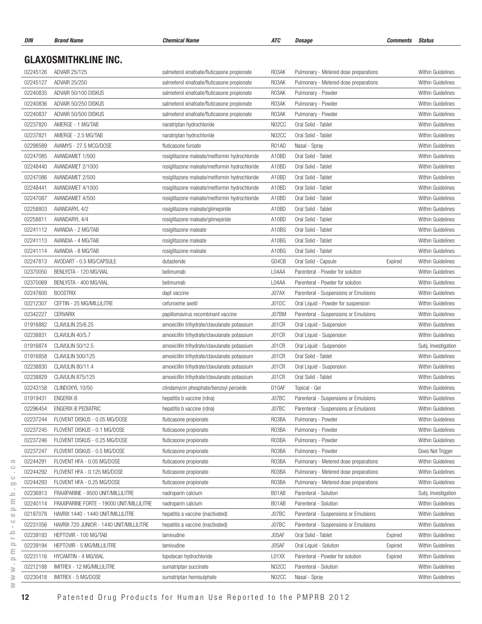| DIN      | <b>Brand Name</b>                         | <b>Chemical Name</b>                          | <b>ATC</b> | Dosage                                | <b>Comments</b> | <b>Status</b>            |  |  |
|----------|-------------------------------------------|-----------------------------------------------|------------|---------------------------------------|-----------------|--------------------------|--|--|
|          | <b>GLAXOSMITHKLINE INC.</b>               |                                               |            |                                       |                 |                          |  |  |
| 02245126 | ADVAIR 25/125                             | salmeterol xinafoate/fluticasone propionate   | R03AK      | Pulmonary - Metered dose preparations |                 | Within Guidelines        |  |  |
| 02245127 | <b>ADVAIR 25/250</b>                      | salmeterol xinafoate/fluticasone propionate   | R03AK      | Pulmonary - Metered dose preparations |                 | Within Guidelines        |  |  |
| 02240835 | ADVAIR 50/100 DISKUS                      | salmeterol xinafoate/fluticasone propionate   | R03AK      | Pulmonary - Powder                    |                 | Within Guidelines        |  |  |
| 02240836 | ADVAIR 50/250 DISKUS                      | salmeterol xinafoate/fluticasone propionate   | R03AK      | Pulmonary - Powder                    |                 | Within Guidelines        |  |  |
| 02240837 | ADVAIR 50/500 DISKUS                      | salmeterol xinafoate/fluticasone propionate   | R03AK      | Pulmonary - Powder                    |                 | Within Guidelines        |  |  |
| 02237820 | AMERGE - 1 MG/TAB                         | naratriptan hydrochloride                     | N02CC      | Oral Solid - Tablet                   |                 | Within Guidelines        |  |  |
| 02237821 | AMERGE - 2.5 MG/TAB                       | naratriptan hydrochloride                     | N02CC      | Oral Solid - Tablet                   |                 | Within Guidelines        |  |  |
| 02298589 | AVAMYS - 27.5 MCG/DOSE                    | fluticasone furoate                           | R01AD      | Nasal - Spray                         |                 | Within Guidelines        |  |  |
| 02247085 | AVANDAMET 1/500                           | rosiglitazone maleate/metformin hydrochloride | A10BD      | Oral Solid - Tablet                   |                 | Within Guidelines        |  |  |
| 02248440 | AVANDAMET 2/1000                          | rosiglitazone maleate/metformin hydrochloride | A10BD      | Oral Solid - Tablet                   |                 | Within Guidelines        |  |  |
| 02247086 | AVANDAMET 2/500                           | rosiglitazone maleate/metformin hydrochloride | A10BD      | Oral Solid - Tablet                   |                 | Within Guidelines        |  |  |
| 02248441 | AVANDAMET 4/1000                          | rosiglitazone maleate/metformin hydrochloride | A10BD      | Oral Solid - Tablet                   |                 | Within Guidelines        |  |  |
| 02247087 | AVANDAMET 4/500                           | rosiglitazone maleate/metformin hydrochloride | A10BD      | Oral Solid - Tablet                   |                 | Within Guidelines        |  |  |
| 02258803 | AVANDARYL 4/2                             | rosiglitazone maleate/glimepiride             | A10BD      | Oral Solid - Tablet                   |                 | Within Guidelines        |  |  |
| 02258811 | <b>AVANDARYL 4/4</b>                      | rosiglitazone maleate/glimepiride             | A10BD      | Oral Solid - Tablet                   |                 | Within Guidelines        |  |  |
| 02241112 | AVANDIA - 2 MG/TAB                        | rosiglitazone maleate                         | A10BG      | Oral Solid - Tablet                   |                 | Within Guidelines        |  |  |
| 02241113 | AVANDIA - 4 MG/TAB                        | rosiglitazone maleate                         | A10BG      | Oral Solid - Tablet                   |                 | Within Guidelines        |  |  |
| 02241114 | AVANDIA - 8 MG/TAB                        | rosiglitazone maleate                         | A10BG      | Oral Solid - Tablet                   |                 | Within Guidelines        |  |  |
| 02247813 | AVODART - 0.5 MG/CAPSULE                  | dutasteride                                   | G04CB      | Oral Solid - Capsule                  | Expired         | Within Guidelines        |  |  |
| 02370050 | BENLYSTA - 120 MG/VIAL                    | belimumab                                     | L04AA      | Parenteral - Powder for solution      |                 | Within Guidelines        |  |  |
| 02370069 | BENLYSTA - 400 MG/VIAL                    | belimumab                                     | L04AA      | Parenteral - Powder for solution      |                 | Within Guidelines        |  |  |
| 02247600 | <b>BOOSTRIX</b>                           | dapt vaccine                                  | J07AX      | Parenteral - Suspensions or Emulsions |                 | Within Guidelines        |  |  |
| 02212307 | CEFTIN - 25 MG/MILLILITRE                 | cefuroxime axetil                             | J01DC      | Oral Liquid - Powder for suspension   |                 | Within Guidelines        |  |  |
| 02342227 | <b>CERVARIX</b>                           | papillomavirus recombinant vaccine            | J07BM      | Parenteral - Suspensions or Emulsions |                 | Within Guidelines        |  |  |
| 01916882 | CLAVULIN 25/6.25                          | amoxicillin trihydrate/clavulanate potassium  | J01CR      | Oral Liquid - Suspension              |                 | Within Guidelines        |  |  |
| 02238831 | CLAVULIN 40/5.7                           | amoxicillin trihydrate/clavulanate potassium  | J01CR      | Oral Liquid - Suspension              |                 | Within Guidelines        |  |  |
| 01916874 | <b>CLAVULIN 50/12.5</b>                   | amoxicillin trihydrate/clavulanate potassium  | J01CR      | Oral Liquid - Suspension              |                 | Subj. Investigation      |  |  |
| 01916858 | <b>CLAVULIN 500/125</b>                   | amoxicillin trihydrate/clavulanate potassium  | J01CR      | Oral Solid - Tablet                   |                 | Within Guidelines        |  |  |
| 02238830 | CLAVULIN 80/11.4                          | amoxicillin trihydrate/clavulanate potassium  | J01CR      | Oral Liquid - Suspension              |                 | Within Guidelines        |  |  |
| 02238829 | CLAVULIN 875/125                          | amoxicillin trihydrate/clavulanate potassium  | J01CR      | Oral Solid - Tablet                   |                 | Within Guidelines        |  |  |
| 02243158 | CLINDOXYL 10/50                           | clindamycin phosphate/benzoyl peroxide        | D10AF      | Topical - Gel                         |                 | <b>Within Guidelines</b> |  |  |
| 01919431 | ENGERIX-B                                 | hepatitis b vaccine (rdna)                    | J07BC      | Parenteral - Suspensions or Emulsions |                 | Within Guidelines        |  |  |
| 02296454 | <b>ENGERIX-B PEDIATRIC</b>                | hepatitis b vaccine (rdna)                    | J07BC      | Parenteral - Suspensions or Emulsions |                 | Within Guidelines        |  |  |
| 02237244 | FLOVENT DISKUS - 0.05 MG/DOSE             | fluticasone propionate                        | R03BA      | Pulmonary - Powder                    |                 | Within Guidelines        |  |  |
| 02237245 | FLOVENT DISKUS - 0.1 MG/DOSE              | fluticasone propionate                        | R03BA      | Pulmonary - Powder                    |                 | Within Guidelines        |  |  |
| 02237246 | FLOVENT DISKUS - 0.25 MG/DOSE             | fluticasone propionate                        | R03BA      | Pulmonary - Powder                    |                 | Within Guidelines        |  |  |
| 02237247 | FLOVENT DISKUS - 0.5 MG/DOSE              | fluticasone propionate                        | R03BA      | Pulmonary - Powder                    |                 | Does Not Trigger         |  |  |
| 02244291 | FLOVENT HFA - 0.05 MG/DOSE                | fluticasone propionate                        | R03BA      | Pulmonary - Metered dose preparations |                 | Within Guidelines        |  |  |
| 02244292 | FLOVENT HFA - 0.125 MG/DOSE               | fluticasone propionate                        | R03BA      | Pulmonary - Metered dose preparations |                 | Within Guidelines        |  |  |
| 02244293 | FLOVENT HFA - 0.25 MG/DOSE                | fluticasone propionate                        | R03BA      | Pulmonary - Metered dose preparations |                 | Within Guidelines        |  |  |
| 02236913 | FRAXIPARINE - 9500 UNIT/MILLILITRE        | nadroparin calcium                            | B01AB      | Parenteral - Solution                 |                 | Subj. Investigation      |  |  |
| 02240114 | FRAXIPARINE FORTE - 19000 UNIT/MILLILITRE | nadroparin calcium                            | B01AB      | Parenteral - Solution                 |                 | Within Guidelines        |  |  |
| 02187078 | HAVRIX 1440 - 1440 UNIT/MILLILITRE        | hepatitis a vaccine (inactivated)             | J07BC      | Parenteral - Suspensions or Emulsions |                 | Within Guidelines        |  |  |
| 02231056 | HAVRIX 720 JUNIOR - 1440 UNIT/MILLILITRE  | hepatitis a vaccine (inactivated)             | J07BC      | Parenteral - Suspensions or Emulsions |                 | Within Guidelines        |  |  |
| 02239193 | HEPTOVIR - 100 MG/TAB                     | lamivudine                                    | J05AF      | Oral Solid - Tablet                   | Expired         | Within Guidelines        |  |  |
| 02239194 | HEPTOVIR - 5 MG/MILLILITRE                | lamivudine                                    | J05AF      | Oral Liquid - Solution                | Expired         | Within Guidelines        |  |  |
| 02231116 | HYCAMTIN - 4 MG/VIAL                      | topotecan hydrochloride                       | L01XX      | Parenteral - Powder for solution      | Expired         | Within Guidelines        |  |  |
| 02212188 | IMITREX - 12 MG/MILLILITRE                | sumatriptan succinate                         | N02CC      | Parenteral - Solution                 |                 | Within Guidelines        |  |  |
| 02230418 | IMITREX - 5 MG/DOSE                       | sumatriptan hemisulphate                      | N02CC      | Nasal - Spray                         |                 | Within Guidelines        |  |  |
|          |                                           |                                               |            |                                       |                 |                          |  |  |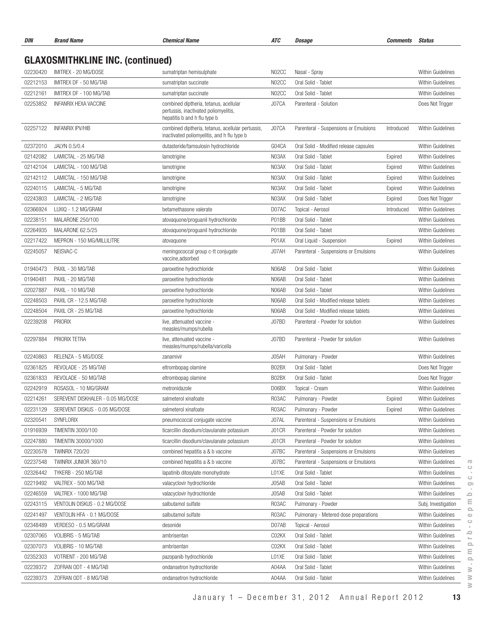| DIN      | <b>Brand Name</b>                       | <b>Chemical Name</b>                                                                                            | ATC   | <b>Dosage</b>                          | <i><b>Comments</b></i> | <b>Status</b>            |
|----------|-----------------------------------------|-----------------------------------------------------------------------------------------------------------------|-------|----------------------------------------|------------------------|--------------------------|
|          | <b>GLAXOSMITHKLINE INC. (continued)</b> |                                                                                                                 |       |                                        |                        |                          |
| 02230420 | IMITREX - 20 MG/DOSE                    | sumatriptan hemisulphate                                                                                        | N02CC | Nasal - Spray                          |                        | Within Guidelines        |
| 02212153 | IMITREX DF - 50 MG/TAB                  | sumatriptan succinate                                                                                           | N02CC | Oral Solid - Tablet                    |                        | Within Guidelines        |
| 02212161 | IMITREX DF - 100 MG/TAB                 | sumatriptan succinate                                                                                           | N02CC | Oral Solid - Tablet                    |                        | Within Guidelines        |
| 02253852 | <b>INFANRIX HEXA VACCINE</b>            | combined diptheria, tetanus, acellular<br>pertussis, inactivated poliomyelitis,<br>hepatitis b and h flu type b | J07CA | Parenteral - Solution                  |                        | Does Not Trigger         |
| 02257122 | <b>INFANRIX IPV/HIB</b>                 | combined diptheria, tetanus, acellular pertussis,<br>inactivated poliomyelitis, and h flu type b                | J07CA | Parenteral - Suspensions or Emulsions  | Introduced             | <b>Within Guidelines</b> |
| 02372010 | JALYN 0.5/0.4                           | dutasteride/tamsulosin hydrochloride                                                                            | G04CA | Oral Solid - Modified release capsules |                        | Within Guidelines        |
| 02142082 | LAMICTAL - 25 MG/TAB                    | lamotrigine                                                                                                     | N03AX | Oral Solid - Tablet                    | Expired                | Within Guidelines        |
| 02142104 | LAMICTAL - 100 MG/TAB                   | lamotrigine                                                                                                     | N03AX | Oral Solid - Tablet                    | Expired                | Within Guidelines        |
| 02142112 | LAMICTAL - 150 MG/TAB                   | lamotrigine                                                                                                     | N03AX | Oral Solid - Tablet                    | Expired                | Within Guidelines        |
| 02240115 | LAMICTAL - 5 MG/TAB                     | lamotrigine                                                                                                     | N03AX | Oral Solid - Tablet                    | Expired                | Within Guidelines        |
| 02243803 | LAMICTAL - 2 MG/TAB                     | lamotrigine                                                                                                     | N03AX | Oral Solid - Tablet                    | Expired                | Does Not Trigger         |
| 02366924 | LUXIQ - 1.2 MG/GRAM                     | betamethasone valerate                                                                                          | D07AC | Topical - Aerosol                      | Introduced             | <b>Within Guidelines</b> |
| 02238151 | MALARONE 250/100                        | atovaquone/proquanil hydrochloride                                                                              | P01BB | Oral Solid - Tablet                    |                        | Within Guidelines        |
| 02264935 | MALARONE 62.5/25                        | atovaquone/proguanil hydrochloride                                                                              | P01BB | Oral Solid - Tablet                    |                        | Within Guidelines        |
| 02217422 | MEPRON - 150 MG/MILLILITRE              | atovaguone                                                                                                      | P01AX | Oral Liquid - Suspension               | Expired                | Within Guidelines        |
| 02245057 | NEISVAC-C                               | meningococcal group c-tt conjugate<br>vaccine, adsorbed                                                         | J07AH | Parenteral - Suspensions or Emulsions  |                        | Within Guidelines        |
| 01940473 | PAXIL - 30 MG/TAB                       | paroxetine hydrochloride                                                                                        | N06AB | Oral Solid - Tablet                    |                        | Within Guidelines        |
| 01940481 | PAXIL - 20 MG/TAB                       | paroxetine hydrochloride                                                                                        | N06AB | Oral Solid - Tablet                    |                        | Within Guidelines        |
| 02027887 | PAXIL - 10 MG/TAB                       | paroxetine hydrochloride                                                                                        | N06AB | Oral Solid - Tablet                    |                        | Within Guidelines        |
| 02248503 | PAXIL CR - 12.5 MG/TAB                  | paroxetine hydrochloride                                                                                        | N06AB | Oral Solid - Modified release tablets  |                        | Within Guidelines        |
| 02248504 | PAXIL CR - 25 MG/TAB                    | paroxetine hydrochloride                                                                                        | N06AB | Oral Solid - Modified release tablets  |                        | Within Guidelines        |
| 02239208 | <b>PRIORIX</b>                          | live, attenuated vaccine -<br>measles/mumps/rubella                                                             | J07BD | Parenteral - Powder for solution       |                        | Within Guidelines        |
| 02297884 | PRIORIX TETRA                           | live, attenuated vaccine -<br>measles/mumps/rubella/varicella                                                   | J07BD | Parenteral - Powder for solution       |                        | Within Guidelines        |
| 02240863 | RELENZA - 5 MG/DOSE                     | zanamivir                                                                                                       | J05AH | Pulmonary - Powder                     |                        | Within Guidelines        |
| 02361825 | REVOLADE - 25 MG/TAB                    | eltrombopag olamine                                                                                             | B02BX | Oral Solid - Tablet                    |                        | Does Not Trigger         |
| 02361833 | REVOLADE - 50 MG/TAB                    | eltrombopag olamine                                                                                             | B02BX | Oral Solid - Tablet                    |                        | Does Not Trigger         |
| 02242919 | ROSASOL - 10 MG/GRAM                    | metronidazole                                                                                                   | D06BX | Topical - Cream                        |                        | Within Guidelines        |
| 02214261 | SEREVENT DISKHALER - 0.05 MG/DOSE       | salmeterol xinafoate                                                                                            | R03AC | Pulmonary - Powder                     | Expired                | Within Guidelines        |
| 02231129 | SEREVENT DISKUS - 0.05 MG/DOSE          | salmeterol xinafoate                                                                                            | R03AC | Pulmonary - Powder                     | Expired                | <b>Within Guidelines</b> |
| 02320541 | SYNFLORIX                               | pneumococcal conjugate vaccine                                                                                  | J07AL | Parenteral - Suspensions or Emulsions  |                        | Within Guidelines        |
| 01916939 | <b>TIMENTIN 3000/100</b>                | ticarcillin disodium/clavulanate potassium                                                                      | J01CR | Parenteral - Powder for solution       |                        | Within Guidelines        |
| 02247880 | TIMENTIN 30000/1000                     | ticarcillin disodium/clavulanate potassium                                                                      | J01CR | Parenteral - Powder for solution       |                        | Within Guidelines        |
| 02230578 | <b>TWINRIX 720/20</b>                   | combined hepatitis a & b vaccine                                                                                | J07BC | Parenteral - Suspensions or Emulsions  |                        | Within Guidelines        |
| 02237548 | TWINRIX JUNIOR 360/10                   | combined hepatitis a & b vaccine                                                                                | J07BC | Parenteral - Suspensions or Emulsions  |                        | Within Guidelines        |
| 02326442 | TYKERB - 250 MG/TAB                     | lapatinib ditosylate monohydrate                                                                                | L01XE | Oral Solid - Tablet                    |                        | Within Guidelines        |
| 02219492 | VALTREX - 500 MG/TAB                    | valacyclovir hydrochloride                                                                                      | J05AB | Oral Solid - Tablet                    |                        | Within Guidelines        |
| 02246559 | VALTREX - 1000 MG/TAB                   | valacyclovir hydrochloride                                                                                      | J05AB | Oral Solid - Tablet                    |                        | Within Guidelines        |
| 02243115 | VENTOLIN DISKUS - 0.2 MG/DOSE           | salbutamol sulfate                                                                                              | R03AC | Pulmonary - Powder                     |                        | Subj. Investigation      |
| 02241497 | VENTOLIN HFA - 0.1 MG/DOSE              | salbutamol sulfate                                                                                              | R03AC | Pulmonary - Metered dose preparations  |                        | Within Guidelines        |
| 02348489 | VERDESO - 0.5 MG/GRAM                   | desonide                                                                                                        | D07AB | Topical - Aerosol                      |                        | Within Guidelines        |
| 02307065 | VOLIBRIS - 5 MG/TAB                     | ambrisentan                                                                                                     | C02KX | Oral Solid - Tablet                    |                        | Within Guidelines        |
| 02307073 | VOLIBRIS - 10 MG/TAB                    | ambrisentan                                                                                                     | C02KX | Oral Solid - Tablet                    |                        | Within Guidelines        |
| 02352303 | VOTRIENT - 200 MG/TAB                   | pazopanib hydrochloride                                                                                         | L01XE | Oral Solid - Tablet                    |                        | Within Guidelines        |
| 02239372 | ZOFRAN ODT - 4 MG/TAB                   | ondansetron hydrochloride                                                                                       | A04AA | Oral Solid - Tablet                    |                        | Within Guidelines        |
| 02239373 | ZOFRAN ODT - 8 MG/TAB                   | ondansetron hydrochloride                                                                                       | A04AA | Oral Solid - Tablet                    |                        | Within Guidelines        |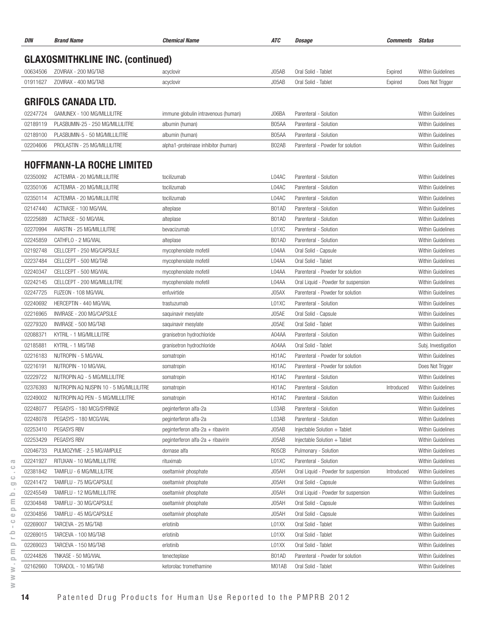| DIN                        | <b>Brand Name</b>                       | <b>Chemical Name</b>                | ATC                | <b>Dosage</b>                       | <b>Comments</b> | <b>Status</b>            |  |  |
|----------------------------|-----------------------------------------|-------------------------------------|--------------------|-------------------------------------|-----------------|--------------------------|--|--|
|                            | <b>GLAXOSMITHKLINE INC. (continued)</b> |                                     |                    |                                     |                 |                          |  |  |
| 00634506                   | ZOVIRAX - 200 MG/TAB                    | acyclovir                           | J05AB              | Oral Solid - Tablet                 | Expired         | Within Guidelines        |  |  |
| 01911627                   | ZOVIRAX - 400 MG/TAB                    | acyclovir                           | J05AB              | Oral Solid - Tablet                 | Expired         | Does Not Trigger         |  |  |
|                            |                                         |                                     |                    |                                     |                 |                          |  |  |
| <b>GRIFOLS CANADA LTD.</b> |                                         |                                     |                    |                                     |                 |                          |  |  |
| 02247724                   | GAMUNEX - 100 MG/MILLILITRE             | immune globulin intravenous (human) | J06BA              | Parenteral - Solution               |                 | Within Guidelines        |  |  |
| 02189119                   | PLASBUMIN-25 - 250 MG/MILLILITRE        | albumin (human)                     | B05AA              | Parenteral - Solution               |                 | Within Guidelines        |  |  |
| 02189100                   | PLASBUMIN-5 - 50 MG/MILLILITRE          | albumin (human)                     | B05AA              | Parenteral - Solution               |                 | Within Guidelines        |  |  |
| 02204606                   | PROLASTIN - 25 MG/MILLILITRE            | alpha1-proteinase inhibitor (human) | B02AB              | Parenteral - Powder for solution    |                 | Within Guidelines        |  |  |
|                            |                                         |                                     |                    |                                     |                 |                          |  |  |
|                            | <b>HOFFMANN-LA ROCHE LIMITED</b>        |                                     |                    |                                     |                 |                          |  |  |
| 02350092                   | ACTEMRA - 20 MG/MILLILITRE              | tocilizumab                         | L04AC              | Parenteral - Solution               |                 | Within Guidelines        |  |  |
| 02350106                   | ACTEMRA - 20 MG/MILLILITRE              | tocilizumab                         | L04AC              | Parenteral - Solution               |                 | Within Guidelines        |  |  |
| 02350114                   | ACTEMRA - 20 MG/MILLILITRE              | tocilizumab                         | L04AC              | Parenteral - Solution               |                 | Within Guidelines        |  |  |
| 02147440                   | ACTIVASE - 100 MG/VIAL                  | alteplase                           | B01AD              | Parenteral - Solution               |                 | Within Guidelines        |  |  |
| 02225689                   | ACTIVASE - 50 MG/VIAL                   | alteplase                           | B01AD              | Parenteral - Solution               |                 | Within Guidelines        |  |  |
| 02270994                   | AVASTIN - 25 MG/MILLILITRE              | bevacizumab                         | L01XC              | Parenteral - Solution               |                 | Within Guidelines        |  |  |
| 02245859                   | CATHFLO - 2 MG/VIAL                     | alteplase                           | B01AD              | Parenteral - Solution               |                 | <b>Within Guidelines</b> |  |  |
| 02192748                   | CELLCEPT - 250 MG/CAPSULE               | mycophenolate mofetil               | L04AA              | Oral Solid - Capsule                |                 | <b>Within Guidelines</b> |  |  |
| 02237484                   | CELLCEPT - 500 MG/TAB                   | mycophenolate mofetil               | L04AA              | Oral Solid - Tablet                 |                 | Within Guidelines        |  |  |
| 02240347                   | CELLCEPT - 500 MG/VIAL                  | mycophenolate mofetil               | L04AA              | Parenteral - Powder for solution    |                 | Within Guidelines        |  |  |
| 02242145                   | CELLCEPT - 200 MG/MILLILITRE            | mycophenolate mofetil               | L04AA              | Oral Liquid - Powder for suspension |                 | Within Guidelines        |  |  |
| 02247725                   | FUZEON - 108 MG/VIAL                    | enfuvirtide                         | J05AX              | Parenteral - Powder for solution    |                 | Within Guidelines        |  |  |
| 02240692                   | HERCEPTIN - 440 MG/VIAL                 | trastuzumab                         | L01XC              | Parenteral - Solution               |                 | Within Guidelines        |  |  |
| 02216965                   | INVIRASE - 200 MG/CAPSULE               | saquinavir mesylate                 | J05AE              | Oral Solid - Capsule                |                 | Within Guidelines        |  |  |
| 02279320                   | INVIRASE - 500 MG/TAB                   | saquinavir mesylate                 | J05AE              | Oral Solid - Tablet                 |                 | Within Guidelines        |  |  |
| 02088371                   | KYTRIL - 1 MG/MILLILITRE                | granisetron hydrochloride           | A04AA              | Parenteral - Solution               |                 | Within Guidelines        |  |  |
| 02185881                   | KYTRIL - 1 MG/TAB                       | granisetron hydrochloride           | A04AA              | Oral Solid - Tablet                 |                 | Subj. Investigation      |  |  |
| 02216183                   | NUTROPIN - 5 MG/VIAL                    | somatropin                          | H <sub>0</sub> 1AC | Parenteral - Powder for solution    |                 | Within Guidelines        |  |  |
| 02216191                   | NUTROPIN - 10 MG/VIAL                   | somatropin                          | H01AC              | Parenteral - Powder for solution    |                 | Does Not Trigger         |  |  |
| 02229722                   | NUTROPIN AQ - 5 MG/MILLILITRE           | somatropin                          | H <sub>0</sub> 1AC | Parenteral - Solution               |                 | Within Guidelines        |  |  |
| 02376393                   | NUTROPIN AQ NUSPIN 10 - 5 MG/MILLILITRE | somatropin                          | H01AC              | Parenteral - Solution               | Introduced      | Within Guidelines        |  |  |
| 02249002                   | NUTROPIN AQ PEN - 5 MG/MILLILITRE       | somatropin                          | H <sub>0</sub> 1AC | Parenteral - Solution               |                 | Within Guidelines        |  |  |
| 02248077                   | PEGASYS - 180 MCG/SYRINGE               | peginterferon alfa-2a               | L03AB              | Parenteral - Solution               |                 | Within Guidelines        |  |  |
| 02248078                   | PEGASYS - 180 MCG/VIAL                  | peginterferon alfa-2a               | L03AB              | Parenteral - Solution               |                 | Within Guidelines        |  |  |
| 02253410                   | PEGASYS RBV                             | peginterferon alfa-2a + ribavirin   | J05AB              | Injectable Solution + Tablet        |                 | Within Guidelines        |  |  |
| 02253429                   | PEGASYS RBV                             | peginterferon alfa-2a + ribavirin   | J05AB              | Injectable Solution + Tablet        |                 | Within Guidelines        |  |  |
| 02046733                   | PULMOZYME - 2.5 MG/AMPULE               | dornase alfa                        | R05CB              | Pulmonary - Solution                |                 | Within Guidelines        |  |  |
| 02241927                   | RITUXAN - 10 MG/MILLILITRE              | rituximab                           | L01XC              | Parenteral - Solution               |                 | Within Guidelines        |  |  |
| 02381842                   | TAMIFLU - 6 MG/MILLILITRE               | oseltamivir phosphate               | J05AH              | Oral Liquid - Powder for suspension | Introduced      | Within Guidelines        |  |  |
| 02241472                   | TAMIFLU - 75 MG/CAPSULE                 | oseltamivir phosphate               | J05AH              | Oral Solid - Capsule                |                 | Within Guidelines        |  |  |
| 02245549                   | TAMIFLU - 12 MG/MILLILITRE              | oseltamivir phosphate               | J05AH              | Oral Liquid - Powder for suspension |                 | Within Guidelines        |  |  |
| 02304848                   | TAMIFLU - 30 MG/CAPSULE                 | oseltamivir phosphate               | J05AH              | Oral Solid - Capsule                |                 | Within Guidelines        |  |  |
| 02304856                   | TAMIFLU - 45 MG/CAPSULE                 | oseltamivir phosphate               | J05AH              | Oral Solid - Capsule                |                 | Within Guidelines        |  |  |
| 02269007                   | TARCEVA - 25 MG/TAB                     | erlotinib                           | L01XX              | Oral Solid - Tablet                 |                 | Within Guidelines        |  |  |
| 02269015                   | TARCEVA - 100 MG/TAB                    | erlotinib                           | L01XX              | Oral Solid - Tablet                 |                 | Within Guidelines        |  |  |
| 02269023                   | TARCEVA - 150 MG/TAB                    | erlotinib                           | L01XX              | Oral Solid - Tablet                 |                 | Within Guidelines        |  |  |
| 02244826                   | TNKASE - 50 MG/VIAL                     | tenecteplase                        | B01AD              | Parenteral - Powder for solution    |                 | Within Guidelines        |  |  |
| 02162660                   | TORADOL - 10 MG/TAB                     | ketorolac tromethamine              | M01AB              | Oral Solid - Tablet                 |                 | Within Guidelines        |  |  |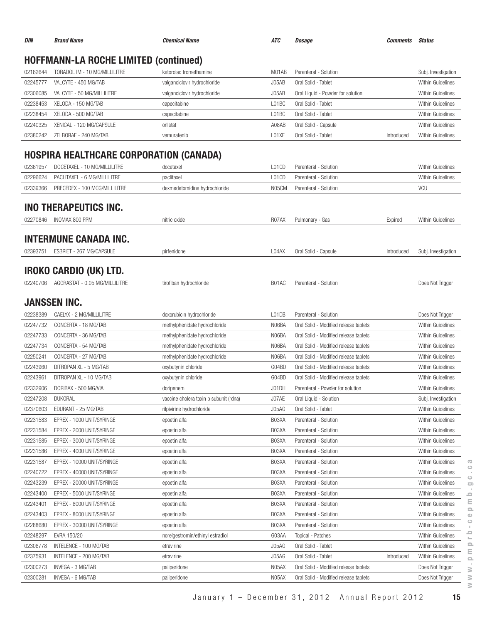| DIN      | <b>Brand Name</b>                              | <b>Chemical Name</b>                   | <b>ATC</b> | Dosage                                | <b>Comments</b> | <b>Status</b>       |  |  |  |
|----------|------------------------------------------------|----------------------------------------|------------|---------------------------------------|-----------------|---------------------|--|--|--|
|          | <b>HOFFMANN-LA ROCHE LIMITED (continued)</b>   |                                        |            |                                       |                 |                     |  |  |  |
| 02162644 | TORADOL IM - 10 MG/MILLILITRE                  | ketorolac tromethamine                 | M01AB      | Parenteral - Solution                 |                 | Subj. Investigation |  |  |  |
| 02245777 | VALCYTE - 450 MG/TAB                           | valganciclovir hydrochloride           | J05AB      | Oral Solid - Tablet                   |                 | Within Guidelines   |  |  |  |
| 02306085 | VALCYTE - 50 MG/MILLILITRE                     | valganciclovir hydrochloride           | J05AB      | Oral Liquid - Powder for solution     |                 | Within Guidelines   |  |  |  |
| 02238453 | XELODA - 150 MG/TAB                            | capecitabine                           | L01BC      | Oral Solid - Tablet                   |                 | Within Guidelines   |  |  |  |
| 02238454 | XELODA - 500 MG/TAB                            | capecitabine                           | L01BC      | Oral Solid - Tablet                   |                 | Within Guidelines   |  |  |  |
| 02240325 | XENICAL - 120 MG/CAPSULE                       | orlistat                               | A08AB      | Oral Solid - Capsule                  |                 | Within Guidelines   |  |  |  |
| 02380242 | ZELBORAF - 240 MG/TAB                          | vemurafenib                            | L01XE      | Oral Solid - Tablet                   | Introduced      | Within Guidelines   |  |  |  |
|          | <b>HOSPIRA HEALTHCARE CORPORATION (CANADA)</b> |                                        |            |                                       |                 |                     |  |  |  |
| 02361957 | DOCETAXEL - 10 MG/MILLILITRE                   | docetaxel                              | L01CD      | Parenteral - Solution                 |                 | Within Guidelines   |  |  |  |
| 02296624 | PACLITAXEL - 6 MG/MILLILITRE                   | paclitaxel                             | L01CD      | Parenteral - Solution                 |                 | Within Guidelines   |  |  |  |
| 02339366 | PRECEDEX - 100 MCG/MILLILITRE                  | dexmedetomidine hydrochloride          | N05CM      | Parenteral - Solution                 |                 | <b>VCU</b>          |  |  |  |
|          | <b>INO THERAPEUTICS INC.</b>                   |                                        |            |                                       |                 |                     |  |  |  |
| 02270846 | INOMAX 800 PPM                                 | nitric oxide                           | R07AX      | Pulmonary - Gas                       | Expired         | Within Guidelines   |  |  |  |
|          | <b>INTERMUNE CANADA INC.</b>                   |                                        |            |                                       |                 |                     |  |  |  |
| 02393751 | ESBRIET - 267 MG/CAPSULE                       | pirfenidone                            | L04AX      | Oral Solid - Capsule                  | Introduced      | Subj. Investigation |  |  |  |
|          | IROKO CARDIO (UK) LTD.                         |                                        |            |                                       |                 |                     |  |  |  |
| 02240706 | AGGRASTAT - 0.05 MG/MILLILITRE                 | tirofiban hydrochloride                | B01AC      | Parenteral - Solution                 |                 | Does Not Trigger    |  |  |  |
|          | <b>JANSSEN INC.</b>                            |                                        |            |                                       |                 |                     |  |  |  |
| 02238389 | CAELYX - 2 MG/MILLILITRE                       | doxorubicin hydrochloride              | L01DB      | Parenteral - Solution                 |                 | Does Not Trigger    |  |  |  |
| 02247732 | CONCERTA - 18 MG/TAB                           | methylphenidate hydrochloride          | N06BA      | Oral Solid - Modified release tablets |                 | Within Guidelines   |  |  |  |
| 02247733 | CONCERTA - 36 MG/TAB                           | methylphenidate hydrochloride          | N06BA      | Oral Solid - Modified release tablets |                 | Within Guidelines   |  |  |  |
| 02247734 | CONCERTA - 54 MG/TAB                           | methylphenidate hydrochloride          | N06BA      | Oral Solid - Modified release tablets |                 | Within Guidelines   |  |  |  |
| 02250241 | CONCERTA - 27 MG/TAB                           | methylphenidate hydrochloride          | N06BA      | Oral Solid - Modified release tablets |                 | Within Guidelines   |  |  |  |
| 02243960 | DITROPAN XL - 5 MG/TAB                         | oxybutynin chloride                    | G04BD      | Oral Solid - Modified release tablets |                 | Within Guidelines   |  |  |  |
| 02243961 | DITROPAN XL - 10 MG/TAB                        | oxybutynin chloride                    | G04BD      | Oral Solid - Modified release tablets |                 | Within Guidelines   |  |  |  |
| 02332906 | DORIBAX - 500 MG/VIAL                          | doripenem                              | J01DH      | Parenteral - Powder for solution      |                 | Within Guidelines   |  |  |  |
| 02247208 | <b>DUKORAL</b>                                 | vaccine cholera toxin b subunit (rdna) | J07AE      | Oral Liquid - Solution                |                 | Subj. Investigation |  |  |  |
| 02370603 | EDURANT - 25 MG/TAB                            | rilpivirine hydrochloride              | J05AG      | Oral Solid - Tablet                   |                 | Within Guidelines   |  |  |  |
| 02231583 | EPREX - 1000 UNIT/SYRINGE                      | epoetin alfa                           | B03XA      | Parenteral - Solution                 |                 | Within Guidelines   |  |  |  |
| 02231584 | EPREX - 2000 UNIT/SYRINGE                      | epoetin alfa                           | B03XA      | Parenteral - Solution                 |                 | Within Guidelines   |  |  |  |
| 02231585 | EPREX - 3000 UNIT/SYRINGE                      | epoetin alfa                           | B03XA      | Parenteral - Solution                 |                 | Within Guidelines   |  |  |  |
| 02231586 | EPREX - 4000 UNIT/SYRINGE                      | epoetin alfa                           | B03XA      | Parenteral - Solution                 |                 | Within Guidelines   |  |  |  |
| 02231587 | EPREX - 10000 UNIT/SYRINGE                     | epoetin alfa                           | B03XA      | Parenteral - Solution                 |                 | Within Guidelines   |  |  |  |
| 02240722 | EPREX - 40000 UNIT/SYRINGE                     | epoetin alfa                           | B03XA      | Parenteral - Solution                 |                 | Within Guidelines   |  |  |  |
| 02243239 | EPREX - 20000 UNIT/SYRINGE                     | epoetin alfa                           | B03XA      | Parenteral - Solution                 |                 | Within Guidelines   |  |  |  |
| 02243400 | EPREX - 5000 UNIT/SYRINGE                      | epoetin alfa                           | B03XA      | Parenteral - Solution                 |                 | Within Guidelines   |  |  |  |
| 02243401 | EPREX - 6000 UNIT/SYRINGE                      | epoetin alfa                           | B03XA      | Parenteral - Solution                 |                 | Within Guidelines   |  |  |  |
| 02243403 | EPREX - 8000 UNIT/SYRINGE                      | epoetin alfa                           | B03XA      | Parenteral - Solution                 |                 | Within Guidelines   |  |  |  |
| 02288680 | EPREX - 30000 UNIT/SYRINGE                     | epoetin alfa                           | B03XA      | Parenteral - Solution                 |                 | Within Guidelines   |  |  |  |
| 02248297 | EVRA 150/20                                    | norelgestromin/ethinyl estradiol       | G03AA      | Topical - Patches                     |                 | Within Guidelines   |  |  |  |
| 02306778 | INTELENCE - 100 MG/TAB                         | etravirine                             | J05AG      | Oral Solid - Tablet                   |                 | Within Guidelines   |  |  |  |
| 02375931 | INTELENCE - 200 MG/TAB                         | etravirine                             | J05AG      | Oral Solid - Tablet                   | Introduced      | Within Guidelines   |  |  |  |
| 02300273 | INVEGA - 3 MG/TAB                              | paliperidone                           | N05AX      | Oral Solid - Modified release tablets |                 | Does Not Trigger    |  |  |  |
| 02300281 | INVEGA - 6 MG/TAB                              | paliperidone                           | N05AX      | Oral Solid - Modified release tablets |                 | Does Not Trigger    |  |  |  |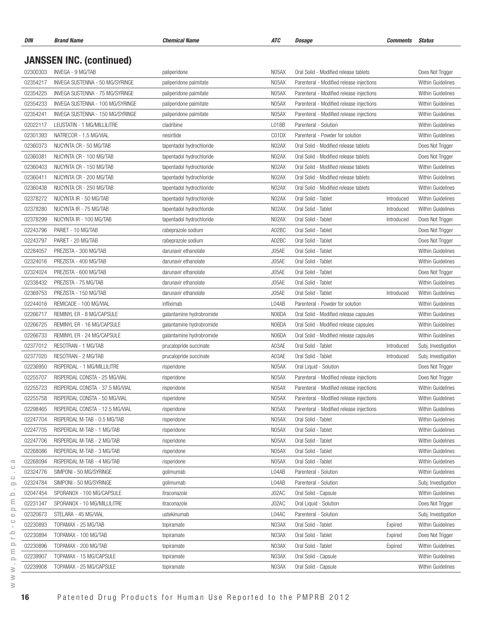| DIN      | <b>Brand Name</b>                | <b>Chemical Name</b>     | ATC   | <b>Dosage</b>                            | Comments   | <b>Status</b>            |
|----------|----------------------------------|--------------------------|-------|------------------------------------------|------------|--------------------------|
|          | <b>JANSSEN INC. (continued)</b>  |                          |       |                                          |            |                          |
| 02300303 | INVEGA - 9 MG/TAB                | paliperidone             | N05AX | Oral Solid - Modified release tablets    |            | Does Not Trigger         |
| 02354217 | INVEGA SUSTENNA - 50 MG/SYRINGE  | paliperidone palmitate   | N05AX | Parenteral - Modified release injections |            | <b>Within Guidelines</b> |
| 02354225 | INVEGA SUSTENNA - 75 MG/SYRINGE  | paliperidone palmitate   | N05AX | Parenteral - Modified release injections |            | Within Guidelines        |
| 02354233 | INVEGA SUSTENNA - 100 MG/SYRINGE | paliperidone palmitate   | N05AX | Parenteral - Modified release injections |            | Within Guidelines        |
| 02354241 | INVEGA SUSTENNA - 150 MG/SYRINGE | paliperidone palmitate   | N05AX | Parenteral - Modified release injections |            | Within Guidelines        |
| 02022117 | LEUSTATIN - 1 MG/MILLILITRE      | cladribine               | L01BB | Parenteral - Solution                    |            | Within Guidelines        |
| 02301393 | NATRECOR - 1.5 MG/VIAL           | nesiritide               | C01DX | Parenteral - Powder for solution         |            | Within Guidelines        |
| 02360373 | NUCYNTA CR - 50 MG/TAB           | tapentadol hydrochloride | N02AX | Oral Solid - Modified release tablets    |            | Does Not Trigger         |
| 02360381 | NUCYNTA CR - 100 MG/TAB          | tapentadol hydrochloride | N02AX | Oral Solid - Modified release tablets    |            | Does Not Trigger         |
| 02360403 | NUCYNTA CR - 150 MG/TAB          | tapentadol hydrochloride | N02AX | Oral Solid - Modified release tablets    |            | Within Guidelines        |
| 02360411 | NUCYNTA CR - 200 MG/TAB          | tapentadol hydrochloride | N02AX | Oral Solid - Modified release tablets    |            | Within Guidelines        |
| 02360438 | NUCYNTA CR - 250 MG/TAB          | tapentadol hydrochloride | N02AX | Oral Solid - Modified release tablets    |            | Within Guidelines        |
| 02378272 | NUCYNTA IR - 50 MG/TAB           | tapentadol hydrochloride | N02AX | Oral Solid - Tablet                      | Introduced | Within Guidelines        |
| 02378280 | NUCYNTA IR - 75 MG/TAB           | tapentadol hydrochloride | N02AX | Oral Solid - Tablet                      | Introduced | Within Guidelines        |
| 02378299 | NUCYNTA IR - 100 MG/TAB          | tapentadol hydrochloride | N02AX | Oral Solid - Tablet                      | Introduced | Does Not Trigger         |
| 02243796 | PARIET - 10 MG/TAB               | rabeprazole sodium       | A02BC | Oral Solid - Tablet                      |            | Does Not Trigger         |
| 02243797 | PARIET - 20 MG/TAB               | rabeprazole sodium       | A02BC | Oral Solid - Tablet                      |            | Does Not Trigger         |
| 02284057 | PREZISTA - 300 MG/TAB            | darunavir ethanolate     | J05AE | Oral Solid - Tablet                      |            | <b>Within Guidelines</b> |
| 02324016 | PREZISTA - 400 MG/TAB            | darunavir ethanolate     | J05AE | Oral Solid - Tablet                      |            | Within Guidelines        |
| 02324024 | PREZISTA - 600 MG/TAB            | darunavir ethanolate     | J05AE | Oral Solid - Tablet                      |            | Does Not Trigger         |
| 02338432 | PREZISTA - 75 MG/TAB             | darunavir ethanolate     | J05AE | Oral Solid - Tablet                      |            | Within Guidelines        |
| 02369753 | PREZISTA - 150 MG/TAB            | darunavir ethanolate     | J05AE | Oral Solid - Tablet                      | Introduced | Within Guidelines        |
| 02244016 | REMICADE - 100 MG/VIAL           | infliximab               | L04AB | Parenteral - Powder for solution         |            | Within Guidelines        |
| 02266717 | REMINYL ER - 8 MG/CAPSULE        | galantamine hydrobromide | N06DA | Oral Solid - Modified release capsules   |            | Within Guidelines        |
| 02266725 | REMINYL ER - 16 MG/CAPSULE       | galantamine hydrobromide | N06DA | Oral Solid - Modified release capsules   |            | Within Guidelines        |
| 02266733 | REMINYL ER - 24 MG/CAPSULE       | galantamine hydrobromide | N06DA | Oral Solid - Modified release capsules   |            | Within Guidelines        |
| 02377012 | RESOTRAN - 1 MG/TAB              | prucalopride succinate   | A03AE | Oral Solid - Tablet                      | Introduced | Subj. Investigation      |
| 02377020 | RESOTRAN - 2 MG/TAB              | prucalopride succinate   | A03AE | Oral Solid - Tablet                      | Introduced | Subj. Investigation      |
| 02236950 | RISPERDAL - 1 MG/MILLILITRE      | risperidone              | N05AX | Oral Liquid - Solution                   |            | Does Not Trigger         |
| 02255707 | RISPERDAL CONSTA - 25 MG/VIAL    | risperidone              | N05AX | Parenteral - Modified release injections |            | Does Not Trigger         |
| 02255723 | RISPERDAL CONSTA - 37.5 MG/VIAL  | risperidone              | N05AX | Parenteral - Modified release injections |            | Within Guidelines        |
| 02255758 | RISPERDAL CONSTA - 50 MG/VIAL    | risperidone              | N05AX | Parenteral - Modified release injections |            | Within Guidelines        |
| 02298465 | RISPERDAL CONSTA - 12.5 MG/VIAL  | risperidone              | N05AX | Parenteral - Modified release injections |            | Within Guidelines        |
| 02247704 | RISPERDAL M-TAB - 0.5 MG/TAB     | risperidone              | N05AX | Oral Solid - Tablet                      |            | Within Guidelines        |
| 02247705 | RISPERDAL M-TAB - 1 MG/TAB       | risperidone              | N05AX | Oral Solid - Tablet                      |            | Within Guidelines        |
| 02247706 | RISPERDAL M-TAB - 2 MG/TAB       | risperidone              | N05AX | Oral Solid - Tablet                      |            | Within Guidelines        |
| 02268086 | RISPERDAL M-TAB - 3 MG/TAB       | risperidone              | N05AX | Oral Solid - Tablet                      |            | Within Guidelines        |
| 02268094 | RISPERDAL M-TAB - 4 MG/TAB       | risperidone              | N05AX | Oral Solid - Tablet                      |            | Within Guidelines        |
| 02324776 | SIMPONI - 50 MG/SYRINGE          | golimumab                | L04AB | Parenteral - Solution                    |            | Within Guidelines        |
| 02324784 | SIMPONI - 50 MG/SYRINGE          | golimumab                | L04AB | Parenteral - Solution                    |            | Subj. Investigation      |
| 02047454 | SPORANOX - 100 MG/CAPSULE        | itraconazole             | J02AC | Oral Solid - Capsule                     |            | Within Guidelines        |
| 02231347 | SPORANOX - 10 MG/MILLILITRE      | itraconazole             | J02AC | Oral Liquid - Solution                   |            | Does Not Trigger         |
| 02320673 | STELARA - 45 MG/VIAL             | ustekinumab              | L04AC | Parenteral - Solution                    |            | Subj. Investigation      |
| 02230893 | TOPAMAX - 25 MG/TAB              | topiramate               | N03AX | Oral Solid - Tablet                      | Expired    | Within Guidelines        |
| 02230894 | TOPAMAX - 100 MG/TAB             | topiramate               | N03AX | Oral Solid - Tablet                      | Expired    | Does Not Trigger         |
| 02230896 | TOPAMAX - 200 MG/TAB             | topiramate               | N03AX | Oral Solid - Tablet                      | Expired    | Within Guidelines        |
| 02239907 | TOPAMAX - 15 MG/CAPSULE          | topiramate               | N03AX | Oral Solid - Capsule                     |            | Within Guidelines        |
| 02239908 | TOPAMAX - 25 MG/CAPSULE          | topiramate               | N03AX | Oral Solid - Capsule                     |            | Within Guidelines        |
|          |                                  |                          |       |                                          |            |                          |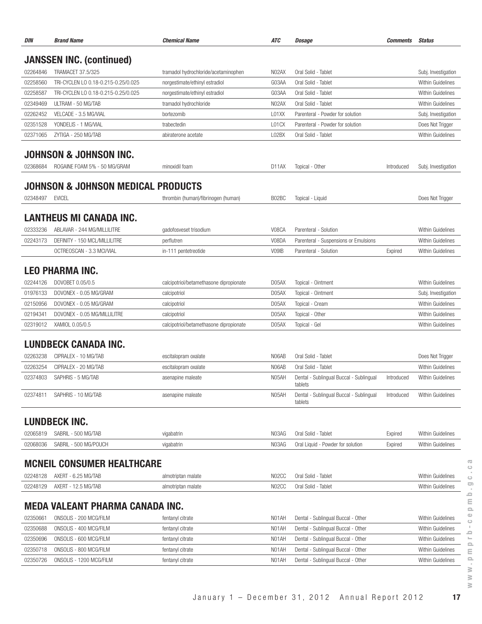| DIN      | <b>Brand Name</b>                      | <i><b>Chemical Name</b></i>             | ATC                | <b>Dosage</b>                                      | <b>Comments</b> | <b>Status</b>            |
|----------|----------------------------------------|-----------------------------------------|--------------------|----------------------------------------------------|-----------------|--------------------------|
|          | <b>JANSSEN INC. (continued)</b>        |                                         |                    |                                                    |                 |                          |
| 02264846 | TRAMACET 37.5/325                      | tramadol hydrochloride/acetaminophen    | NO2AX              | Oral Solid - Tablet                                |                 | Subj. Investigation      |
| 02258560 | TRI-CYCLEN LO 0.18-0.215-0.25/0.025    | norgestimate/ethinyl estradiol          | G03AA              | Oral Solid - Tablet                                |                 | Within Guidelines        |
| 02258587 | TRI-CYCLEN LO 0.18-0.215-0.25/0.025    | norgestimate/ethinyl estradiol          | G03AA              | Oral Solid - Tablet                                |                 | Within Guidelines        |
| 02349469 | ULTRAM - 50 MG/TAB                     | tramadol hydrochloride                  | N02AX              | Oral Solid - Tablet                                |                 | Within Guidelines        |
| 02262452 | VELCADE - 3.5 MG/VIAL                  | bortezomib                              | L01XX              | Parenteral - Powder for solution                   |                 | Subj. Investigation      |
| 02351528 | YONDELIS - 1 MG/VIAL                   | trabectedin                             | L01CX              | Parenteral - Powder for solution                   |                 | Does Not Trigger         |
| 02371065 | ZYTIGA - 250 MG/TAB                    | abiraterone acetate                     | L02BX              | Oral Solid - Tablet                                |                 | <b>Within Guidelines</b> |
|          | JOHNSON & JOHNSON INC.                 |                                         |                    |                                                    |                 |                          |
| 02368684 | ROGAINE FOAM 5% - 50 MG/GRAM           | minoxidil foam                          | D <sub>1</sub> 1AX | Topical - Other                                    | Introduced      | Subj. Investigation      |
|          | JOHNSON & JOHNSON MEDICAL PRODUCTS     |                                         |                    |                                                    |                 |                          |
| 02348497 | <b>EVICEL</b>                          | thrombin (human)/fibrinogen (human)     | B02BC              | Topical - Liquid                                   |                 | Does Not Trigger         |
|          | <b>LANTHEUS MI CANADA INC.</b>         |                                         |                    |                                                    |                 |                          |
| 02333236 | ABLAVAR - 244 MG/MILLILITRE            | gadofosveset trisodium                  | V08CA              | Parenteral - Solution                              |                 | Within Guidelines        |
| 02243173 | DEFINITY - 150 MCL/MILLILITRE          | perflutren                              | V08DA              | Parenteral - Suspensions or Emulsions              |                 | Within Guidelines        |
|          | OCTREOSCAN - 3.3 MCI/VIAL              | in-111 pentetreotide                    | V09IB              | Parenteral - Solution                              | Expired         | Within Guidelines        |
|          | <b>LEO PHARMA INC.</b>                 |                                         |                    |                                                    |                 |                          |
| 02244126 | DOVOBET 0.05/0.5                       | calcipotriol/betamethasone dipropionate | D05AX              | Topical - Ointment                                 |                 | Within Guidelines        |
| 01976133 | DOVONEX - 0.05 MG/GRAM                 | calcipotriol                            | D05AX              | Topical - Ointment                                 |                 | Subj. Investigation      |
| 02150956 | DOVONEX - 0.05 MG/GRAM                 | calcipotriol                            | D05AX              | Topical - Cream                                    |                 | Within Guidelines        |
| 02194341 | DOVONEX - 0.05 MG/MILLILITRE           | calcipotriol                            | D05AX              | Topical - Other                                    |                 | Within Guidelines        |
| 02319012 | XAMIOL 0.05/0.5                        | calcipotriol/betamethasone dipropionate | D05AX              | Topical - Gel                                      |                 | Within Guidelines        |
|          | LUNDBECK CANADA INC.                   |                                         |                    |                                                    |                 |                          |
| 02263238 | CIPRALEX - 10 MG/TAB                   | escitalopram oxalate                    | N06AB              | Oral Solid - Tablet                                |                 | Does Not Trigger         |
| 02263254 | CIPRALEX - 20 MG/TAB                   | escitalopram oxalate                    | N06AB              | Oral Solid - Tablet                                |                 | Within Guidelines        |
| 02374803 | SAPHRIS - 5 MG/TAB                     | asenapine maleate                       | N05AH              | Dental - Sublingual Buccal - Sublingual<br>tablets | Introduced      | Within Guidelines        |
| 02374811 | SAPHRIS - 10 MG/TAB                    | asenapine maleate                       | N05AH              | Dental - Sublingual Buccal - Sublingual<br>tablets | Introduced      | Within Guidelines        |
|          | <b>LUNDBECK INC.</b>                   |                                         |                    |                                                    |                 |                          |
| 02065819 | SABRIL - 500 MG/TAB                    | vigabatrin                              | N03AG              | Oral Solid - Tablet                                | Expired         | Within Guidelines        |
| 02068036 | SABRIL - 500 MG/POUCH                  | vigabatrin                              | N03AG              | Oral Liquid - Powder for solution                  | Expired         | Within Guidelines        |
|          | <b>MCNEIL CONSUMER HEALTHCARE</b>      |                                         |                    |                                                    |                 |                          |
| 02248128 | AXERT - 6.25 MG/TAB                    | almotriptan malate                      | N02CC              | Oral Solid - Tablet                                |                 | Within Guidelines        |
| 02248129 | AXERT - 12.5 MG/TAB                    | almotriptan malate                      | N02CC              | Oral Solid - Tablet                                |                 | Within Guidelines        |
|          | <b>MEDA VALEANT PHARMA CANADA INC.</b> |                                         |                    |                                                    |                 |                          |
| 02350661 | ONSOLIS - 200 MCG/FILM                 | fentanyl citrate                        | N01AH              | Dental - Sublingual Buccal - Other                 |                 | Within Guidelines        |
| 02350688 | ONSOLIS - 400 MCG/FILM                 | fentanyl citrate                        | N01AH              | Dental - Sublingual Buccal - Other                 |                 | Within Guidelines        |
| 02350696 | ONSOLIS - 600 MCG/FILM                 | fentanyl citrate                        | N01AH              | Dental - Sublingual Buccal - Other                 |                 | Within Guidelines        |
| 02350718 | ONSOLIS - 800 MCG/FILM                 | fentanyl citrate                        | N01AH              | Dental - Sublingual Buccal - Other                 |                 | Within Guidelines        |
| 02350726 | ONSOLIS - 1200 MCG/FILM                | fentanyl citrate                        | N01AH              | Dental - Sublingual Buccal - Other                 |                 | Within Guidelines        |
|          |                                        |                                         |                    |                                                    |                 |                          |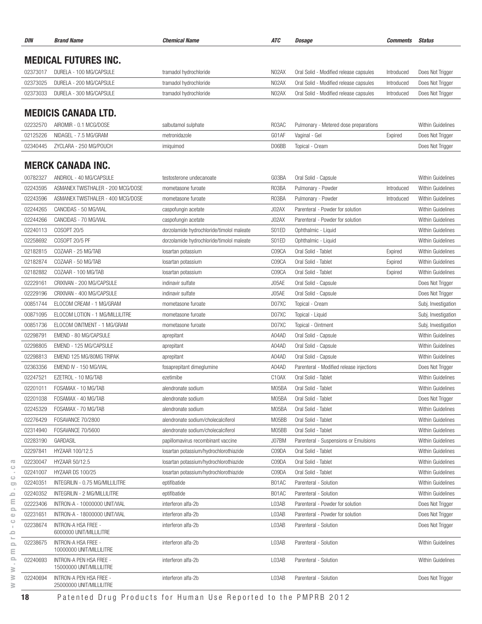| DIN      | <b>Brand Name</b>                                   | <b>Chemical Name</b>                      | ATC                | Dosage                                   | Comments   | Status                   |
|----------|-----------------------------------------------------|-------------------------------------------|--------------------|------------------------------------------|------------|--------------------------|
|          | <b>MEDICAL FUTURES INC.</b>                         |                                           |                    |                                          |            |                          |
| 02373017 | DURELA - 100 MG/CAPSULE                             | tramadol hydrochloride                    | NO2AX              | Oral Solid - Modified release capsules   | Introduced | Does Not Trigger         |
| 02373025 | DURELA - 200 MG/CAPSULE                             | tramadol hydrochloride                    | NO2AX              | Oral Solid - Modified release capsules   | Introduced | Does Not Trigger         |
| 02373033 | DURELA - 300 MG/CAPSULE                             | tramadol hydrochloride                    | N02AX              | Oral Solid - Modified release capsules   | Introduced | Does Not Trigger         |
|          |                                                     |                                           |                    |                                          |            |                          |
|          | <b>MEDICIS CANADA LTD.</b>                          |                                           |                    |                                          |            |                          |
| 02232570 | AIROMIR - 0.1 MCG/DOSE                              | salbutamol sulphate                       | R03AC              | Pulmonary - Metered dose preparations    |            | Within Guidelines        |
| 02125226 | NIDAGEL - 7.5 MG/GRAM                               | metronidazole                             | G01AF              | Vaginal - Gel                            | Expired    | Does Not Trigger         |
| 02340445 | ZYCLARA - 250 MG/POUCH                              | imiquimod                                 | D06BB              | Topical - Cream                          |            | Does Not Trigger         |
|          | <b>MERCK CANADA INC.</b>                            |                                           |                    |                                          |            |                          |
| 00782327 | ANDRIOL - 40 MG/CAPSULE                             | testosterone undecanoate                  | G03BA              | Oral Solid - Capsule                     |            | Within Guidelines        |
| 02243595 | ASMANEX TWISTHALER - 200 MCG/DOSE                   | mometasone furoate                        | R03BA              | Pulmonary - Powder                       | Introduced | <b>Within Guidelines</b> |
| 02243596 | ASMANEX TWISTHALER - 400 MCG/DOSE                   | mometasone furoate                        | R03BA              | Pulmonary - Powder                       | Introduced | Within Guidelines        |
| 02244265 | CANCIDAS - 50 MG/VIAL                               | caspofungin acetate                       | J02AX              | Parenteral - Powder for solution         |            | Within Guidelines        |
| 02244266 | CANCIDAS - 70 MG/VIAL                               | caspofungin acetate                       | J02AX              | Parenteral - Powder for solution         |            | Within Guidelines        |
| 02240113 | <b>COSOPT 20/5</b>                                  | dorzolamide hydrochloride/timolol maleate | S01ED              | Ophthalmic - Liquid                      |            | Within Guidelines        |
| 02258692 | <b>COSOPT 20/5 PF</b>                               | dorzolamide hydrochloride/timolol maleate | S01ED              | Ophthalmic - Liquid                      |            | <b>Within Guidelines</b> |
| 02182815 | COZAAR - 25 MG/TAB                                  | losartan potassium                        | C09CA              | Oral Solid - Tablet                      | Expired    | <b>Within Guidelines</b> |
| 02182874 | COZAAR - 50 MG/TAB                                  | losartan potassium                        | C09CA              | Oral Solid - Tablet                      | Expired    | Within Guidelines        |
| 02182882 | COZAAR - 100 MG/TAB                                 | losartan potassium                        | C09CA              | Oral Solid - Tablet                      | Expired    | Within Guidelines        |
| 02229161 | CRIXIVAN - 200 MG/CAPSULE                           | indinavir sulfate                         | J05AE              | Oral Solid - Capsule                     |            | Does Not Trigger         |
| 02229196 | CRIXIVAN - 400 MG/CAPSULE                           | indinavir sulfate                         | J05AE              | Oral Solid - Capsule                     |            | Does Not Trigger         |
| 00851744 | ELOCOM CREAM - 1 MG/GRAM                            | mometasone furoate                        | D07XC              | Topical - Cream                          |            | Subj. Investigation      |
| 00871095 | ELOCOM LOTION - 1 MG/MILLILITRE                     | mometasone furoate                        | D07XC              | Topical - Liquid                         |            | Subj. Investigation      |
| 00851736 | ELOCOM OINTMENT - 1 MG/GRAM                         | mometasone furoate                        | D07XC              | Topical - Ointment                       |            | Subj. Investigation      |
| 02298791 | EMEND - 80 MG/CAPSULE                               | aprepitant                                | A04AD              | Oral Solid - Capsule                     |            | Within Guidelines        |
| 02298805 | EMEND - 125 MG/CAPSULE                              | aprepitant                                | A04AD              | Oral Solid - Capsule                     |            | <b>Within Guidelines</b> |
| 02298813 | EMEND 125 MG/80MG TRIPAK                            | aprepitant                                | A04AD              | Oral Solid - Capsule                     |            | <b>Within Guidelines</b> |
| 02363356 | EMEND IV - 150 MG/VIAL                              | fosaprepitant dimeglumine                 | A04AD              | Parenteral - Modified release injections |            | Does Not Trigger         |
| 02247521 | EZETROL - 10 MG/TAB                                 | ezetimibe                                 | C <sub>10</sub> AX | Oral Solid - Tablet                      |            | Within Guidelines        |
| 02201011 | FOSAMAX - 10 MG/TAB                                 | alendronate sodium                        | M05BA              | Oral Solid - Tablet                      |            | Within Guidelines        |
| 02201038 | FOSAMAX - 40 MG/TAB                                 | alendronate sodium                        | M05BA              | Oral Solid - Tablet                      |            | Does Not Trigger         |
| 02245329 | FOSAMAX - 70 MG/TAB                                 | alendronate sodium                        | M05BA              | Oral Solid - Tablet                      |            | Within Guidelines        |
| 02276429 | FOSAVANCE 70/2800                                   | alendronate sodium/cholecalciferol        | M05BB              | Oral Solid - Tablet                      |            | Within Guidelines        |
| 02314940 | FOSAVANCE 70/5600                                   | alendronate sodium/cholecalciferol        | M05BB              | Oral Solid - Tablet                      |            | Within Guidelines        |
| 02283190 | <b>GARDASIL</b>                                     | papillomavirus recombinant vaccine        | J07BM              | Parenteral - Suspensions or Emulsions    |            | Within Guidelines        |
| 02297841 | HYZAAR 100/12.5                                     | losartan potassium/hydrochlorothiazide    | C09DA              | Oral Solid - Tablet                      |            | Within Guidelines        |
| 02230047 | HYZAAR 50/12.5                                      | losartan potassium/hydrochlorothiazide    | C09DA              | Oral Solid - Tablet                      |            | Within Guidelines        |
| 02241007 | HYZAAR DS 100/25                                    | losartan potassium/hydrochlorothiazide    | C09DA              | Oral Solid - Tablet                      |            | Within Guidelines        |
| 02240351 | INTEGRILIN - 0.75 MG/MILLILITRE                     | eptifibatide                              | B01AC              | Parenteral - Solution                    |            | Within Guidelines        |
| 02240352 | INTEGRILIN - 2 MG/MILLILITRE                        | eptifibatide                              | B01AC              | Parenteral - Solution                    |            | Within Guidelines        |
| 02223406 | INTRON-A - 10000000 UNIT/VIAL                       | interferon alfa-2b                        | L03AB              | Parenteral - Powder for solution         |            | Does Not Trigger         |
| 02231651 | INTRON-A - 18000000 UNIT/VIAL                       | interferon alfa-2b                        | L03AB              | Parenteral - Powder for solution         |            | Does Not Trigger         |
| 02238674 | INTRON-A HSA FREE -<br>6000000 UNIT/MILLILITRE      | interferon alfa-2b                        | L03AB              | Parenteral - Solution                    |            | Does Not Trigger         |
| 02238675 | INTRON-A HSA FREE -<br>10000000 UNIT/MILLILITRE     | interferon alfa-2b                        | L03AB              | Parenteral - Solution                    |            | Within Guidelines        |
| 02240693 | INTRON-A PEN HSA FREE -<br>15000000 UNIT/MILLILITRE | interferon alfa-2b                        | L03AB              | Parenteral - Solution                    |            | Within Guidelines        |
| 02240694 | INTRON-A PEN HSA FREE -<br>25000000 UNIT/MILLILITRE | interferon alfa-2b                        | L03AB              | Parenteral - Solution                    |            | Does Not Trigger         |

18 Patented Drug Products for Human Use Reported to the PMPRB 2012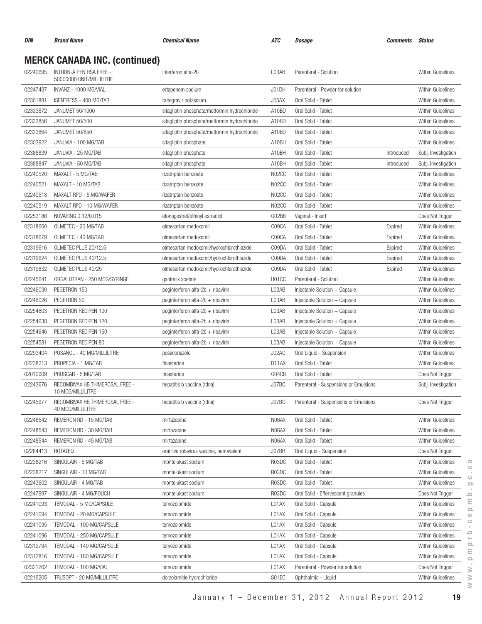| DIN      | <b>Brand Name</b>                                    | <b>Chemical Name</b>                          | ATC                | Dosage                                | <b>Comments</b> | <b>Status</b>            |
|----------|------------------------------------------------------|-----------------------------------------------|--------------------|---------------------------------------|-----------------|--------------------------|
|          | <b>MERCK CANADA INC. (continued)</b>                 |                                               |                    |                                       |                 |                          |
| 02240695 | INTRON-A PEN HSA FREE -<br>50000000 UNIT/MILLILITRE  | interferon alfa-2b                            | L03AB              | Parenteral - Solution                 |                 | Within Guidelines        |
| 02247437 | INVANZ - 1000 MG/VIAL                                | ertapenem sodium                              | J01DH              | Parenteral - Powder for solution      |                 | Within Guidelines        |
| 02301881 | ISENTRESS - 400 MG/TAB                               | raltegravir potassium                         | J05AX              | Oral Solid - Tablet                   |                 | Within Guidelines        |
| 02333872 | JANUMET 50/1000                                      | sitagliptin phosphate/metformin hydrochloride | A10BD              | Oral Solid - Tablet                   |                 | Within Guidelines        |
| 02333856 | JANUMET 50/500                                       | sitagliptin phosphate/metformin hydrochloride | A10BD              | Oral Solid - Tablet                   |                 | Within Guidelines        |
| 02333864 | JANUMET 50/850                                       | sitagliptin phosphate/metformin hydrochloride | A10BD              | Oral Solid - Tablet                   |                 | Within Guidelines        |
| 02303922 | JANUVIA - 100 MG/TAB                                 | sitagliptin phosphate                         | A10BH              | Oral Solid - Tablet                   |                 | Within Guidelines        |
| 02388839 | JANUVIA - 25 MG/TAB                                  | sitagliptin phosphate                         | A10BH              | Oral Solid - Tablet                   | Introduced      | Subj. Investigation      |
| 02388847 | JANUVIA - 50 MG/TAB                                  | sitagliptin phosphate                         | A10BH              | Oral Solid - Tablet                   | Introduced      | Subj. Investigation      |
| 02240520 | MAXALT - 5 MG/TAB                                    | rizatriptan benzoate                          | N02CC              | Oral Solid - Tablet                   |                 | Within Guidelines        |
| 02240521 | MAXALT - 10 MG/TAB                                   | rizatriptan benzoate                          | N02CC              | Oral Solid - Tablet                   |                 | Within Guidelines        |
| 02240518 | MAXALT RPD - 5 MG/WAFER                              | rizatriptan benzoate                          | N02CC              | Oral Solid - Tablet                   |                 | Within Guidelines        |
| 02240519 | MAXALT RPD - 10 MG/WAFER                             | rizatriptan benzoate                          | N02CC              | Oral Solid - Tablet                   |                 | Within Guidelines        |
| 02253186 | NUVARING 0.12/0.015                                  | etonogestrel/ethinyl estradiol                | GO2BB              | Vaginal - Insert                      |                 | Does Not Trigger         |
| 02318660 | OLMETEC - 20 MG/TAB                                  | olmesartan medoxomil                          | C09CA              | Oral Solid - Tablet                   | Expired         | Within Guidelines        |
| 02318679 | OLMETEC - 40 MG/TAB                                  | olmesartan medoxomil                          | C09CA              | Oral Solid - Tablet                   | Expired         | <b>Within Guidelines</b> |
| 02319616 | OLMETEC PLUS 20/12.5                                 | olmesartan medoxomil/hydrochlorothiazide      | C09DA              | Oral Solid - Tablet                   | Expired         | Within Guidelines        |
| 02319624 | OLMETEC PLUS 40/12.5                                 | olmesartan medoxomil/hydrochlorothiazide      | C09DA              | Oral Solid - Tablet                   | Expired         | Within Guidelines        |
| 02319632 | OLMETEC PLUS 40/25                                   | olmesartan medoxomil/hydrochlorothiazide      | C09DA              | Oral Solid - Tablet                   | Expired         | Within Guidelines        |
| 02245641 | ORGALUTRAN - 250 MCG/SYRINGE                         | ganirelix acetate                             | H <sub>01</sub> CC | Parenteral - Solution                 |                 | Within Guidelines        |
| 02246030 | PEGETRON 150                                         | peginterferon alfa-2b + ribavirin             | L03AB              | Injectable Solution + Capsule         |                 | Within Guidelines        |
| 02246026 | PEGETRON 50                                          | peginterferon alfa-2b + ribavirin             | L03AB              | Injectable Solution + Capsule         |                 | Within Guidelines        |
| 02254603 | PEGETRON REDIPEN 100                                 | peginterferon alfa-2b + ribavirin             | L03AB              | Injectable Solution + Capsule         |                 | Within Guidelines        |
| 02254638 | PEGETRON REDIPEN 120                                 | peginterferon alfa-2b + ribavirin             | L03AB              | Injectable Solution + Capsule         |                 | Within Guidelines        |
| 02254646 | PEGETRON REDIPEN 150                                 | peginterferon alfa-2b + ribavirin             | L03AB              | Injectable Solution + Capsule         |                 | Within Guidelines        |
| 02254581 | PEGETRON REDIPEN 80                                  | peginterferon alfa-2b + ribavirin             | L03AB              | Injectable Solution + Capsule         |                 | Within Guidelines        |
| 02293404 | POSANOL - 40 MG/MILLILITRE                           | posaconazole                                  | J02AC              | Oral Liquid - Suspension              |                 | Within Guidelines        |
| 02238213 | PROPECIA - 1 MG/TAB                                  | finasteride                                   | D11AX              | Oral Solid - Tablet                   |                 | Within Guidelines        |
| 02010909 | PROSCAR - 5 MG/TAB                                   | finasteride                                   | G04CB              | Oral Solid - Tablet                   |                 | Does Not Trigger         |
| 02243676 | RECOMBIVAX HB THIMEROSAL FREE -<br>10 MCG/MILLILITRE | hepatitis b vaccine (rdna)                    | J07BC              | Parenteral - Suspensions or Emulsions |                 | Subj. Investigation      |
| 02245977 | RECOMBIVAX HB THIMEROSAL FREE -<br>40 MCG/MILLILITRE | hepatitis b vaccine (rdna)                    | J07BC              | Parenteral - Suspensions or Emulsions |                 | Does Not Trigger         |
| 02248542 | REMERON RD - 15 MG/TAB                               | mirtazapine                                   | N06AX              | Oral Solid - Tablet                   |                 | Within Guidelines        |
| 02248543 | REMERON RD - 30 MG/TAB                               | mirtazapine                                   | N06AX              | Oral Solid - Tablet                   |                 | Within Guidelines        |
| 02248544 | REMERON RD - 45 MG/TAB                               | mirtazapine                                   | N06AX              | Oral Solid - Tablet                   |                 | Within Guidelines        |
| 02284413 | ROTATEQ                                              | oral live rotavirus vaccine, pentavalent      | J07BH              | Oral Liquid - Suspension              |                 | Does Not Trigger         |
| 02238216 | SINGULAIR - 5 MG/TAB                                 | montelukast sodium                            | R03DC              | Oral Solid - Tablet                   |                 | Within Guidelines        |
| 02238217 | SINGULAIR - 10 MG/TAB                                | montelukast sodium                            | R03DC              | Oral Solid - Tablet                   |                 | Within Guidelines        |
| 02243602 | SINGULAIR - 4 MG/TAB                                 | montelukast sodium                            | R03DC              | Oral Solid - Tablet                   |                 | Within Guidelines        |
| 02247997 | SINGULAIR - 4 MG/POUCH                               | montelukast sodium                            | R03DC              | Oral Solid - Effervescent granules    |                 | Does Not Trigger         |
| 02241093 | TEMODAL - 5 MG/CAPSULE                               | temozolomide                                  | L01AX              | Oral Solid - Capsule                  |                 | Within Guidelines        |
| 02241094 | TEMODAL - 20 MG/CAPSULE                              | temozolomide                                  | L01AX              | Oral Solid - Capsule                  |                 | Within Guidelines        |
| 02241095 | TEMODAL - 100 MG/CAPSULE                             | temozolomide                                  | L01AX              | Oral Solid - Capsule                  |                 | Within Guidelines        |
| 02241096 | TEMODAL - 250 MG/CAPSULE                             | temozolomide                                  | L01AX              | Oral Solid - Capsule                  |                 | Within Guidelines        |
| 02312794 | TEMODAL - 140 MG/CAPSULE                             | temozolomide                                  | L01AX              | Oral Solid - Capsule                  |                 | Within Guidelines        |
| 02312816 | TEMODAL - 180 MG/CAPSULE                             | temozolomide                                  | L01AX              | Oral Solid - Capsule                  |                 | Within Guidelines        |
| 02321262 | TEMODAL - 100 MG/VIAL                                | temozolomide                                  | L01AX              | Parenteral - Powder for solution      |                 | Does Not Trigger         |
| 02216205 | TRUSOPT - 20 MG/MILLILITRE                           | dorzolamide hydrochloride                     | S01EC              | Ophthalmic - Liquid                   |                 | Within Guidelines        |
|          |                                                      |                                               |                    |                                       |                 |                          |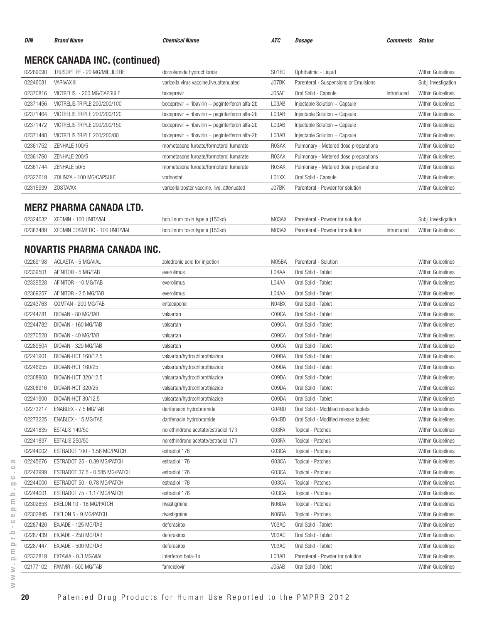| <b>DIN</b> | Name<br>- DI ans | Chemical Name<br>. | ATC | Dosage | comments | status<br>. |
|------------|------------------|--------------------|-----|--------|----------|-------------|
|------------|------------------|--------------------|-----|--------|----------|-------------|

## MERCK CANADA INC. (continued)

| 02269090 | TRUSOPT PF - 20 MG/MILLILITRE | dorzolamide hydrochloride                      | S01EC | Ophthalmic - Liquid                   |            | Within Guidelines   |
|----------|-------------------------------|------------------------------------------------|-------|---------------------------------------|------------|---------------------|
| 02246081 | VARIVAX III                   | varicella virus vaccine, live, attenuated      | J07BK | Parenteral - Suspensions or Emulsions |            | Subj. Investigation |
| 02370816 | VICTRELIS - 200 MG/CAPSULE    | boceprevir                                     | J05AE | Oral Solid - Capsule                  | Introduced | Within Guidelines   |
| 02371456 | VICTRELIS TRIPLE 200/200/100  | boceprevir + ribavirin + peginterferon alfa-2b | L03AB | Injectable Solution $+$ Capsule       |            | Within Guidelines   |
| 02371464 | VICTRELIS TRIPLE 200/200/120  | boceprevir + ribavirin + peginterferon alfa-2b | L03AB | Injectable Solution $+$ Capsule       |            | Within Guidelines   |
| 02371472 | VICTRELIS TRIPLE 200/200/150  | boceprevir + ribavirin + peginterferon alfa-2b | L03AB | Injectable Solution + Capsule         |            | Within Guidelines   |
| 02371448 | VICTRELIS TRIPLE 200/200/80   | boceprevir + ribavirin + peginterferon alfa-2b | L03AB | Injectable Solution + Capsule         |            | Within Guidelines   |
| 02361752 | ZENHALE 100/5                 | mometasone furoate/formoterol fumarate         | R03AK | Pulmonary - Metered dose preparations |            | Within Guidelines   |
| 02361760 | <b>ZENHALE 200/5</b>          | mometasone furoate/formoterol fumarate         | R03AK | Pulmonary - Metered dose preparations |            | Within Guidelines   |
| 02361744 | ZENHALE 50/5                  | mometasone furoate/formoterol fumarate         | R03AK | Pulmonary - Metered dose preparations |            | Within Guidelines   |
| 02327619 | ZOLINZA - 100 MG/CAPSULE      | vorinostat                                     | L01XX | Oral Solid - Capsule                  |            | Within Guidelines   |
| 02315939 | <b>ZOSTAVAX</b>               | varicella-zoster vaccine, live, attenuated     | J07BK | Parenteral - Powder for solution      |            | Within Guidelines   |

#### MERZ PHARMA CANADA LTD.

|                                          | botulinum toxin type a (150kd) | M03AX | Parenteral - Powder for solution |            | Subj. Investigation      |
|------------------------------------------|--------------------------------|-------|----------------------------------|------------|--------------------------|
| 02383489 XEOMIN COSMETIC - 100 UNIT/VIAL | botulinum toxin type a (150kd) | M03AX | Parenteral - Powder for solution | Introduced | <b>Within Guidelines</b> |

#### NOVARTIS PHARMA CANADA INC.

| 02269198 | ACLASTA - 5 MG/VIAL            | zoledronic acid for injection       | M05BA | Parenteral - Solution                 | Within Guidelines |
|----------|--------------------------------|-------------------------------------|-------|---------------------------------------|-------------------|
| 02339501 | AFINITOR - 5 MG/TAB            | everolimus                          | L04AA | Oral Solid - Tablet                   | Within Guidelines |
| 02339528 | AFINITOR - 10 MG/TAB           | everolimus                          | L04AA | Oral Solid - Tablet                   | Within Guidelines |
| 02369257 | AFINITOR - 2.5 MG/TAB          | everolimus                          | L04AA | Oral Solid - Tablet                   | Within Guidelines |
| 02243763 | COMTAN - 200 MG/TAB            | entacapone                          | N04BX | Oral Solid - Tablet                   | Within Guidelines |
| 02244781 | DIOVAN - 80 MG/TAB             | valsartan                           | C09CA | Oral Solid - Tablet                   | Within Guidelines |
| 02244782 | DIOVAN - 160 MG/TAB            | valsartan                           | C09CA | Oral Solid - Tablet                   | Within Guidelines |
| 02270528 | DIOVAN - 40 MG/TAB             | valsartan                           | C09CA | Oral Solid - Tablet                   | Within Guidelines |
| 02289504 | DIOVAN - 320 MG/TAB            | valsartan                           | C09CA | Oral Solid - Tablet                   | Within Guidelines |
| 02241901 | DIOVAN-HCT 160/12.5            | valsartan/hydrochlorothiazide       | C09DA | Oral Solid - Tablet                   | Within Guidelines |
| 02246955 | DIOVAN-HCT 160/25              | valsartan/hydrochlorothiazide       | C09DA | Oral Solid - Tablet                   | Within Guidelines |
| 02308908 | DIOVAN-HCT 320/12.5            | valsartan/hydrochlorothiazide       | C09DA | Oral Solid - Tablet                   | Within Guidelines |
| 02308916 | DIOVAN-HCT 320/25              | valsartan/hydrochlorothiazide       | C09DA | Oral Solid - Tablet                   | Within Guidelines |
| 02241900 | DIOVAN-HCT 80/12.5             | valsartan/hydrochlorothiazide       | C09DA | Oral Solid - Tablet                   | Within Guidelines |
| 02273217 | ENABLEX - 7.5 MG/TAB           | darifenacin hydrobromide            | G04BD | Oral Solid - Modified release tablets | Within Guidelines |
| 02273225 | ENABLEX - 15 MG/TAB            | darifenacin hydrobromide            | G04BD | Oral Solid - Modified release tablets | Within Guidelines |
| 02241835 | <b>ESTALIS 140/50</b>          | norethindrone acetate/estradiol 17B | GO3FA | Topical - Patches                     | Within Guidelines |
| 02241837 | <b>ESTALIS 250/50</b>          | norethindrone acetate/estradiol 17B | GO3FA | Topical - Patches                     | Within Guidelines |
| 02244002 | ESTRADOT 100 - 1.56 MG/PATCH   | estradiol 17 <sub>B</sub>           | G03CA | Topical - Patches                     | Within Guidelines |
| 02245676 | ESTRADOT 25 - 0.39 MG/PATCH    | estradiol 17 <sub>B</sub>           | G03CA | Topical - Patches                     | Within Guidelines |
| 02243999 | ESTRADOT 37.5 - 0.585 MG/PATCH | estradiol 17B                       | G03CA | Topical - Patches                     | Within Guidelines |
| 02244000 | ESTRADOT 50 - 0.78 MG/PATCH    | estradiol 17B                       | G03CA | Topical - Patches                     | Within Guidelines |
| 02244001 | ESTRADOT 75 - 1.17 MG/PATCH    | estradiol 17 <sub>B</sub>           | G03CA | Topical - Patches                     | Within Guidelines |
| 02302853 | EXELON 10 - 18 MG/PATCH        | rivastigmine                        | N06DA | Topical - Patches                     | Within Guidelines |
| 02302845 | EXELON 5 - 9 MG/PATCH          | rivastigmine                        | N06DA | Topical - Patches                     | Within Guidelines |
| 02287420 | EXJADE - 125 MG/TAB            | deferasirox                         | V03AC | Oral Solid - Tablet                   | Within Guidelines |
| 02287439 | EXJADE - 250 MG/TAB            | deferasirox                         | V03AC | Oral Solid - Tablet                   | Within Guidelines |
| 02287447 | EXJADE - 500 MG/TAB            | deferasirox                         | V03AC | Oral Solid - Tablet                   | Within Guidelines |
| 02337819 | EXTAVIA - 0.3 MG/VIAL          | interferon beta-1b                  | L03AB | Parenteral - Powder for solution      | Within Guidelines |
| 02177102 | FAMVIR - 500 MG/TAB            | famciclovir                         | J05AB | Oral Solid - Tablet                   | Within Guidelines |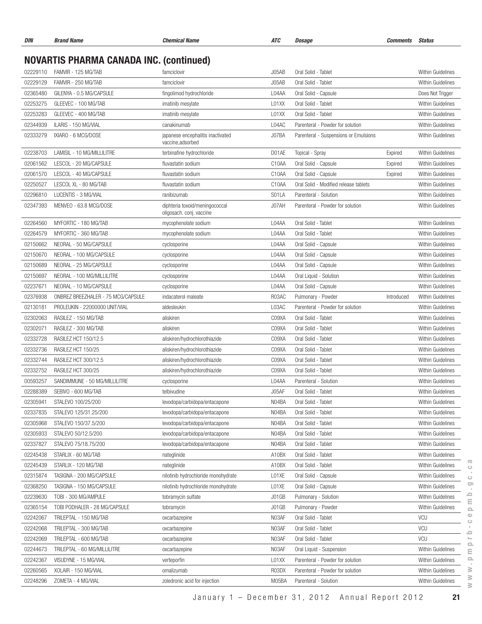| DIN      | <b>Brand Name</b>                              | <b>Chemical Name</b>                                       | <b>ATC</b> | <b>Dosage</b>                         | <b>Comments</b> | <b>Status</b>            |
|----------|------------------------------------------------|------------------------------------------------------------|------------|---------------------------------------|-----------------|--------------------------|
|          |                                                |                                                            |            |                                       |                 |                          |
|          | <b>NOVARTIS PHARMA CANADA INC. (continued)</b> |                                                            |            |                                       |                 |                          |
| 02229110 | FAMVIR - 125 MG/TAB                            | famciclovir                                                | J05AB      | Oral Solid - Tablet                   |                 | Within Guidelines        |
| 02229129 | FAMVIR - 250 MG/TAB                            | famciclovir                                                | J05AB      | Oral Solid - Tablet                   |                 | <b>Within Guidelines</b> |
| 02365480 | GILENYA - 0.5 MG/CAPSULE                       | fingolimod hydrochloride                                   | L04AA      | Oral Solid - Capsule                  |                 | Does Not Trigger         |
| 02253275 | GLEEVEC - 100 MG/TAB                           | imatinib mesylate                                          | L01XX      | Oral Solid - Tablet                   |                 | Within Guidelines        |
| 02253283 | GLEEVEC - 400 MG/TAB                           | imatinib mesylate                                          | L01XX      | Oral Solid - Tablet                   |                 | Within Guidelines        |
| 02344939 | ILARIS - 150 MG/VIAL                           | canakinumab                                                | L04AC      | Parenteral - Powder for solution      |                 | Within Guidelines        |
| 02333279 | IXIARO - 6 MCG/DOSE                            | japanese encephalitis inactivated<br>vaccine, adsorbed     | J07BA      | Parenteral - Suspensions or Emulsions |                 | Within Guidelines        |
| 02238703 | LAMISIL - 10 MG/MILLILITRE                     | terbinafine hydrochloride                                  | D01AE      | Topical - Spray                       | Expired         | Within Guidelines        |
| 02061562 | LESCOL - 20 MG/CAPSULE                         | fluvastatin sodium                                         | C10AA      | Oral Solid - Capsule                  | Expired         | Within Guidelines        |
| 02061570 | LESCOL - 40 MG/CAPSULE                         | fluvastatin sodium                                         | C10AA      | Oral Solid - Capsule                  | Expired         | Within Guidelines        |
| 02250527 | LESCOL XL - 80 MG/TAB                          | fluvastatin sodium                                         | C10AA      | Oral Solid - Modified release tablets |                 | Within Guidelines        |
| 02296810 | LUCENTIS - 3 MG/VIAL                           | ranibizumab                                                | S01LA      | Parenteral - Solution                 |                 | Within Guidelines        |
| 02347393 | MENVEO - 63.8 MCG/DOSE                         | diphteria toxoid/meningococcal<br>oligosach. conj. vaccine | J07AH      | Parenteral - Powder for solution      |                 | Within Guidelines        |
| 02264560 | MYFORTIC - 180 MG/TAB                          | mycophenolate sodium                                       | L04AA      | Oral Solid - Tablet                   |                 | Within Guidelines        |
| 02264579 | MYFORTIC - 360 MG/TAB                          | mycophenolate sodium                                       | L04AA      | Oral Solid - Tablet                   |                 | Within Guidelines        |
| 02150662 | NEORAL - 50 MG/CAPSULE                         | cyclosporine                                               | L04AA      | Oral Solid - Capsule                  |                 | Within Guidelines        |
| 02150670 | NEORAL - 100 MG/CAPSULE                        | cyclosporine                                               | L04AA      | Oral Solid - Capsule                  |                 | Within Guidelines        |
| 02150689 | NEORAL - 25 MG/CAPSULE                         | cyclosporine                                               | L04AA      | Oral Solid - Capsule                  |                 | Within Guidelines        |
| 02150697 | NEORAL - 100 MG/MILLILITRE                     | cyclosporine                                               | L04AA      | Oral Liquid - Solution                |                 | Within Guidelines        |
| 02237671 | NEORAL - 10 MG/CAPSULE                         | cyclosporine                                               | L04AA      | Oral Solid - Capsule                  |                 | Within Guidelines        |
| 02376938 | ONBREZ BREEZHALER - 75 MCG/CAPSULE             | indacaterol maleate                                        | R03AC      | Pulmonary - Powder                    | Introduced      | Within Guidelines        |
| 02130181 | PROLEUKIN - 22000000 UNIT/VIAL                 | aldesleukin                                                | L03AC      | Parenteral - Powder for solution      |                 | Within Guidelines        |
| 02302063 | RASILEZ - 150 MG/TAB                           | aliskiren                                                  | C09XA      | Oral Solid - Tablet                   |                 | Within Guidelines        |
| 02302071 | RASILEZ - 300 MG/TAB                           | aliskiren                                                  | C09XA      | Oral Solid - Tablet                   |                 | Within Guidelines        |
| 02332728 | RASILEZ HCT 150/12.5                           | aliskiren/hydrochlorothiazide                              | C09XA      | Oral Solid - Tablet                   |                 | Within Guidelines        |
| 02332736 | RASILEZ HCT 150/25                             | aliskiren/hydrochlorothiazide                              | C09XA      | Oral Solid - Tablet                   |                 | Within Guidelines        |
| 02332744 | RASILEZ HCT 300/12.5                           | aliskiren/hydrochlorothiazide                              | C09XA      | Oral Solid - Tablet                   |                 | Within Guidelines        |
| 02332752 | RASILEZ HCT 300/25                             | aliskiren/hydrochlorothiazide                              | C09XA      | Oral Solid - Tablet                   |                 | Within Guidelines        |
| 00593257 | SANDIMMUNE - 50 MG/MILLILITRE                  | cyclosporine                                               | L04AA      | Parenteral - Solution                 |                 | Within Guidelines        |
| 02288389 | SEBIVO - 600 MG/TAB                            | telbivudine                                                | J05AF      | Oral Solid - Tablet                   |                 | Within Guidelines        |
| 02305941 | STALEVO 100/25/200                             | levodopa/carbidopa/entacapone                              | N04BA      | Oral Solid - Tablet                   |                 | Within Guidelines        |
| 02337835 | STALEVO 125/31.25/200                          | levodopa/carbidopa/entacapone                              | N04BA      | Oral Solid - Tablet                   |                 | Within Guidelines        |
| 02305968 | STALEVO 150/37.5/200                           | levodopa/carbidopa/entacapone                              | N04BA      | Oral Solid - Tablet                   |                 | Within Guidelines        |
| 02305933 | STALEVO 50/12.5/200                            | levodopa/carbidopa/entacapone                              | N04BA      | Oral Solid - Tablet                   |                 | Within Guidelines        |
| 02337827 | STALEVO 75/18.75/200                           | levodopa/carbidopa/entacapone                              | N04BA      | Oral Solid - Tablet                   |                 | Within Guidelines        |
| 02245438 | STARLIX - 60 MG/TAB                            | nateglinide                                                | A10BX      | Oral Solid - Tablet                   |                 | Within Guidelines        |
| 02245439 | STARLIX - 120 MG/TAB                           | nateglinide                                                | A10BX      | Oral Solid - Tablet                   |                 | Within Guidelines        |
| 02315874 | TASIGNA - 200 MG/CAPSULE                       | nilotinib hydrochloride monohydrate                        | L01XE      | Oral Solid - Capsule                  |                 | Within Guidelines        |
| 02368250 | TASIGNA - 150 MG/CAPSULE                       | nilotinib hydrochloride monohydrate                        | L01XE      | Oral Solid - Capsule                  |                 | Within Guidelines        |
| 02239630 | TOBI - 300 MG/AMPULE                           | tobramycin sulfate                                         | J01GB      | Pulmonary - Solution                  |                 | Within Guidelines        |
| 02365154 | TOBI PODHALER - 28 MG/CAPSULE                  | tobramycin                                                 | J01GB      | Pulmonary - Powder                    |                 | Within Guidelines        |
| 02242067 | TRILEPTAL - 150 MG/TAB                         | oxcarbazepine                                              | N03AF      | Oral Solid - Tablet                   |                 | <b>VCU</b>               |
| 02242068 | TRILEPTAL - 300 MG/TAB                         | oxcarbazepine                                              | N03AF      | Oral Solid - Tablet                   |                 | <b>VCU</b>               |
| 02242069 | TRILEPTAL - 600 MG/TAB                         | oxcarbazepine                                              | N03AF      | Oral Solid - Tablet                   |                 | <b>VCU</b>               |
| 02244673 | TRILEPTAL - 60 MG/MILLILITRE                   | oxcarbazepine                                              | N03AF      | Oral Liquid - Suspension              |                 | Within Guidelines        |
| 02242367 | VISUDYNE - 15 MG/VIAL                          | verteporfin                                                | L01XX      | Parenteral - Powder for solution      |                 | Within Guidelines        |
| 02260565 | XOLAIR - 150 MG/VIAL                           | omalizumab                                                 | R03DX      | Parenteral - Powder for solution      |                 | Within Guidelines        |
| 02248296 | ZOMETA - 4 MG/VIAL                             | zoledronic acid for injection                              | M05BA      | Parenteral - Solution                 |                 | Within Guidelines        |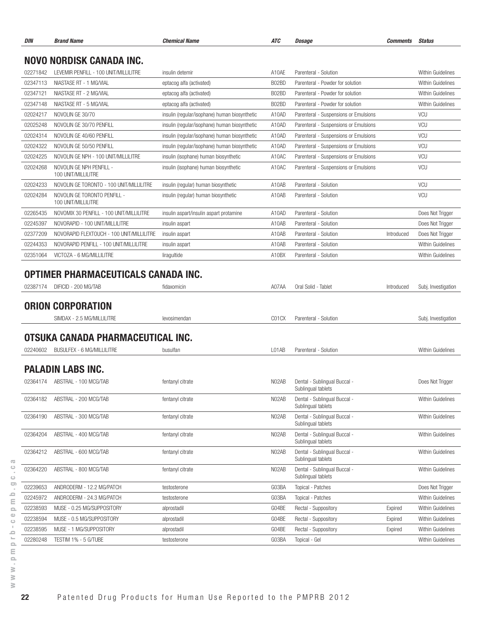| DIN                             | <b>Brand Name</b>                                   | <b>Chemical Name</b>                          | ATC   | <b>Dosage</b>                                      | Comments   | Status                   |  |  |  |
|---------------------------------|-----------------------------------------------------|-----------------------------------------------|-------|----------------------------------------------------|------------|--------------------------|--|--|--|
| <b>NOVO NORDISK CANADA INC.</b> |                                                     |                                               |       |                                                    |            |                          |  |  |  |
| 02271842                        | LEVEMIR PENFILL - 100 UNIT/MILLILITRE               | insulin detemir                               | A10AE | Parenteral - Solution                              |            | Within Guidelines        |  |  |  |
| 02347113                        | NIASTASE RT - 1 MG/VIAL                             | eptacog alfa (activated)                      | B02BD | Parenteral - Powder for solution                   |            | Within Guidelines        |  |  |  |
| 02347121                        | NIASTASE RT - 2 MG/VIAL                             | eptacog alfa (activated)                      | B02BD | Parenteral - Powder for solution                   |            | Within Guidelines        |  |  |  |
| 02347148                        | NIASTASE RT - 5 MG/VIAL                             | eptacog alfa (activated)                      | B02BD | Parenteral - Powder for solution                   |            | Within Guidelines        |  |  |  |
| 02024217                        | NOVOLIN GE 30/70                                    | insulin (regular/isophane) human biosynthetic | A10AD | Parenteral - Suspensions or Emulsions              |            | VCU                      |  |  |  |
| 02025248                        | NOVOLIN GE 30/70 PENFILL                            | insulin (regular/isophane) human biosynthetic | A10AD | Parenteral - Suspensions or Emulsions              |            | <b>VCU</b>               |  |  |  |
| 02024314                        | NOVOLIN GE 40/60 PENFILL                            | insulin (regular/isophane) human biosynthetic | A10AD | Parenteral - Suspensions or Emulsions              |            | <b>VCU</b>               |  |  |  |
| 02024322                        | NOVOLIN GE 50/50 PENFILL                            | insulin (regular/isophane) human biosynthetic | A10AD | Parenteral - Suspensions or Emulsions              |            | <b>VCU</b>               |  |  |  |
| 02024225                        | NOVOLIN GE NPH - 100 UNIT/MILLILITRE                | insulin (isophane) human biosynthetic         | A10AC | Parenteral - Suspensions or Emulsions              |            | <b>VCU</b>               |  |  |  |
| 02024268                        | NOVOLIN GE NPH PENFILL -<br>100 UNIT/MILLILITRE     | insulin (isophane) human biosynthetic         | A10AC | Parenteral - Suspensions or Emulsions              |            | <b>VCU</b>               |  |  |  |
| 02024233                        | NOVOLIN GE TORONTO - 100 UNIT/MILLILITRE            | insulin (regular) human biosynthetic          | A10AB | Parenteral - Solution                              |            | <b>VCU</b>               |  |  |  |
| 02024284                        | NOVOLIN GE TORONTO PENFILL -<br>100 UNIT/MILLILITRE | insulin (regular) human biosynthetic          | A10AB | Parenteral - Solution                              |            | VCU                      |  |  |  |
| 02265435                        | NOVOMIX 30 PENFILL - 100 UNIT/MILLILITRE            | insulin aspart/insulin aspart protamine       | A10AD | Parenteral - Solution                              |            | Does Not Trigger         |  |  |  |
| 02245397                        | NOVORAPID - 100 UNIT/MILLILITRE                     | insulin aspart                                | A10AB | Parenteral - Solution                              |            | Does Not Trigger         |  |  |  |
| 02377209                        | NOVORAPID FLEXTOUCH - 100 UNIT/MILLILITRE           | insulin aspart                                | A10AB | Parenteral - Solution                              | Introduced | Does Not Trigger         |  |  |  |
| 02244353                        | NOVORAPID PENFILL - 100 UNIT/MILLILITRE             | insulin aspart                                | A10AB | Parenteral - Solution                              |            | Within Guidelines        |  |  |  |
| 02351064                        | VICTOZA - 6 MG/MILLILITRE                           | liragultide                                   | A10BX | Parenteral - Solution                              |            | Within Guidelines        |  |  |  |
|                                 | OPTIMER PHARMACEUTICALS CANADA INC.                 |                                               |       |                                                    |            |                          |  |  |  |
| 02387174                        | DIFICID - 200 MG/TAB                                | fidaxomicin                                   | A07AA | Oral Solid - Tablet                                | Introduced | Subj. Investigation      |  |  |  |
|                                 |                                                     |                                               |       |                                                    |            |                          |  |  |  |
|                                 | <b>ORION CORPORATION</b>                            |                                               |       |                                                    |            |                          |  |  |  |
|                                 | SIMDAX - 2.5 MG/MILLILITRE                          | levosimendan                                  | C01CX | Parenteral - Solution                              |            | Subj. Investigation      |  |  |  |
|                                 | OTSUKA CANADA PHARMACEUTICAL INC.                   |                                               |       |                                                    |            |                          |  |  |  |
| 02240602                        | <b>BUSULFEX - 6 MG/MILLILITRE</b>                   | busulfan                                      | L01AB | Parenteral - Solution                              |            | Within Guidelines        |  |  |  |
|                                 |                                                     |                                               |       |                                                    |            |                          |  |  |  |
|                                 | <b>PALADIN LABS INC.</b>                            |                                               |       |                                                    |            |                          |  |  |  |
| 02364174                        | ABSTRAL - 100 MCG/TAB                               | fentanyl citrate                              | NO2AB | Dental - Sublingual Buccal -<br>Sublingual tablets |            | Does Not Trigger         |  |  |  |
| 02364182                        | ABSTRAL - 200 MCG/TAB                               | fentanyl citrate                              | N02AB | Dental - Sublingual Buccal -<br>Sublingual tablets |            | <b>Within Guidelines</b> |  |  |  |
| 02364190                        | ABSTRAL - 300 MCG/TAB                               | fentanyl citrate                              | N02AB | Dental - Sublingual Buccal -<br>Sublingual tablets |            | Within Guidelines        |  |  |  |
| 02364204                        | ABSTRAL - 400 MCG/TAB                               | fentanyl citrate                              | N02AB | Dental - Sublingual Buccal -<br>Sublingual tablets |            | Within Guidelines        |  |  |  |
| 02364212                        | ABSTRAL - 600 MCG/TAB                               | fentanyl citrate                              | N02AB | Dental - Sublingual Buccal -<br>Sublingual tablets |            | Within Guidelines        |  |  |  |
| 02364220                        | ABSTRAL - 800 MCG/TAB                               | fentanyl citrate                              | N02AB | Dental - Sublingual Buccal -<br>Sublingual tablets |            | Within Guidelines        |  |  |  |
| 02239653                        | ANDRODERM - 12.2 MG/PATCH                           | testosterone                                  | G03BA | Topical - Patches                                  |            | Does Not Trigger         |  |  |  |
| 02245972                        | ANDRODERM - 24.3 MG/PATCH                           | testosterone                                  | G03BA | Topical - Patches                                  |            | Within Guidelines        |  |  |  |
| 02238593                        | MUSE - 0.25 MG/SUPPOSITORY                          | alprostadil                                   | G04BE | Rectal - Suppository                               | Expired    | Within Guidelines        |  |  |  |
| 02238594                        | MUSE - 0.5 MG/SUPPOSITORY                           | alprostadil                                   | GO4BE | Rectal - Suppository                               | Expired    | Within Guidelines        |  |  |  |
| 02238595                        | MUSE - 1 MG/SUPPOSITORY                             | alprostadil                                   | GO4BE | Rectal - Suppository                               | Expired    | Within Guidelines        |  |  |  |
| 02280248                        | TESTIM 1% - 5 G/TUBE                                | testosterone                                  | G03BA | Topical - Gel                                      |            | Within Guidelines        |  |  |  |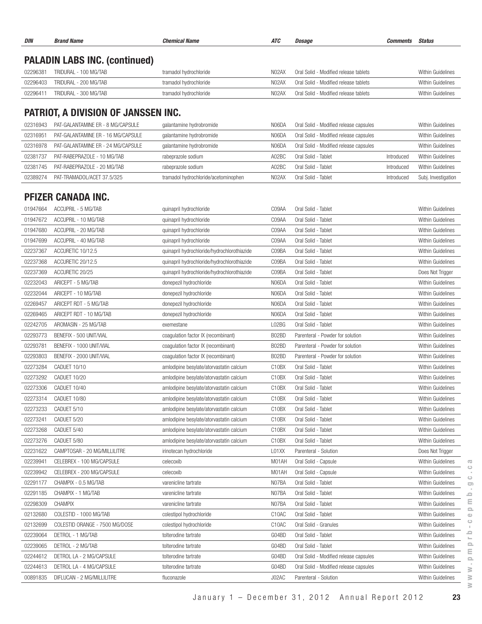| 02296381 | TRIDURAL - 100 MG/TAB               | tramadol hydrochloride                      | NO2AX              | Oral Solid - Modified release tablets  |            | Within Guidelines   |
|----------|-------------------------------------|---------------------------------------------|--------------------|----------------------------------------|------------|---------------------|
| 02296403 | TRIDURAL - 200 MG/TAB               | tramadol hydrochloride                      | N02AX              | Oral Solid - Modified release tablets  |            | Within Guidelines   |
| 02296411 | TRIDURAL - 300 MG/TAB               | tramadol hydrochloride                      | N02AX              | Oral Solid - Modified release tablets  |            | Within Guidelines   |
|          |                                     |                                             |                    |                                        |            |                     |
|          | PATRIOT, A DIVISION OF JANSSEN INC. |                                             |                    |                                        |            |                     |
| 02316943 | PAT-GALANTAMINE ER - 8 MG/CAPSULE   | galantamine hydrobromide                    | N06DA              | Oral Solid - Modified release capsules |            | Within Guidelines   |
| 02316951 | PAT-GALANTAMINE ER - 16 MG/CAPSULE  | galantamine hydrobromide                    | N06DA              | Oral Solid - Modified release capsules |            | Within Guidelines   |
| 02316978 | PAT-GALANTAMINE ER - 24 MG/CAPSULE  | galantamine hydrobromide                    | N06DA              | Oral Solid - Modified release capsules |            | Within Guidelines   |
| 02381737 | PAT-RABEPRAZOLE - 10 MG/TAB         | rabeprazole sodium                          | A02BC              | Oral Solid - Tablet                    | Introduced | Within Guidelines   |
| 02381745 | PAT-RABEPRAZOLE - 20 MG/TAB         | rabeprazole sodium                          | A02BC              | Oral Solid - Tablet                    | Introduced | Within Guidelines   |
| 02389274 | PAT-TRAMADOL/ACET 37.5/325          | tramadol hydrochloride/acetominophen        | N02AX              | Oral Solid - Tablet                    | Introduced | Subj. Investigation |
|          |                                     |                                             |                    |                                        |            |                     |
|          | <b>PFIZER CANADA INC.</b>           |                                             |                    |                                        |            |                     |
| 01947664 | ACCUPRIL - 5 MG/TAB                 | quinapril hydrochloride                     | C09AA              | Oral Solid - Tablet                    |            | Within Guidelines   |
| 01947672 | ACCUPRIL - 10 MG/TAB                | quinapril hydrochloride                     | C09AA              | Oral Solid - Tablet                    |            | Within Guidelines   |
| 01947680 | ACCUPRIL - 20 MG/TAB                | quinapril hydrochloride                     | C09AA              | Oral Solid - Tablet                    |            | Within Guidelines   |
| 01947699 | ACCUPRIL - 40 MG/TAB                | quinapril hydrochloride                     | C09AA              | Oral Solid - Tablet                    |            | Within Guidelines   |
| 02237367 | ACCURETIC 10/12.5                   | quinapril hydrochloride/hydrochlorothiazide | C09BA              | Oral Solid - Tablet                    |            | Within Guidelines   |
| 02237368 | ACCURETIC 20/12.5                   | quinapril hydrochloride/hydrochlorothiazide | C09BA              | Oral Solid - Tablet                    |            | Within Guidelines   |
| 02237369 | ACCURETIC 20/25                     | quinapril hydrochloride/hydrochlorothiazide | C09BA              | Oral Solid - Tablet                    |            | Does Not Trigger    |
| 02232043 | ARICEPT - 5 MG/TAB                  | donepezil hydrochloride                     | N06DA              | Oral Solid - Tablet                    |            | Within Guidelines   |
| 02232044 | ARICEPT - 10 MG/TAB                 | donepezil hydrochloride                     | N06DA              | Oral Solid - Tablet                    |            | Within Guidelines   |
| 02269457 | ARICEPT RDT - 5 MG/TAB              | donepezil hydrochloride                     | N06DA              | Oral Solid - Tablet                    |            | Within Guidelines   |
| 02269465 | ARICEPT RDT - 10 MG/TAB             | donepezil hydrochloride                     | N06DA              | Oral Solid - Tablet                    |            | Within Guidelines   |
| 02242705 | AROMASIN - 25 MG/TAB                | exemestane                                  | L02BG              | Oral Solid - Tablet                    |            | Within Guidelines   |
| 02293773 | BENEFIX - 500 UNIT/VIAL             | coagulation factor IX (recombinant)         | B02BD              | Parenteral - Powder for solution       |            | Within Guidelines   |
| 02293781 | BENEFIX - 1000 UNIT/VIAL            | coagulation factor IX (recombinant)         | B02BD              | Parenteral - Powder for solution       |            | Within Guidelines   |
| 02293803 | BENEFIX - 2000 UNIT/VIAL            | coagulation factor IX (recombinant)         | B02BD              | Parenteral - Powder for solution       |            | Within Guidelines   |
| 02273284 | CADUET 10/10                        | amlodipine besylate/atorvastatin calcium    | C <sub>10</sub> BX | Oral Solid - Tablet                    |            | Within Guidelines   |
| 02273292 | CADUET 10/20                        | amlodipine besylate/atorvastatin calcium    | C <sub>10</sub> BX | Oral Solid - Tablet                    |            | Within Guidelines   |
| 02273306 | CADUET 10/40                        | amlodipine besylate/atorvastatin calcium    | C10BX              | Oral Solid - Tablet                    |            | Within Guidelines   |
| 02273314 | CADUET 10/80                        | amlodipine besylate/atorvastatin calcium    | C10BX              | Oral Solid - Tablet                    |            | Within Guidelines   |
| 02273233 | CADUET 5/10                         | amlodipine besylate/atorvastatin calcium    | C <sub>10</sub> BX | Oral Solid - Tablet                    |            | Within Guidelines   |
| 02273241 | CADUET 5/20                         | amlodipine besylate/atorvastatin calcium    | C <sub>10</sub> BX | Oral Solid - Tablet                    |            | Within Guidelines   |
| 02273268 | CADUET 5/40                         | amlodipine besylate/atorvastatin calcium    | C10BX              | Oral Solid - Tablet                    |            | Within Guidelines   |
| 02273276 | CADUET 5/80                         | amlodipine besylate/atorvastatin calcium    | C10BX              | Oral Solid - Tablet                    |            | Within Guidelines   |
| 02231622 | CAMPTOSAR - 20 MG/MILLILITRE        | irinotecan hydrochloride                    | L01XX              | Parenteral - Solution                  |            | Does Not Trigger    |
| 02239941 | CELEBREX - 100 MG/CAPSULE           | celecoxib                                   | M01AH              | Oral Solid - Capsule                   |            | Within Guidelines   |
| 02239942 | CELEBREX - 200 MG/CAPSULE           | celecoxib                                   | M01AH              | Oral Solid - Capsule                   |            | Within Guidelines   |
| 02291177 | CHAMPIX - 0.5 MG/TAB                | varenicline tartrate                        | N07BA              | Oral Solid - Tablet                    |            | Within Guidelines   |
| 02291185 | CHAMPIX - 1 MG/TAB                  | varenicline tartrate                        | N07BA              | Oral Solid - Tablet                    |            | Within Guidelines   |
| 02298309 | <b>CHAMPIX</b>                      | varenicline tartrate                        | N07BA              | Oral Solid - Tablet                    |            | Within Guidelines   |
| 02132680 | COLESTID - 1000 MG/TAB              | colestipol hydrochloride                    | C <sub>10</sub> AC | Oral Solid - Tablet                    |            | Within Guidelines   |
| 02132699 | COLESTID ORANGE - 7500 MG/DOSE      | colestipol hydrochloride                    | C <sub>10</sub> AC | Oral Solid - Granules                  |            | Within Guidelines   |
| 02239064 | DETROL - 1 MG/TAB                   | tolterodine tartrate                        | G04BD              | Oral Solid - Tablet                    |            | Within Guidelines   |
| 02239065 | DETROL - 2 MG/TAB                   | tolterodine tartrate                        | G04BD              | Oral Solid - Tablet                    |            | Within Guidelines   |
| 02244612 | DETROL LA - 2 MG/CAPSULE            | tolterodine tartrate                        | G04BD              | Oral Solid - Modified release capsules |            | Within Guidelines   |
| 02244613 | DETROL LA - 4 MG/CAPSULE            | tolterodine tartrate                        | G04BD              | Oral Solid - Modified release capsules |            | Within Guidelines   |
| 00891835 | DIFLUCAN - 2 MG/MILLILITRE          | fluconazole                                 | J02AC              | Parenteral - Solution                  |            | Within Guidelines   |

*DIN Brand Name Chemical Name ATC Dosage Comments Status*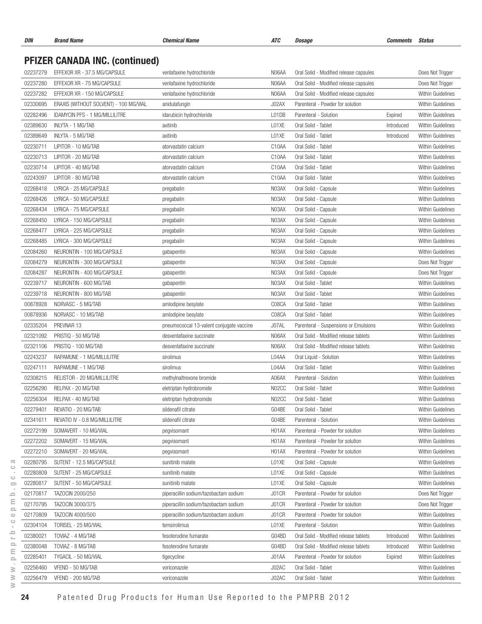| DIN      | <b>Brand Name</b>                      | <b>Chemical Name</b>                     | ATC   | <b>Dosage</b>                          | Comments   | Status                   |
|----------|----------------------------------------|------------------------------------------|-------|----------------------------------------|------------|--------------------------|
|          |                                        |                                          |       |                                        |            |                          |
|          | <b>PFIZER CANADA INC. (continued)</b>  |                                          |       |                                        |            |                          |
| 02237279 | EFFEXOR XR - 37.5 MG/CAPSULE           | venlafaxine hydrochloride                | N06AA | Oral Solid - Modified release capsules |            | Does Not Trigger         |
| 02237280 | EFFEXOR XR - 75 MG/CAPSULE             | venlafaxine hydrochloride                | N06AA | Oral Solid - Modified release capsules |            | Does Not Trigger         |
| 02237282 | EFFEXOR XR - 150 MG/CAPSULE            | venlafaxine hydrochloride                | N06AA | Oral Solid - Modified release capsules |            | Within Guidelines        |
| 02330695 | ERAXIS (WITHOUT SOLVENT) - 100 MG/VIAL | anidulafungin                            | J02AX | Parenteral - Powder for solution       |            | Within Guidelines        |
| 02282496 | <b>IDAMYCIN PFS - 1 MG/MILLILITRE</b>  | idarubicin hydrochloride                 | L01DB | Parenteral - Solution                  | Expired    | Within Guidelines        |
| 02389630 | INLYTA - 1 MG/TAB                      | axitinib                                 | L01XE | Oral Solid - Tablet                    | Introduced | Within Guidelines        |
| 02389649 | <b>INLYTA - 5 MG/TAB</b>               | axitinib                                 | L01XE | Oral Solid - Tablet                    | Introduced | Within Guidelines        |
| 02230711 | LIPITOR - 10 MG/TAB                    | atorvastatin calcium                     | C10AA | Oral Solid - Tablet                    |            | Within Guidelines        |
| 02230713 | LIPITOR - 20 MG/TAB                    | atorvastatin calcium                     | C10AA | Oral Solid - Tablet                    |            | Within Guidelines        |
| 02230714 | LIPITOR - 40 MG/TAB                    | atorvastatin calcium                     | C10AA | Oral Solid - Tablet                    |            | Within Guidelines        |
| 02243097 | LIPITOR - 80 MG/TAB                    | atorvastatin calcium                     | C10AA | Oral Solid - Tablet                    |            | Within Guidelines        |
| 02268418 | LYRICA - 25 MG/CAPSULE                 | pregabalin                               | N03AX | Oral Solid - Capsule                   |            | Within Guidelines        |
| 02268426 | LYRICA - 50 MG/CAPSULE                 | pregabalin                               | N03AX | Oral Solid - Capsule                   |            | Within Guidelines        |
| 02268434 | LYRICA - 75 MG/CAPSULE                 | pregabalin                               | N03AX | Oral Solid - Capsule                   |            | Within Guidelines        |
| 02268450 | LYRICA - 150 MG/CAPSULE                | pregabalin                               | N03AX | Oral Solid - Capsule                   |            | Within Guidelines        |
| 02268477 | LYRICA - 225 MG/CAPSULE                | pregabalin                               | N03AX | Oral Solid - Capsule                   |            | Within Guidelines        |
| 02268485 | LYRICA - 300 MG/CAPSULE                | pregabalin                               | N03AX | Oral Solid - Capsule                   |            | Within Guidelines        |
| 02084260 | NEURONTIN - 100 MG/CAPSULE             | gabapentin                               | N03AX | Oral Solid - Capsule                   |            | Within Guidelines        |
| 02084279 | NEURONTIN - 300 MG/CAPSULE             | gabapentin                               | N03AX | Oral Solid - Capsule                   |            | Does Not Trigger         |
| 02084287 | NEURONTIN - 400 MG/CAPSULE             | gabapentin                               | N03AX | Oral Solid - Capsule                   |            | Does Not Trigger         |
| 02239717 | NEURONTIN - 600 MG/TAB                 | gabapentin                               | N03AX | Oral Solid - Tablet                    |            | Within Guidelines        |
| 02239718 | NEURONTIN - 800 MG/TAB                 | gabapentin                               | N03AX | Oral Solid - Tablet                    |            | Within Guidelines        |
| 00878928 | NORVASC - 5 MG/TAB                     | amlodipine besylate                      | C08CA | Oral Solid - Tablet                    |            | Within Guidelines        |
| 00878936 | NORVASC - 10 MG/TAB                    | amlodipine besylate                      | C08CA | Oral Solid - Tablet                    |            | Within Guidelines        |
| 02335204 | PREVNAR 13                             | pneumococcal 13-valent conjugate vaccine | J07AL | Parenteral - Suspensions or Emulsions  |            | Within Guidelines        |
| 02321092 | PRISTIQ - 50 MG/TAB                    | desvenlafaxine succinate                 | N06AX | Oral Solid - Modified release tablets  |            | Within Guidelines        |
| 02321106 | PRISTIQ - 100 MG/TAB                   | desvenlafaxine succinate                 | N06AX | Oral Solid - Modified release tablets  |            | Within Guidelines        |
| 02243237 | RAPAMUNE - 1 MG/MILLILITRE             | sirolimus                                | L04AA | Oral Liquid - Solution                 |            | <b>Within Guidelines</b> |
| 02247111 | RAPAMUNE - 1 MG/TAB                    | sirolimus                                | L04AA | Oral Solid - Tablet                    |            | Within Guidelines        |
| 02308215 | RELISTOR - 20 MG/MILLILITRE            | methylnaltrexone bromide                 | A06AX | Parenteral - Solution                  |            | Within Guidelines        |
| 02256290 | RELPAX - 20 MG/TAB                     | eletriptan hydrobromide                  | N02CC | Oral Solid - Tablet                    |            | Within Guidelines        |
| 02256304 | RELPAX - 40 MG/TAB                     | eletriptan hydrobromide                  | N02CC | Oral Solid - Tablet                    |            | Within Guidelines        |
| 02279401 | REVATIO - 20 MG/TAB                    | sildenafil citrate                       | G04BE | Oral Solid - Tablet                    |            | Within Guidelines        |
| 02341611 | REVATIO IV - 0.8 MG/MILLILITRE         | sildenafil citrate                       | G04BE | Parenteral - Solution                  |            | Within Guidelines        |
| 02272199 | SOMAVERT - 10 MG/VIAL                  | pegvisomant                              | H01AX | Parenteral - Powder for solution       |            | Within Guidelines        |
| 02272202 | SOMAVERT - 15 MG/VIAL                  | pegvisomant                              | H01AX | Parenteral - Powder for solution       |            | Within Guidelines        |
| 02272210 | SOMAVERT - 20 MG/VIAL                  | pegvisomant                              | H01AX | Parenteral - Powder for solution       |            | Within Guidelines        |
| 02280795 | SUTENT - 12.5 MG/CAPSULE               | sunitinib malate                         | L01XE | Oral Solid - Capsule                   |            | Within Guidelines        |
| 02280809 | SUTENT - 25 MG/CAPSULE                 | sunitinib malate                         | L01XE | Oral Solid - Capsule                   |            | <b>Within Guidelines</b> |
| 02280817 | SUTENT - 50 MG/CAPSULE                 | sunitinib malate                         | L01XE | Oral Solid - Capsule                   |            | Within Guidelines        |
| 02170817 | TAZOCIN 2000/250                       | piperacillin sodium/tazobactam sodium    | J01CR | Parenteral - Powder for solution       |            | Does Not Trigger         |
| 02170795 | TAZOCIN 3000/375                       | piperacillin sodium/tazobactam sodium    | J01CR | Parenteral - Powder for solution       |            | Does Not Trigger         |
| 02170809 | TAZOCIN 4000/500                       | piperacillin sodium/tazobactam sodium    | J01CR | Parenteral - Powder for solution       |            | Within Guidelines        |
| 02304104 | TORISEL - 25 MG/VIAL                   | temsirolimus                             | L01XE | Parenteral - Solution                  |            | Within Guidelines        |
|          | TOVIAZ - 4 MG/TAB                      |                                          |       | Oral Solid - Modified release tablets  |            |                          |
| 02380021 |                                        | fesoterodine fumarate                    | G04BD |                                        | Introduced | Within Guidelines        |
| 02380048 | TOVIAZ - 8 MG/TAB                      | fesoterodine fumarate                    | G04BD | Oral Solid - Modified release tablets  | Introduced | Within Guidelines        |
| 02285401 | TYGACIL - 50 MG/VIAL                   | tigecycline                              | J01AA | Parenteral - Powder for solution       | Expired    | Within Guidelines        |
| 02256460 | VFEND - 50 MG/TAB                      | voriconazole                             | J02AC | Oral Solid - Tablet                    |            | Within Guidelines        |
| 02256479 | VFEND - 200 MG/TAB                     | voriconazole                             | J02AC | Oral Solid - Tablet                    |            | Within Guidelines        |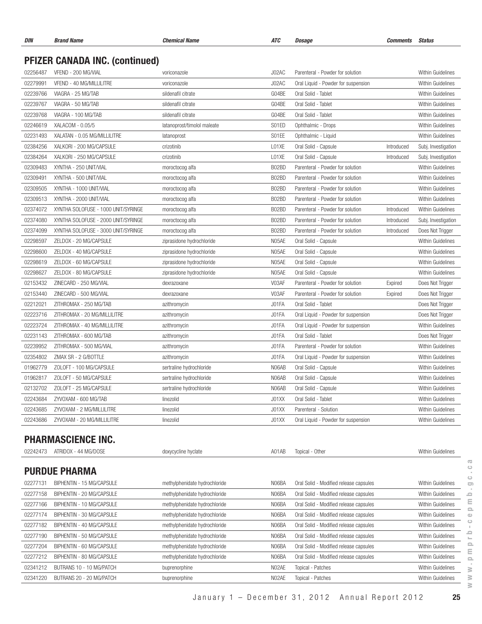| DIN                  | <b>Brand Name</b>                                            | <b>Chemical Name</b>               | <b>ATC</b>     | Dosage                                                               | <b>Comments</b> | <b>Status</b>                                |
|----------------------|--------------------------------------------------------------|------------------------------------|----------------|----------------------------------------------------------------------|-----------------|----------------------------------------------|
|                      | <b>PFIZER CANADA INC. (continued)</b>                        |                                    |                |                                                                      |                 |                                              |
| 02256487             | VFEND - 200 MG/VIAL                                          |                                    | J02AC          | Parenteral - Powder for solution                                     |                 | Within Guidelines                            |
| 02279991             | VFEND - 40 MG/MILLILITRE                                     | voriconazole<br>voriconazole       | J02AC          | Oral Liquid - Powder for suspension                                  |                 | Within Guidelines                            |
| 02239766             | VIAGRA - 25 MG/TAB                                           | sildenafil citrate                 | GO4BE          | Oral Solid - Tablet                                                  |                 | Within Guidelines                            |
| 02239767             | VIAGRA - 50 MG/TAB                                           | sildenafil citrate                 | G04BE          | Oral Solid - Tablet                                                  |                 | Within Guidelines                            |
| 02239768             | VIAGRA - 100 MG/TAB                                          | sildenafil citrate                 | G04BE          | Oral Solid - Tablet                                                  |                 | Within Guidelines                            |
| 02246619             | XALACOM - 0.05/5                                             | latanoprost/timolol maleate        | S01ED          | Ophthalmic - Drops                                                   |                 | Within Guidelines                            |
| 02231493             | XALATAN - 0.05 MG/MILLILITRE                                 | latanoprost                        | S01EE          | Ophthalmic - Liquid                                                  |                 | Within Guidelines                            |
| 02384256             | XALKORI - 200 MG/CAPSULE                                     | crizotinib                         | L01XE          | Oral Solid - Capsule                                                 | Introduced      | Subj. Investigation                          |
| 02384264             | XALKORI - 250 MG/CAPSULE                                     | crizotinib                         | L01XE          | Oral Solid - Capsule                                                 | Introduced      | Subj. Investigation                          |
| 02309483             | XYNTHA - 250 UNIT/VIAL                                       |                                    | B02BD          | Parenteral - Powder for solution                                     |                 | Within Guidelines                            |
| 02309491             | XYNTHA - 500 UNIT/VIAL                                       | moroctocog alfa<br>moroctocog alfa | B02BD          | Parenteral - Powder for solution                                     |                 | Within Guidelines                            |
| 02309505             | XYNTHA - 1000 UNIT/VIAL                                      | moroctocog alfa                    | B02BD          | Parenteral - Powder for solution                                     |                 | Within Guidelines                            |
| 02309513             | XYNTHA - 2000 UNIT/VIAL                                      |                                    | B02BD          | Parenteral - Powder for solution                                     |                 | Within Guidelines                            |
| 02374072             | XYNTHA SOLOFUSE - 1000 UNIT/SYRINGE                          | moroctocog alfa                    | B02BD          | Parenteral - Powder for solution                                     | Introduced      | Within Guidelines                            |
| 02374080             | XYNTHA SOLOFUSE - 2000 UNIT/SYRINGE                          | moroctocog alfa                    | B02BD          | Parenteral - Powder for solution                                     | Introduced      | Subj. Investigation                          |
| 02374099             | XYNTHA SOLOFUSE - 3000 UNIT/SYRINGE                          | moroctocog alfa                    | B02BD          | Parenteral - Powder for solution                                     |                 |                                              |
|                      | ZELDOX - 20 MG/CAPSULE                                       | moroctocog alfa                    | N05AE          | Oral Solid - Capsule                                                 | Introduced      | Does Not Trigger<br>Within Guidelines        |
| 02298597<br>02298600 | ZELDOX - 40 MG/CAPSULE                                       | ziprasidone hydrochloride          | N05AE          |                                                                      |                 | Within Guidelines                            |
| 02298619             |                                                              | ziprasidone hydrochloride          |                | Oral Solid - Capsule                                                 |                 |                                              |
| 02298627             | ZELDOX - 60 MG/CAPSULE                                       | ziprasidone hydrochloride          | N05AE<br>N05AE | Oral Solid - Capsule                                                 |                 | Within Guidelines<br>Within Guidelines       |
|                      | ZELDOX - 80 MG/CAPSULE                                       | ziprasidone hydrochloride          | V03AF          | Oral Solid - Capsule                                                 |                 |                                              |
| 02153432<br>02153440 | ZINECARD - 250 MG/VIAL                                       | dexrazoxane                        | V03AF          | Parenteral - Powder for solution<br>Parenteral - Powder for solution | Expired         | Does Not Trigger                             |
| 02212021             | ZINECARD - 500 MG/VIAL                                       | dexrazoxane                        | J01FA          |                                                                      | Expired         | Does Not Trigger                             |
|                      | ZITHROMAX - 250 MG/TAB                                       | azithromycin                       |                | Oral Solid - Tablet                                                  |                 | Does Not Trigger                             |
| 02223716<br>02223724 | ZITHROMAX - 20 MG/MILLILITRE<br>ZITHROMAX - 40 MG/MILLILITRE | azithromycin                       | J01FA<br>J01FA | Oral Liquid - Powder for suspension                                  |                 | Does Not Trigger<br><b>Within Guidelines</b> |
|                      |                                                              | azithromycin                       |                | Oral Liquid - Powder for suspension                                  |                 |                                              |
| 02231143<br>02239952 | ZITHROMAX - 600 MG/TAB                                       | azithromycin                       | J01FA          | Oral Solid - Tablet<br>Parenteral - Powder for solution              |                 | Does Not Trigger                             |
| 02354802             | ZITHROMAX - 500 MG/VIAL<br>ZMAX SR - 2 G/BOTTLE              | azithromycin<br>azithromycin       | J01FA<br>J01FA |                                                                      |                 | Within Guidelines<br>Within Guidelines       |
| 01962779             | ZOLOFT - 100 MG/CAPSULE                                      |                                    | N06AB          | Oral Liquid - Powder for suspension                                  |                 | Within Guidelines                            |
| 01962817             | ZOLOFT - 50 MG/CAPSULE                                       | sertraline hydrochloride           | N06AB          | Oral Solid - Capsule                                                 |                 | <b>Within Guidelines</b>                     |
|                      | ZOLOFT - 25 MG/CAPSULE                                       | sertraline hydrochloride           |                | Oral Solid - Capsule                                                 |                 |                                              |
| 02132702<br>02243684 |                                                              | sertraline hydrochloride           | N06AB          | Oral Solid - Capsule                                                 |                 | Within Guidelines                            |
| 02243685             | ZYVOXAM - 600 MG/TAB<br>ZYVOXAM - 2 MG/MILLILITRE            | linezolid<br>linezolid             | J01XX<br>J01XX | Oral Solid - Tablet<br>Parenteral - Solution                         |                 | Within Guidelines<br>Within Guidelines       |
|                      | ZYVOXAM - 20 MG/MILLILITRE                                   |                                    |                |                                                                      |                 | Within Guidelines                            |
| 02243686             |                                                              | linezolid                          | J01XX          | Oral Liquid - Powder for suspension                                  |                 |                                              |
|                      | <b>PHARMASCIENCE INC.</b>                                    |                                    |                |                                                                      |                 |                                              |
| 02242473             | ATRIDOX - 44 MG/DOSE                                         | doxycycline hyclate                | A01AB          | Topical - Other                                                      |                 | Within Guidelines                            |
|                      |                                                              |                                    |                |                                                                      |                 |                                              |
|                      | <b>PURDUE PHARMA</b>                                         |                                    |                |                                                                      |                 |                                              |
| 02277131             | BIPHENTIN - 15 MG/CAPSULE                                    | methylphenidate hydrochloride      | N06BA          | Oral Solid - Modified release capsules                               |                 | Within Guidelines                            |
| 02277158             | BIPHENTIN - 20 MG/CAPSULE                                    | methylphenidate hydrochloride      | N06BA          | Oral Solid - Modified release capsules                               |                 | Within Guidelines                            |
| 02277166             | BIPHENTIN - 10 MG/CAPSULE                                    | methylphenidate hydrochloride      | N06BA          | Oral Solid - Modified release capsules                               |                 | Within Guidelines                            |
| 02277174             | BIPHENTIN - 30 MG/CAPSULE                                    | methylphenidate hydrochloride      | N06BA          | Oral Solid - Modified release capsules                               |                 | Within Guidelines                            |
| 02277182             | BIPHENTIN - 40 MG/CAPSULE                                    | methylphenidate hydrochloride      | N06BA          | Oral Solid - Modified release capsules                               |                 | Within Guidelines                            |
| 02277190             | BIPHENTIN - 50 MG/CAPSULE                                    | methylphenidate hydrochloride      | N06BA          | Oral Solid - Modified release capsules                               |                 | Within Guidelines                            |
| 02277204             | BIPHENTIN - 60 MG/CAPSULE                                    | methylphenidate hydrochloride      | N06BA          | Oral Solid - Modified release capsules                               |                 | Within Guidelines                            |
| 02277212             | BIPHENTIN - 80 MG/CAPSULE                                    | methylphenidate hydrochloride      | N06BA          | Oral Solid - Modified release capsules                               |                 | Within Guidelines                            |
| 02341212             | BUTRANS 10 - 10 MG/PATCH                                     | buprenorphine                      | N02AE          | Topical - Patches                                                    |                 | Within Guidelines                            |
| 02341220             | BUTRANS 20 - 20 MG/PATCH                                     | buprenorphine                      | N02AE          | Topical - Patches                                                    |                 | Within Guidelines                            |
|                      |                                                              |                                    |                |                                                                      |                 |                                              |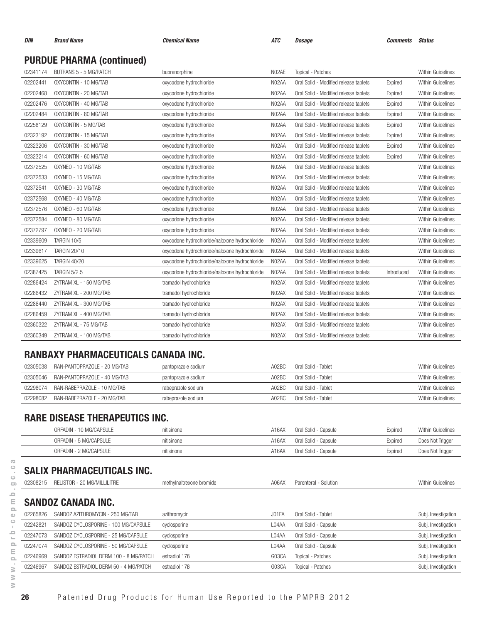|          | <b>PURDUE PHARMA (continued)</b>       |                                                |                    |                                       |            |                          |
|----------|----------------------------------------|------------------------------------------------|--------------------|---------------------------------------|------------|--------------------------|
| 02341174 | BUTRANS 5 - 5 MG/PATCH                 | buprenorphine                                  | N02AE              | Topical - Patches                     |            | Within Guidelines        |
| 02202441 | OXYCONTIN - 10 MG/TAB                  | oxycodone hydrochloride                        | N02AA              | Oral Solid - Modified release tablets | Expired    | Within Guidelines        |
| 02202468 | OXYCONTIN - 20 MG/TAB                  | oxycodone hydrochloride                        | N02AA              | Oral Solid - Modified release tablets | Expired    | Within Guidelines        |
| 02202476 | OXYCONTIN - 40 MG/TAB                  | oxycodone hydrochloride                        | N02AA              | Oral Solid - Modified release tablets | Expired    | Within Guidelines        |
| 02202484 | OXYCONTIN - 80 MG/TAB                  | oxycodone hydrochloride                        | N02AA              | Oral Solid - Modified release tablets | Expired    | Within Guidelines        |
| 02258129 | OXYCONTIN - 5 MG/TAB                   | oxycodone hydrochloride                        | N02AA              | Oral Solid - Modified release tablets | Expired    | Within Guidelines        |
| 02323192 | OXYCONTIN - 15 MG/TAB                  | oxycodone hydrochloride                        | N02AA              | Oral Solid - Modified release tablets | Expired    | <b>Within Guidelines</b> |
| 02323206 | OXYCONTIN - 30 MG/TAB                  | oxycodone hydrochloride                        | N02AA              | Oral Solid - Modified release tablets | Expired    | Within Guidelines        |
| 02323214 | OXYCONTIN - 60 MG/TAB                  | oxycodone hydrochloride                        | N02AA              | Oral Solid - Modified release tablets | Expired    | Within Guidelines        |
| 02372525 | OXYNEO - 10 MG/TAB                     | oxycodone hydrochloride                        | N02AA              | Oral Solid - Modified release tablets |            | Within Guidelines        |
| 02372533 | OXYNEO - 15 MG/TAB                     | oxycodone hydrochloride                        | N02AA              | Oral Solid - Modified release tablets |            | Within Guidelines        |
| 02372541 | OXYNEO - 30 MG/TAB                     | oxycodone hydrochloride                        | N02AA              | Oral Solid - Modified release tablets |            | Within Guidelines        |
| 02372568 | OXYNEO - 40 MG/TAB                     | oxycodone hydrochloride                        | N02AA              | Oral Solid - Modified release tablets |            | Within Guidelines        |
| 02372576 | OXYNEO - 60 MG/TAB                     | oxycodone hydrochloride                        | N02AA              | Oral Solid - Modified release tablets |            | <b>Within Guidelines</b> |
| 02372584 | OXYNEO - 80 MG/TAB                     | oxycodone hydrochloride                        | N02AA              | Oral Solid - Modified release tablets |            | <b>Within Guidelines</b> |
| 02372797 | OXYNEO - 20 MG/TAB                     | oxycodone hydrochloride                        | N02AA              | Oral Solid - Modified release tablets |            | Within Guidelines        |
| 02339609 | TARGIN 10/5                            | oxycodone hydrochloride/naloxone hydrochloride | N02AA              | Oral Solid - Modified release tablets |            | <b>Within Guidelines</b> |
| 02339617 | <b>TARGIN 20/10</b>                    | oxycodone hydrochloride/naloxone hydrochloride | N02AA              | Oral Solid - Modified release tablets |            | Within Guidelines        |
| 02339625 | <b>TARGIN 40/20</b>                    | oxycodone hydrochloride/naloxone hydrochloride | N02AA              | Oral Solid - Modified release tablets |            | Within Guidelines        |
| 02387425 | <b>TARGIN 5/2.5</b>                    | oxycodone hydrochloride/naloxone hydrochloride | N02AA              | Oral Solid - Modified release tablets | Introduced | Within Guidelines        |
| 02286424 | ZYTRAM XL - 150 MG/TAB                 | tramadol hydrochloride                         | N02AX              | Oral Solid - Modified release tablets |            | Within Guidelines        |
| 02286432 | ZYTRAM XL - 200 MG/TAB                 | tramadol hydrochloride                         | NO <sub>2</sub> AX | Oral Solid - Modified release tablets |            | Within Guidelines        |
| 02286440 | ZYTRAM XL - 300 MG/TAB                 | tramadol hydrochloride                         | NO <sub>2</sub> AX | Oral Solid - Modified release tablets |            | Within Guidelines        |
| 02286459 | ZYTRAM XL - 400 MG/TAB                 | tramadol hydrochloride                         | NO <sub>2</sub> AX | Oral Solid - Modified release tablets |            | Within Guidelines        |
| 02360322 | ZYTRAM XL - 75 MG/TAB                  | tramadol hydrochloride                         | N02AX              | Oral Solid - Modified release tablets |            | Within Guidelines        |
| 02360349 | ZYTRAM XL - 100 MG/TAB                 | tramadol hydrochloride                         | NO <sub>2</sub> AX | Oral Solid - Modified release tablets |            | Within Guidelines        |
|          | RANBAXY PHARMACEUTICALS CANADA INC.    |                                                |                    |                                       |            |                          |
| 02305038 | RAN-PANTOPRAZOLE - 20 MG/TAB           | pantoprazole sodium                            | A02BC              | Oral Solid - Tablet                   |            | Within Guidelines        |
| 02305046 | RAN-PANTOPRAZOLE - 40 MG/TAB           | pantoprazole sodium                            | A02BC              | Oral Solid - Tablet                   |            | Within Guidelines        |
| 02298074 | RAN-RABEPRAZOLE - 10 MG/TAB            | rabeprazole sodium                             | A02BC              | Oral Solid - Tablet                   |            | Within Guidelines        |
| 02298082 | RAN-RABEPRAZOLE - 20 MG/TAB            | rabeprazole sodium                             | A02BC              | Oral Solid - Tablet                   |            | Within Guidelines        |
|          |                                        |                                                |                    |                                       |            |                          |
|          | <b>RARE DISEASE THERAPEUTICS INC.</b>  |                                                |                    |                                       |            |                          |
|          | ORFADIN - 10 MG/CAPSULE                | nitisinone                                     | A16AX              | Oral Solid - Capsule                  | Expired    | Within Guidelines        |
|          | ORFADIN - 5 MG/CAPSULE                 | nitisinone                                     | A16AX              | Oral Solid - Capsule                  | Expired    | Does Not Trigger         |
|          | ORFADIN - 2 MG/CAPSULE                 | nitisinone                                     | A16AX              | Oral Solid - Capsule                  | Expired    | Does Not Trigger         |
|          |                                        |                                                |                    |                                       |            |                          |
|          | <b>SALIX PHARMACEUTICALS INC.</b>      |                                                |                    |                                       |            |                          |
| 02308215 | RELISTOR - 20 MG/MILLILITRE            | methylnaltrexone bromide                       | A06AX              | Parenteral - Solution                 |            | Within Guidelines        |
|          | <b>SANDOZ CANADA INC.</b>              |                                                |                    |                                       |            |                          |
| 02265826 | SANDOZ AZITHROMYCIN - 250 MG/TAB       | azithromycin                                   | J01FA              | Oral Solid - Tablet                   |            | Subj. Investigation      |
| 02242821 | SANDOZ CYCLOSPORINE - 100 MG/CAPSULE   | cyclosporine                                   | L04AA              | Oral Solid - Capsule                  |            | Subj. Investigation      |
| 02247073 | SANDOZ CYCLOSPORINE - 25 MG/CAPSULE    | cyclosporine                                   | L04AA              | Oral Solid - Capsule                  |            | Subj. Investigation      |
| 02247074 | SANDOZ CYCLOSPORINE - 50 MG/CAPSULE    | cyclosporine                                   | L04AA              | Oral Solid - Capsule                  |            | Subj. Investigation      |
| 02246969 | SANDOZ ESTRADIOL DERM 100 - 8 MG/PATCH | estradiol 17 <sub>B</sub>                      | G03CA              | Topical - Patches                     |            | Subj. Investigation      |
| 02246967 | SANDOZ ESTRADIOL DERM 50 - 4 MG/PATCH  | estradiol 17B                                  | G03CA              | Topical - Patches                     |            | Subj. Investigation      |
|          |                                        |                                                |                    |                                       |            |                          |

*DIN Brand Name Chemical Name ATC Dosage Comments Status*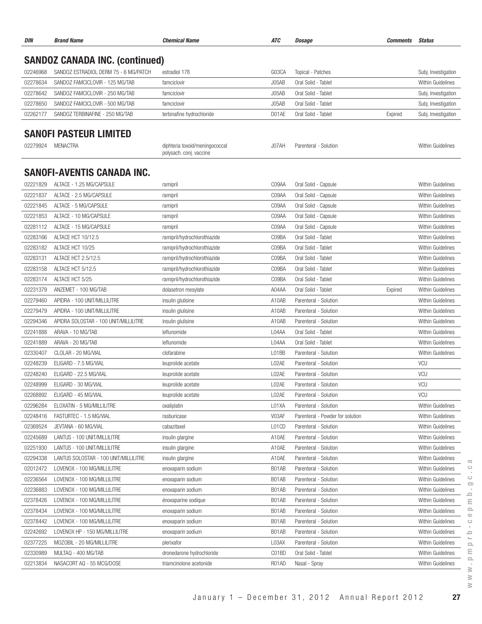| DIN      | <b>Brand Name</b>                     | <b>Chemical Name</b>                                      | ATC   | Dosage                           | Comments | <b>Status</b>            |
|----------|---------------------------------------|-----------------------------------------------------------|-------|----------------------------------|----------|--------------------------|
|          | <b>SANDOZ CANADA INC. (continued)</b> |                                                           |       |                                  |          |                          |
| 02246968 | SANDOZ ESTRADIOL DERM 75 - 6 MG/PATCH | estradiol 17 <sub>B</sub>                                 | G03CA | Topical - Patches                |          | Subj. Investigation      |
| 02278634 | SANDOZ FAMCICLOVIR - 125 MG/TAB       | famciclovir                                               | J05AB | Oral Solid - Tablet              |          | Within Guidelines        |
| 02278642 | SANDOZ FAMCICLOVIR - 250 MG/TAB       | famciclovir                                               | J05AB | Oral Solid - Tablet              |          | Subj. Investigation      |
| 02278650 | SANDOZ FAMCICLOVIR - 500 MG/TAB       | famciclovir                                               | J05AB | Oral Solid - Tablet              |          | Subj. Investigation      |
| 02262177 | SANDOZ TERBINAFINE - 250 MG/TAB       | terbinafine hydrochloride                                 | D01AE | Oral Solid - Tablet              | Expired  | Subj. Investigation      |
|          | <b>SANOFI PASTEUR LIMITED</b>         |                                                           |       |                                  |          |                          |
| 02279924 | MENACTRA                              | diphteria toxoid/meningococcal<br>polysach. conj. vaccine | J07AH | Parenteral - Solution            |          | Within Guidelines        |
|          | <b>SANOFI-AVENTIS CANADA INC.</b>     |                                                           |       |                                  |          |                          |
| 02221829 | ALTACE - 1.25 MG/CAPSULE              | ramipril                                                  | C09AA | Oral Solid - Capsule             |          | Within Guidelines        |
| 02221837 | ALTACE - 2.5 MG/CAPSULE               | ramipril                                                  | C09AA | Oral Solid - Capsule             |          | Within Guidelines        |
| 02221845 | ALTACE - 5 MG/CAPSULE                 | ramipril                                                  | C09AA | Oral Solid - Capsule             |          | Within Guidelines        |
| 02221853 | ALTACE - 10 MG/CAPSULE                | ramipril                                                  | C09AA | Oral Solid - Capsule             |          | Within Guidelines        |
| 02281112 | ALTACE - 15 MG/CAPSULE                | ramipril                                                  | C09AA | Oral Solid - Capsule             |          | Within Guidelines        |
| 02283166 | ALTACE HCT 10/12.5                    | ramipril/hydrochlorothiazide                              | C09BA | Oral Solid - Tablet              |          | Within Guidelines        |
| 02283182 | ALTACE HCT 10/25                      | ramipril/hydrochlorothiazide                              | C09BA | Oral Solid - Tablet              |          | Within Guidelines        |
| 02283131 | ALTACE HCT 2.5/12.5                   | ramipril/hydrochlorothiazide                              | C09BA | Oral Solid - Tablet              |          | Within Guidelines        |
| 02283158 | ALTACE HCT 5/12.5                     | ramipril/hydrochlorothiazide                              | C09BA | Oral Solid - Tablet              |          | Within Guidelines        |
| 02283174 | ALTACE HCT 5/25                       | ramipril/hydrochlorothiazide                              | C09BA | Oral Solid - Tablet              |          | Within Guidelines        |
| 02231379 | ANZEMET - 100 MG/TAB                  | dolasetron mesylate                                       | A04AA | Oral Solid - Tablet              | Expired  | Within Guidelines        |
| 02279460 | APIDRA - 100 UNIT/MILLILITRE          | insulin glulisine                                         | A10AB | Parenteral - Solution            |          | Within Guidelines        |
| 02279479 | APIDRA - 100 UNIT/MILLILITRE          | insulin glulisine                                         | A10AB | Parenteral - Solution            |          | Within Guidelines        |
| 02294346 | APIDRA SOLOSTAR - 100 UNIT/MILLILITRE | insulin glulisine                                         | A10AB | Parenteral - Solution            |          | <b>Within Guidelines</b> |
| 02241888 | ARAVA - 10 MG/TAB                     | leflunomide                                               | L04AA | Oral Solid - Tablet              |          | Within Guidelines        |
| 02241889 | ARAVA - 20 MG/TAB                     | leflunomide                                               | L04AA | Oral Solid - Tablet              |          | Within Guidelines        |
| 02330407 | CLOLAR - 20 MG/VIAL                   | clofarabine                                               | L01BB | Parenteral - Solution            |          | Within Guidelines        |
| 02248239 | ELIGARD - 7.5 MG/VIAL                 |                                                           |       |                                  |          |                          |
|          |                                       | leuprolide acetate                                        | L02AE | Parenteral - Solution            |          | <b>VCU</b>               |
| 02248240 | ELIGARD - 22.5 MG/VIAL                | leuprolide acetate                                        | L02AE | Parenteral - Solution            |          | <b>VCU</b>               |
| 02248999 | ELIGARD - 30 MG/VIAL                  | leuprolide acetate                                        | L02AE | Parenteral - Solution            |          | VCU                      |
| 02268892 | ELIGARD - 45 MG/VIAL                  | leuprolide acetate                                        | L02AE | Parenteral - Solution            |          | <b>VCU</b>               |
| 02296284 | ELOXATIN - 5 MG/MILLILITRE            | oxaliplatin                                               | L01XA | Parenteral - Solution            |          | Within Guidelines        |
| 02248416 | FASTURTEC - 1.5 MG/VIAL               | rasburicase                                               | V03AF | Parenteral - Powder for solution |          | Within Guidelines        |
| 02369524 | JEVTANA - 60 MG/VIAL                  | cabazitaxel                                               | L01CD | Parenteral - Solution            |          | Within Guidelines        |
| 02245689 | LANTUS - 100 UNIT/MILLILITRE          | insulin glargine                                          | A10AE | Parenteral - Solution            |          | Within Guidelines        |
| 02251930 | LANTUS - 100 UNIT/MILLILITRE          | insulin glargine                                          | A10AE | Parenteral - Solution            |          | Within Guidelines        |
| 02294338 | LANTUS SOLOSTAR - 100 UNIT/MILLILITRE | insulin glargine                                          | A10AE | Parenteral - Solution            |          | Within Guidelines        |
| 02012472 | LOVENOX - 100 MG/MILLILITRE           | enoxaparin sodium                                         | B01AB | Parenteral - Solution            |          | Within Guidelines        |
| 02236564 | LOVENOX - 100 MG/MILLILITRE           | enoxaparin sodium                                         | B01AB | Parenteral - Solution            |          | Within Guidelines        |
| 02236883 | LOVENOX - 100 MG/MILLILITRE           | enoxaparin sodium                                         | B01AB | Parenteral - Solution            |          | Within Guidelines        |
| 02378426 | LOVENOX - 100 MG/MILLILITRE           | énoxaparine sodique                                       | B01AB | Parenteral - Solution            |          | Within Guidelines        |
| 02378434 | LOVENOX - 100 MG/MILLILITRE           | enoxaparin sodium                                         | B01AB | Parenteral - Solution            |          | Within Guidelines        |
| 02378442 | LOVENOX - 100 MG/MILLILITRE           | enoxaparin sodium                                         | B01AB | Parenteral - Solution            |          | Within Guidelines        |
| 02242692 | LOVENOX HP - 150 MG/MILLILITRE        | enoxaparin sodium                                         | B01AB | Parenteral - Solution            |          | Within Guidelines        |
| 02377225 | MOZOBIL - 20 MG/MILLILITRE            | plerixafor                                                | L03AX | Parenteral - Solution            |          | Within Guidelines        |
| 02330989 | MULTAQ - 400 MG/TAB                   | dronedarone hydrochloride                                 | C01BD | Oral Solid - Tablet              |          | Within Guidelines        |
| 02213834 | NASACORT AQ - 55 MCG/DOSE             | triamcinolone acetonide                                   | R01AD | Nasal - Spray                    |          | Within Guidelines        |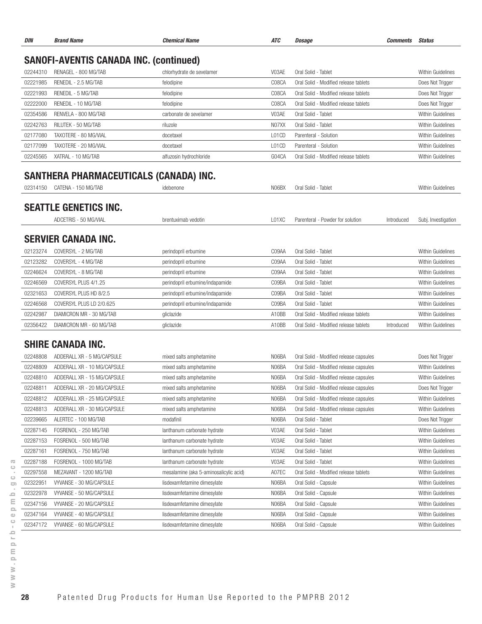| DIN      | <b>Brand Name</b>                             | <b>Chemical Name</b>                   | <b>ATC</b> | Dosage                                 | <b>Comments</b> | <b>Status</b>            |
|----------|-----------------------------------------------|----------------------------------------|------------|----------------------------------------|-----------------|--------------------------|
|          | <b>SANOFI-AVENTIS CANADA INC. (continued)</b> |                                        |            |                                        |                 |                          |
| 02244310 | RENAGEL - 800 MG/TAB                          | chlorhydrate de sevelamer              | V03AE      | Oral Solid - Tablet                    |                 | Within Guidelines        |
| 02221985 | RENEDIL - 2.5 MG/TAB                          | felodipine                             | C08CA      | Oral Solid - Modified release tablets  |                 | Does Not Trigger         |
| 02221993 | RENEDIL - 5 MG/TAB                            | felodipine                             | C08CA      | Oral Solid - Modified release tablets  |                 | Does Not Trigger         |
| 02222000 | RENEDIL - 10 MG/TAB                           | felodipine                             | C08CA      | Oral Solid - Modified release tablets  |                 | Does Not Trigger         |
| 02354586 | RENVELA - 800 MG/TAB                          | carbonate de sevelamer                 | V03AE      | Oral Solid - Tablet                    |                 | Within Guidelines        |
| 02242763 | RILUTEK - 50 MG/TAB                           | riluzole                               | N07XX      | Oral Solid - Tablet                    |                 | Within Guidelines        |
| 02177080 | TAXOTERE - 80 MG/VIAL                         | docetaxel                              | L01CD      | Parenteral - Solution                  |                 | Within Guidelines        |
| 02177099 | TAXOTERE - 20 MG/VIAL                         | docetaxel                              | L01CD      | Parenteral - Solution                  |                 | Within Guidelines        |
| 02245565 | XATRAL - 10 MG/TAB                            | alfuzosin hydrochloride                | G04CA      | Oral Solid - Modified release tablets  |                 | Within Guidelines        |
|          | SANTHERA PHARMACEUTICALS (CANADA) INC.        |                                        |            |                                        |                 |                          |
| 02314150 | CATENA - 150 MG/TAB                           | idebenone                              | N06BX      | Oral Solid - Tablet                    |                 | Within Guidelines        |
|          | <b>SEATTLE GENETICS INC.</b>                  |                                        |            |                                        |                 |                          |
|          | ADCETRIS - 50 MG/VIAL                         | brentuximab vedotin                    | L01XC      | Parenteral - Powder for solution       | Introduced      | Subj. Investigation      |
|          | <b>SERVIER CANADA INC.</b>                    |                                        |            |                                        |                 |                          |
| 02123274 | COVERSYL - 2 MG/TAB                           | perindopril erbumine                   | C09AA      | Oral Solid - Tablet                    |                 | Within Guidelines        |
| 02123282 | COVERSYL - 4 MG/TAB                           | perindopril erbumine                   | C09AA      | Oral Solid - Tablet                    |                 | Within Guidelines        |
| 02246624 | COVERSYL - 8 MG/TAB                           | perindopril erbumine                   | C09AA      | Oral Solid - Tablet                    |                 | Within Guidelines        |
| 02246569 | COVERSYL PLUS 4/1.25                          | perindopril erbumine/indapamide        | C09BA      | Oral Solid - Tablet                    |                 | Within Guidelines        |
| 02321653 | COVERSYL PLUS HD 8/2.5                        | perindopril erbumine/indapamide        | C09BA      | Oral Solid - Tablet                    |                 | <b>Within Guidelines</b> |
| 02246568 | COVERSYL PLUS LD 2/0.625                      | perindopril erbumine/indapamide        | C09BA      | Oral Solid - Tablet                    |                 | Within Guidelines        |
| 02242987 | DIAMICRON MR - 30 MG/TAB                      | gliclazide                             | A10BB      | Oral Solid - Modified release tablets  |                 | Within Guidelines        |
| 02356422 | DIAMICRON MR - 60 MG/TAB                      | gliclazide                             | A10BB      | Oral Solid - Modified release tablets  | Introduced      | Within Guidelines        |
|          | <b>SHIRE CANADA INC.</b>                      |                                        |            |                                        |                 |                          |
| 02248808 | ADDERALL XR - 5 MG/CAPSULE                    | mixed salts amphetamine                | N06BA      | Oral Solid - Modified release capsules |                 | Does Not Trigger         |
| 02248809 | ADDERALL XR - 10 MG/CAPSULE                   | mixed salts amphetamine                | N06BA      | Oral Solid - Modified release capsules |                 | Within Guidelines        |
| 02248810 | ADDERALL XR - 15 MG/CAPSULE                   | mixed salts amphetamine                | N06BA      | Oral Solid - Modified release capsules |                 | Within Guidelines        |
| 02248811 | ADDERALL XR - 20 MG/CAPSULE                   | mixed salts amphetamine                | N06BA      | Oral Solid - Modified release capsules |                 | Does Not Trigger         |
| 02248812 | ADDERALL XR - 25 MG/CAPSULE                   | mixed salts amphetamine                | N06BA      | Oral Solid - Modified release capsules |                 | Within Guidelines        |
| 02248813 | ADDERALL XR - 30 MG/CAPSULE                   | mixed salts amphetamine                | N06BA      | Oral Solid - Modified release capsules |                 | Within Guidelines        |
| 02239665 | ALERTEC - 100 MG/TAB                          | modafinil                              | N06BA      | Oral Solid - Tablet                    |                 | Does Not Trigger         |
| 02287145 | FOSRENOL - 250 MG/TAB                         | lanthanum carbonate hydrate            | V03AE      | Oral Solid - Tablet                    |                 | <b>Within Guidelines</b> |
| 02287153 | FOSRENOL - 500 MG/TAB                         | lanthanum carbonate hydrate            | V03AE      | Oral Solid - Tablet                    |                 | Within Guidelines        |
| 02287161 | FOSRENOL - 750 MG/TAB                         | lanthanum carbonate hydrate            | V03AE      | Oral Solid - Tablet                    |                 | Within Guidelines        |
| 02287188 | FOSRENOL - 1000 MG/TAB                        | lanthanum carbonate hydrate            | V03AE      | Oral Solid - Tablet                    |                 | Within Guidelines        |
| 02297558 | MEZAVANT - 1200 MG/TAB                        | mesalamine (aka 5-aminosalicylic acid) | A07EC      | Oral Solid - Modified release tablets  |                 | Within Guidelines        |
| 02322951 | VYVANSE - 30 MG/CAPSULE                       | lisdexamfetamine dimesylate            | N06BA      | Oral Solid - Capsule                   |                 | Within Guidelines        |
| 02322978 | VYVANSE - 50 MG/CAPSULE                       | lisdexamfetamine dimesylate            | N06BA      | Oral Solid - Capsule                   |                 | Within Guidelines        |
| 02347156 | VYVANSE - 20 MG/CAPSULE                       | lisdexamfetamine dimesylate            | N06BA      | Oral Solid - Capsule                   |                 | Within Guidelines        |
| 02347164 | VYVANSE - 40 MG/CAPSULE                       | lisdexamfetamine dimesylate            | N06BA      | Oral Solid - Capsule                   |                 | Within Guidelines        |
| 02347172 | VYVANSE - 60 MG/CAPSULE                       | lisdexamfetamine dimesylate            | N06BA      | Oral Solid - Capsule                   |                 | Within Guidelines        |
|          |                                               |                                        |            |                                        |                 |                          |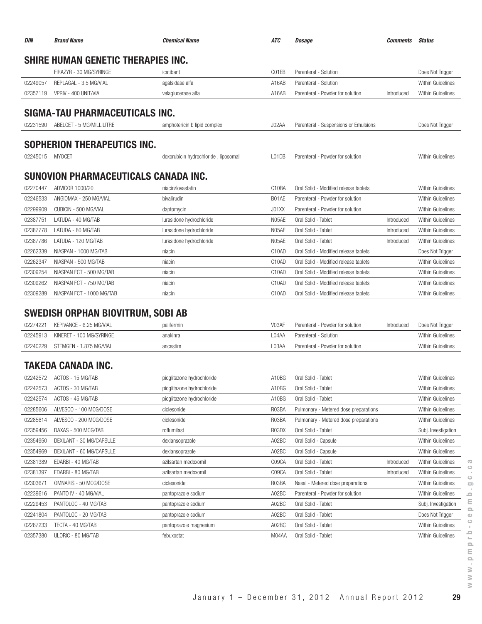| <b>DIN</b> | <b>Brand Name</b>                         | <b>Chemical Name</b>                 | <b>ATC</b>                               | Dosage                                | <b>Comments</b> | <b>Status</b>            |
|------------|-------------------------------------------|--------------------------------------|------------------------------------------|---------------------------------------|-----------------|--------------------------|
|            | <b>SHIRE HUMAN GENETIC THERAPIES INC.</b> |                                      |                                          |                                       |                 |                          |
|            | FIRAZYR - 30 MG/SYRINGE                   | icatibant                            | C01EB                                    | Parenteral - Solution                 |                 | Does Not Trigger         |
| 02249057   | REPLAGAL - 3.5 MG/VIAL                    | agalsidase alfa                      | A16AB                                    | Parenteral - Solution                 |                 | <b>Within Guidelines</b> |
| 02357119   | VPRIV - 400 UNIT/VIAL                     | velaglucerase alfa                   | A16AB                                    | Parenteral - Powder for solution      | Introduced      | Within Guidelines        |
|            | SIGMA-TAU PHARMACEUTICALS INC.            |                                      |                                          |                                       |                 |                          |
| 02231590   | ABELCET - 5 MG/MILLILITRE                 | amphotericin b lipid complex         | J02AA                                    | Parenteral - Suspensions or Emulsions |                 | Does Not Trigger         |
|            | <b>SOPHERION THERAPEUTICS INC.</b>        |                                      |                                          |                                       |                 |                          |
| 02245015   | <b>MYOCET</b>                             | doxorubicin hydrochloride, liposomal | L01DB                                    | Parenteral - Powder for solution      |                 | <b>Within Guidelines</b> |
|            | SUNOVION PHARMACEUTICALS CANADA INC.      |                                      |                                          |                                       |                 |                          |
|            |                                           | niacin/lovastatin                    | C <sub>10</sub> BA                       |                                       |                 |                          |
| 02270447   | ADVICOR 1000/20                           |                                      |                                          | Oral Solid - Modified release tablets |                 | Within Guidelines        |
| 02246533   | ANGIOMAX - 250 MG/VIAL                    | bivalirudin                          | B01AE                                    | Parenteral - Powder for solution      |                 | Within Guidelines        |
| 02299909   | CUBICIN - 500 MG/VIAL                     | daptomycin                           | J01XX                                    | Parenteral - Powder for solution      |                 | Within Guidelines        |
| 02387751   | LATUDA - 40 MG/TAB                        | lurasidone hydrochloride             | N05AE                                    | Oral Solid - Tablet                   | Introduced      | <b>Within Guidelines</b> |
| 02387778   | LATUDA - 80 MG/TAB                        | lurasidone hydrochloride             | N05AE                                    | Oral Solid - Tablet                   | Introduced      | Within Guidelines        |
| 02387786   | LATUDA - 120 MG/TAB                       | lurasidone hydrochloride             | N05AE                                    | Oral Solid - Tablet                   | Introduced      | Within Guidelines        |
| 02262339   | NIASPAN - 1000 MG/TAB                     | niacin                               | C <sub>10</sub> AD                       | Oral Solid - Modified release tablets |                 | Does Not Trigger         |
| 02262347   | NIASPAN - 500 MG/TAB                      | niacin                               | C <sub>10</sub> AD<br>C <sub>10</sub> AD | Oral Solid - Modified release tablets |                 | Within Guidelines        |
| 02309254   | NIASPAN FCT - 500 MG/TAB                  | niacin                               |                                          | Oral Solid - Modified release tablets |                 | <b>Within Guidelines</b> |
| 02309262   | NIASPAN FCT - 750 MG/TAB                  | niacin                               | C <sub>10</sub> AD                       | Oral Solid - Modified release tablets |                 | <b>Within Guidelines</b> |
| 02309289   | NIASPAN FCT - 1000 MG/TAB                 | niacin                               | C <sub>10</sub> AD                       | Oral Solid - Modified release tablets |                 | <b>Within Guidelines</b> |
|            | <b>SWEDISH ORPHAN BIOVITRUM, SOBI AB</b>  |                                      |                                          |                                       |                 |                          |
| 02274221   | KEPIVANCE - 6.25 MG/VIAL                  | palifermin                           | V03AF                                    | Parenteral - Powder for solution      | Introduced      | Does Not Trigger         |
| 02245913   | KINERET - 100 MG/SYRINGE                  | anakinra                             | L04AA                                    | Parenteral - Solution                 |                 | Within Guidelines        |
| 02240229   | STEMGEN - 1.875 MG/VIAL                   | ancestim                             | L03AA                                    | Parenteral - Powder for solution      |                 | Within Guidelines        |
|            | <b>TAKEDA CANADA INC.</b>                 |                                      |                                          |                                       |                 |                          |
| 02242572   | ACTOS - 15 MG/TAB                         | pioglitazone hydrochloride           | A10BG                                    | Oral Solid - Tablet                   |                 | Within Guidelines        |
| 02242573   | ACTOS - 30 MG/TAB                         | pioglitazone hydrochloride           | A10BG                                    | Oral Solid - Tablet                   |                 | Within Guidelines        |
| 02242574   | ACTOS - 45 MG/TAB                         | pioglitazone hydrochloride           | A10BG                                    | Oral Solid - Tablet                   |                 | <b>Within Guidelines</b> |
| 02285606   | ALVESCO - 100 MCG/DOSE                    | ciclesonide                          | R03BA                                    | Pulmonary - Metered dose preparations |                 | Within Guidelines        |
| 02285614   | ALVESCO - 200 MCG/DOSE                    | ciclesonide                          | R03BA                                    | Pulmonary - Metered dose preparations |                 | Within Guidelines        |
| 02359456   | DAXAS - 500 MCG/TAB                       | roflumilast                          | R03DX                                    | Oral Solid - Tablet                   |                 | Subj. Investigation      |
| 02354950   | DEXILANT - 30 MG/CAPSULE                  | dexlansoprazole                      | A02BC                                    | Oral Solid - Capsule                  |                 | <b>Within Guidelines</b> |

02354969 DEXILANT - 60 MG/CAPSULE dexlansoprazole dexlansoprazole dexlansoprazole dexlansoprazole A02BC Oral Solid - Capsule dexlansoprazole dexlansoprazole dexlansoprazole dexlansoprazole dexlan 02381389 EDARBI - 40 MG/TAB azilsartan medoxomil C09CA Oral Solid - Tablet Introduced Within Guidelines 02381397 EDARBI - 80 MG/TAB azilsartan medoxomil C09CA Oral Solid - Tablet Introduced Within Guidelines 02303671 OMNARIS - 50 MCG/DOSE ciclesonide ciclesonide ciclesonide R03BA Nasal - Metered dose preparations Within Guidelines 02239616 PANTO IV - 40 MG/VIAL **pantoprazole sodium** A02BC Parenteral - Powder for solution Within Guidelines 02229453 PANTOLOC - 40 MG/TAB **pantoprazole sodium** A02BC Oral Solid - Tablet Subj. Investigation 02241804 PANTOLOC - 20 MG/TAB **pantoprazole sodium** A02BC Oral Solid - Tablet **A02BC** Oral Solid - Tablet Does Not Trigger 02267233 TECTA - 40 MG/TAB **by antoprazole magnesium** A02BC Oral Solid - Tablet Within Guidelines 02357380 ULORIC - 80 MG/TAB febuxostat febuxostat febuxostat metalah more mengantakan diampatkan mengantakan di

 $\geq$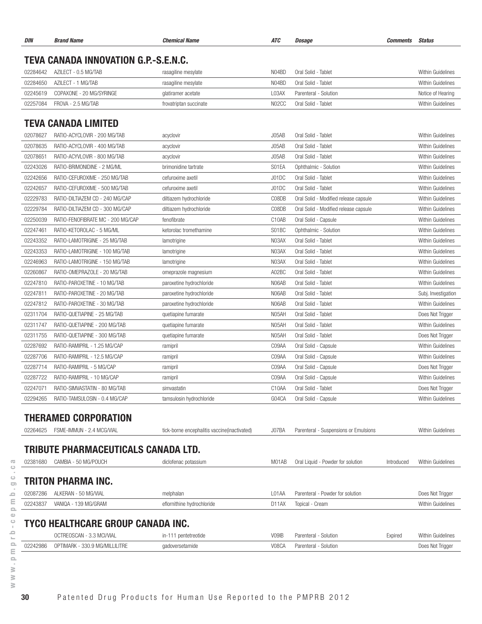| DIN      | <b>Brand Name</b>                    | <b>Chemical Name</b>                          | ATC   | <b>Dosage</b>                         | Comments   | <b>Status</b>            |
|----------|--------------------------------------|-----------------------------------------------|-------|---------------------------------------|------------|--------------------------|
|          | TEVA CANADA INNOVATION G.P.-S.E.N.C. |                                               |       |                                       |            |                          |
| 02284642 | AZILECT - 0.5 MG/TAB                 | rasagiline mesylate                           | N04BD | Oral Solid - Tablet                   |            | Within Guidelines        |
| 02284650 | AZILECT - 1 MG/TAB                   | rasagiline mesylate                           | N04BD | Oral Solid - Tablet                   |            | Within Guidelines        |
| 02245619 | COPAXONE - 20 MG/SYRINGE             | glatiramer acetate                            | L03AX | Parenteral - Solution                 |            | Notice of Hearing        |
| 02257084 | FROVA - 2.5 MG/TAB                   | frovatriptan succinate                        | N02CC | Oral Solid - Tablet                   |            | Within Guidelines        |
|          |                                      |                                               |       |                                       |            |                          |
|          | <b>TEVA CANADA LIMITED</b>           |                                               |       |                                       |            |                          |
| 02078627 | RATIO-ACYCLOVIR - 200 MG/TAB         | acyclovir                                     | J05AB | Oral Solid - Tablet                   |            | Within Guidelines        |
| 02078635 | RATIO-ACYCLOVIR - 400 MG/TAB         | acyclovir                                     | J05AB | Oral Solid - Tablet                   |            | Within Guidelines        |
| 02078651 | RATIO-ACYVLOVIR - 800 MG/TAB         | acyclovir                                     | J05AB | Oral Solid - Tablet                   |            | Within Guidelines        |
| 02243026 | RATIO-BRIMONIDINE - 2 MG/ML          | brimonidine tartrate                          | S01EA | Ophthalmic - Solution                 |            | Within Guidelines        |
| 02242656 | RATIO-CEFUROXIME - 250 MG/TAB        | cefuroxime axetil                             | J01DC | Oral Solid - Tablet                   |            | Within Guidelines        |
| 02242657 | RATIO-CEFUROXIME - 500 MG/TAB        | cefuroxime axetil                             | J01DC | Oral Solid - Tablet                   |            | Within Guidelines        |
| 02229783 | RATIO-DILTIAZEM CD - 240 MG/CAP      | diltiazem hydrochloride                       | C08DB | Oral Solid - Modified release capsule |            | <b>Within Guidelines</b> |
| 02229784 | RATIO-DILTIAZEM CD - 300 MG/CAP      | diltiazem hydrochloride                       | C08DB | Oral Solid - Modified release capsule |            | Within Guidelines        |
| 02250039 | RATIO-FENOFIBRATE MC - 200 MG/CAP    | fenofibrate                                   | C10AB | Oral Solid - Capsule                  |            | Within Guidelines        |
| 02247461 | RATIO-KETOROLAC - 5 MG/ML            | ketorolac tromethamine                        | S01BC | Ophthalmic - Solution                 |            | Within Guidelines        |
| 02243352 | RATIO-LAMOTRIGINE - 25 MG/TAB        | lamotrigine                                   | N03AX | Oral Solid - Tablet                   |            | Within Guidelines        |
| 02243353 | RATIO-LAMOTRIGINE - 100 MG/TAB       | lamotrigine                                   | N03AX | Oral Solid - Tablet                   |            | Within Guidelines        |
| 02246963 | RATIO-LAMOTRIGINE - 150 MG/TAB       | lamotrigine                                   | N03AX | Oral Solid - Tablet                   |            | Within Guidelines        |
| 02260867 | RATIO-OMEPRAZOLE - 20 MG/TAB         | omeprazole magnesium                          | A02BC | Oral Solid - Tablet                   |            | Within Guidelines        |
| 02247810 | RATIO-PAROXETINE - 10 MG/TAB         | paroxetine hydrochloride                      | N06AB | Oral Solid - Tablet                   |            | Within Guidelines        |
| 02247811 | RATIO-PAROXETINE - 20 MG/TAB         | paroxetine hydrochloride                      | N06AB | Oral Solid - Tablet                   |            | Subj. Investigation      |
| 02247812 | RATIO-PAROXETINE - 30 MG/TAB         | paroxetine hydrochloride                      | N06AB | Oral Solid - Tablet                   |            | Within Guidelines        |
| 02311704 | RATIO-QUETIAPINE - 25 MG/TAB         | quetiapine fumarate                           | N05AH | Oral Solid - Tablet                   |            | Does Not Trigger         |
| 02311747 | RATIO-QUETIAPINE - 200 MG/TAB        | quetiapine fumarate                           | N05AH | Oral Solid - Tablet                   |            | Within Guidelines        |
| 02311755 | RATIO-QUETIAPINE - 300 MG/TAB        | quetiapine fumarate                           | N05AH | Oral Solid - Tablet                   |            | Does Not Trigger         |
| 02287692 | RATIO-RAMIPRIL - 1.25 MG/CAP         | ramipril                                      | C09AA | Oral Solid - Capsule                  |            | Within Guidelines        |
| 02287706 | RATIO-RAMIPRIL - 12.5 MG/CAP         | ramipril                                      | C09AA | Oral Solid - Capsule                  |            | Within Guidelines        |
| 02287714 | RATIO-RAMIPRIL - 5 MG/CAP            | ramipril                                      | C09AA | Oral Solid - Capsule                  |            | Does Not Trigger         |
| 02287722 | RATIO-RAMIPRIL - 10 MG/CAP           | ramipril                                      | C09AA | Oral Solid - Capsule                  |            | Within Guidelines        |
| 02247071 | RATIO-SIMVASTATIN - 80 MG/TAB        | simvastatin                                   | C10AA | Oral Solid - Tablet                   |            | Does Not Trigger         |
| 02294265 | RATIO-TAMSULOSIN - 0.4 MG/CAP        | tamsulosin hydrochloride                      | G04CA | Oral Solid - Capsule                  |            | Within Guidelines        |
|          | <b>THERAMED CORPORATION</b>          |                                               |       |                                       |            |                          |
| 02264625 | FSME-IMMUN - 2.4 MCG/VIAL            |                                               | J07BA | Parenteral - Suspensions or Emulsions |            | Within Guidelines        |
|          |                                      | tick-borne encephalitis vaccine (inactivated) |       |                                       |            |                          |
|          | TRIBUTE PHARMACEUTICALS CANADA LTD.  |                                               |       |                                       |            |                          |
| 02381680 | CAMBIA - 50 MG/POUCH                 | diclofenac potassium                          | M01AB | Oral Liquid - Powder for solution     | Introduced | Within Guidelines        |
|          | <b>TRITON PHARMA INC.</b>            |                                               |       |                                       |            |                          |
| 02087286 | ALKERAN - 50 MG/VIAL                 | melphalan                                     | L01AA | Parenteral - Powder for solution      |            | Does Not Trigger         |
| 02243837 | VANIQA - 139 MG/GRAM                 | eflornithine hydrochloride                    | D11AX | Topical - Cream                       |            | Within Guidelines        |
|          |                                      |                                               |       |                                       |            |                          |
|          | TYCO HEALTHCARE GROUP CANADA INC.    |                                               |       |                                       |            |                          |
|          | OCTREOSCAN - 3.3 MCI/VIAL            | in-111 pentetreotide                          | V09IB | Parenteral - Solution                 | Expired    | Within Guidelines        |
| 02242986 | OPTIMARK - 330.9 MG/MILLILITRE       | gadoversetamide                               | V08CA | Parenteral - Solution                 |            | Does Not Trigger         |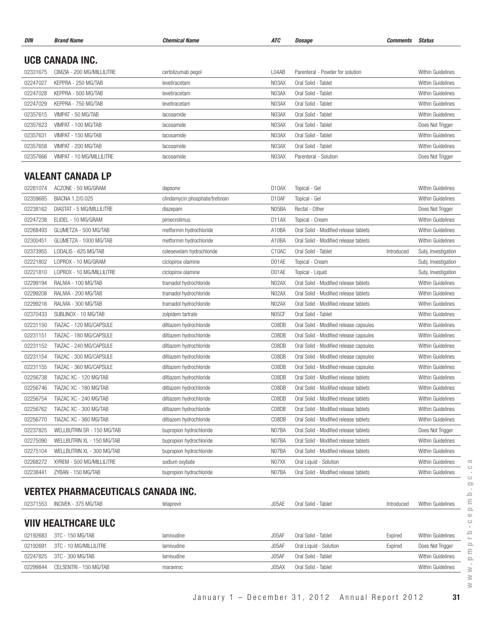| DIN      | <b>Brand Name</b>                         | <b>Chemical Name</b>            | ATC                | Dosage                                 | <i><b>Comments</b></i> | Status                   |
|----------|-------------------------------------------|---------------------------------|--------------------|----------------------------------------|------------------------|--------------------------|
|          | UCB CANADA INC.                           |                                 |                    |                                        |                        |                          |
| 02331675 | CIMZIA - 200 MG/MILLILITRE                | certolizumab pegol              | L04AB              | Parenteral - Powder for solution       |                        | Within Guidelines        |
| 02247027 | KEPPRA - 250 MG/TAB                       | levetiracetam                   | N03AX              | Oral Solid - Tablet                    |                        | Within Guidelines        |
| 02247028 | KEPPRA - 500 MG/TAB                       | levetiracetam                   | N03AX              | Oral Solid - Tablet                    |                        | Within Guidelines        |
| 02247029 | KEPPRA - 750 MG/TAB                       | levetiracetam                   | N03AX              | Oral Solid - Tablet                    |                        | Within Guidelines        |
| 02357615 | VIMPAT - 50 MG/TAB                        | lacosamide                      | N03AX              | Oral Solid - Tablet                    |                        | Within Guidelines        |
| 02357623 | VIMPAT - 100 MG/TAB                       | lacosamide                      | N03AX              | Oral Solid - Tablet                    |                        | Does Not Trigger         |
| 02357631 | VIMPAT - 150 MG/TAB                       | lacosamide                      | N03AX              | Oral Solid - Tablet                    |                        | Within Guidelines        |
| 02357658 | VIMPAT - 200 MG/TAB                       | lacosamide                      | N03AX              | Oral Solid - Tablet                    |                        | Within Guidelines        |
| 02357666 | VIMPAT - 10 MG/MILLILITRE                 | lacosamide                      | N03AX              | Parenteral - Solution                  |                        | Does Not Trigger         |
|          | <b>VALEANT CANADA LP</b>                  |                                 |                    |                                        |                        |                          |
| 02281074 | ACZONE - 50 MG/GRAM                       | dapsone                         | D10AX              | Topical - Gel                          |                        | Within Guidelines        |
| 02359685 | BIACNA 1.2/0.025                          | clindamycin phosphate/tretinoin | D10AF              | Topical - Gel                          |                        | Within Guidelines        |
| 02238162 | DIASTAT - 5 MG/MILLILITRE                 | diazepam                        | N05BA              | Rectal - Other                         |                        | Does Not Trigger         |
| 02247238 | ELIDEL - 10 MG/GRAM                       | pimecrolimus                    | D11AX              | Topical - Cream                        |                        | Within Guidelines        |
| 02268493 | GLUMETZA - 500 MG/TAB                     | metformin hydrochloride         | A10BA              | Oral Solid - Modified release tablets  |                        | <b>Within Guidelines</b> |
| 02300451 | GLUMETZA - 1000 MG/TAB                    | metformin hydrochloride         | A10BA              | Oral Solid - Modified release tablets  |                        | Within Guidelines        |
| 02373955 | LODALIS - 625 MG/TAB                      | colesevelam hydrochloride       | C <sub>10</sub> AC | Oral Solid - Tablet                    | Introduced             | Subj. Investigation      |
| 02221802 | LOPROX - 10 MG/GRAM                       | ciclopirox olamine              | D01AE              | Topical - Cream                        |                        | Subj. Investigation      |
| 02221810 | LOPROX - 10 MG/MILLILITRE                 | ciclopirox olamine              | D01AE              | Topical - Liquid                       |                        | Subj. Investigation      |
| 02299194 | RALIVIA - 100 MG/TAB                      | tramadol hydrochloride          | N02AX              | Oral Solid - Modified release tablets  |                        | Within Guidelines        |
| 02299208 | RALIVIA - 200 MG/TAB                      | tramadol hydrochloride          | N02AX              | Oral Solid - Modified release tablets  |                        | Within Guidelines        |
| 02299216 | RALIVIA - 300 MG/TAB                      | tramadol hydrochloride          | N02AX              | Oral Solid - Modified release tablets  |                        | Within Guidelines        |
| 02370433 | SUBLINOX - 10 MG/TAB                      | zolpidem tartrate               | N05CF              | Oral Solid - Tablet                    |                        | Within Guidelines        |
| 02231150 | TIAZAC - 120 MG/CAPSULE                   | diltiazem hydrochloride         | C08DB              | Oral Solid - Modified release capsules |                        | Within Guidelines        |
| 02231151 | TIAZAC - 180 MG/CAPSULE                   | diltiazem hydrochloride         | C08DB              | Oral Solid - Modified release capsules |                        | Within Guidelines        |
| 02231152 | TIAZAC - 240 MG/CAPSULE                   | diltiazem hydrochloride         | C08DB              | Oral Solid - Modified release capsules |                        | Within Guidelines        |
| 02231154 | TIAZAC - 300 MG/CAPSULE                   | diltiazem hydrochloride         | C08DB              | Oral Solid - Modified release capsules |                        | Within Guidelines        |
| 02231155 | TIAZAC - 360 MG/CAPSULE                   | diltiazem hydrochloride         | C08DB              | Oral Solid - Modified release capsules |                        | Within Guidelines        |
| 02256738 | TIAZAC XC - 120 MG/TAB                    | diltiazem hydrochloride         | C08DB              | Oral Solid - Modified release tablets  |                        | Within Guidelines        |
| 02256746 | TIAZAC XC - 180 MG/TAB                    | diltiazem hydrochloride         | C08DB              | Oral Solid - Modified release tablets  |                        | Within Guidelines        |
| 02256754 | TIAZAC XC - 240 MG/TAB                    | diltiazem hydrochloride         | C08DB              | Oral Solid - Modified release tablets  |                        | Within Guidelines        |
| 02256762 | TIAZAC XC - 300 MG/TAB                    | diltiazem hydrochloride         | C08DB              | Oral Solid - Modified release tablets  |                        | Within Guidelines        |
| 02256770 | TIAZAC XC - 360 MG/TAB                    | diltiazem hydrochloride         | C08DB              | Oral Solid - Modified release tablets  |                        | <b>Within Guidelines</b> |
| 02237825 | WELLBUTRIN SR - 150 MG/TAB                | bupropion hydrochloride         | N07BA              | Oral Solid - Modified release tablets  |                        | Does Not Trigger         |
| 02275090 | WELLBUTRIN XL - 150 MG/TAB                | bupropion hydrochloride         | NO7BA              | Oral Solid - Modified release tablets  |                        | Within Guidelines        |
| 02275104 | WELLBUTRIN XL - 300 MG/TAB                | bupropion hydrochloride         | N07BA              | Oral Solid - Modified release tablets  |                        | Within Guidelines        |
| 02268272 | XYREM - 500 MG/MILLILITRE                 | sodium oxybate                  | NO7XX              | Oral Liquid - Solution                 |                        | <b>Within Guidelines</b> |
| 02238441 | ZYBAN - 150 MG/TAB                        | bupropion hydrochloride         | N07BA              | Oral Solid - Modified release tablets  |                        | Within Guidelines        |
|          | <b>VERTEX PHARMACEUTICALS CANADA INC.</b> |                                 |                    |                                        |                        |                          |
|          |                                           |                                 |                    |                                        |                        |                          |
| 02371553 | INCIVEK - 375 MG/TAB                      | telaprevir                      | J05AE              | Oral Solid - Tablet                    | Introduced             | Within Guidelines        |
|          | <b>VIIV HEALTHCARE ULC</b>                |                                 |                    |                                        |                        |                          |
| 02192683 | 3TC - 150 MG/TAB                          | lamivudine                      | J05AF              | Oral Solid - Tablet                    | Expired                | Within Guidelines        |
| 02192691 | 3TC - 10 MG/MILLILITRE                    | lamivudine                      | J05AF              | Oral Liquid - Solution                 | Expired                | Does Not Trigger         |
| 02247825 | 3TC - 300 MG/TAB                          | lamivudine                      | J05AF              | Oral Solid - Tablet                    |                        | Within Guidelines        |
| 02299844 | CELSENTRI - 150 MG/TAB                    | maraviroc                       | J05AX              | Oral Solid - Tablet                    |                        | Within Guidelines        |
|          |                                           |                                 |                    |                                        |                        |                          |